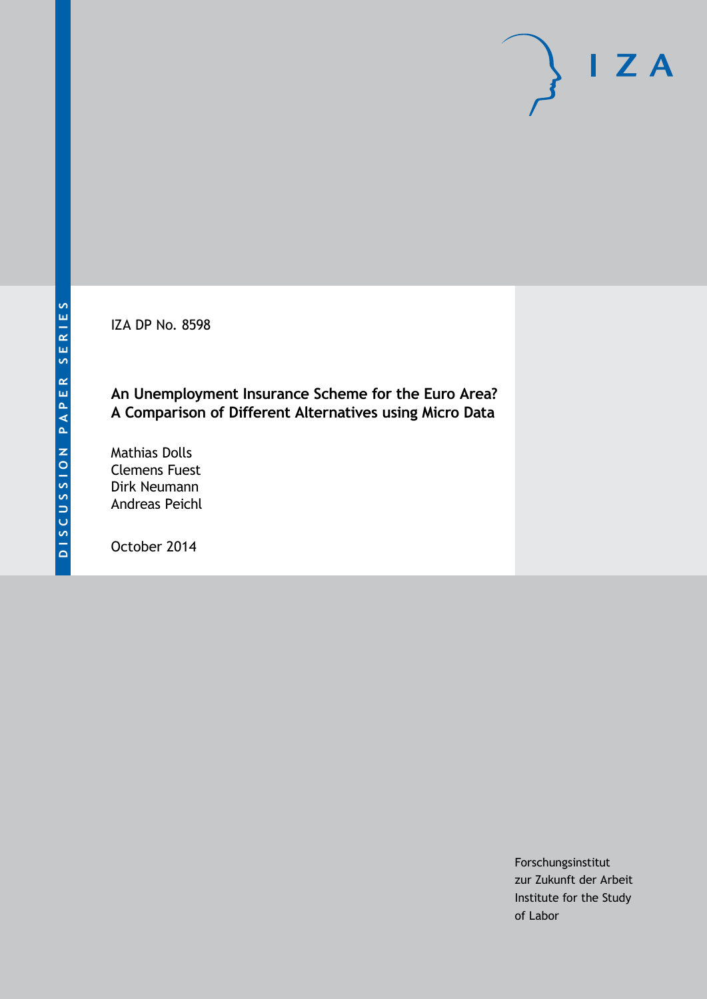IZA DP No. 8598

### **An Unemployment Insurance Scheme for the Euro Area? A Comparison of Different Alternatives using Micro Data**

Mathias Dolls Clemens Fuest Dirk Neumann Andreas Peichl

October 2014

Forschungsinstitut zur Zukunft der Arbeit Institute for the Study of Labor

 $I Z A$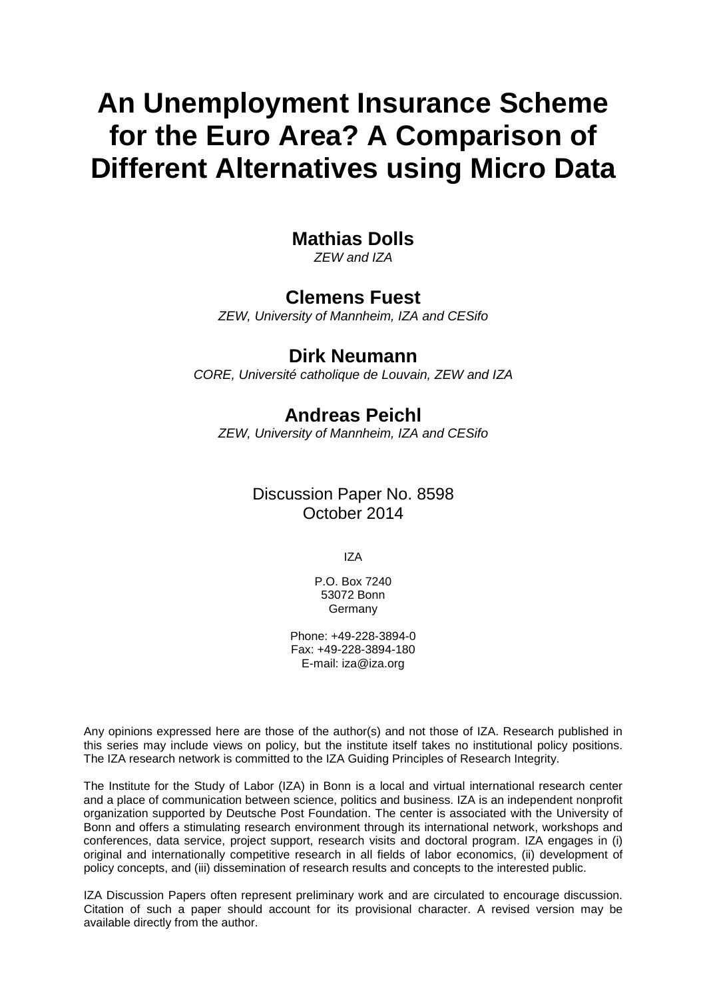# **An Unemployment Insurance Scheme for the Euro Area? A Comparison of Different Alternatives using Micro Data**

# **Mathias Dolls**

*ZEW and IZA*

# **Clemens Fuest**

*ZEW, University of Mannheim, IZA and CESifo*

# **Dirk Neumann**

*CORE, Université catholique de Louvain, ZEW and IZA*

# **Andreas Peichl**

*ZEW, University of Mannheim, IZA and CESifo*

# Discussion Paper No. 8598 October 2014

IZA

P.O. Box 7240 53072 Bonn Germany

Phone: +49-228-3894-0 Fax: +49-228-3894-180 E-mail: [iza@iza.org](mailto:iza@iza.org)

Any opinions expressed here are those of the author(s) and not those of IZA. Research published in this series may include views on policy, but the institute itself takes no institutional policy positions. The IZA research network is committed to the IZA Guiding Principles of Research Integrity.

<span id="page-1-0"></span>The Institute for the Study of Labor (IZA) in Bonn is a local and virtual international research center and a place of communication between science, politics and business. IZA is an independent nonprofit organization supported by Deutsche Post Foundation. The center is associated with the University of Bonn and offers a stimulating research environment through its international network, workshops and conferences, data service, project support, research visits and doctoral program. IZA engages in (i) original and internationally competitive research in all fields of labor economics, (ii) development of policy concepts, and (iii) dissemination of research results and concepts to the interested public.

IZA Discussion Papers often represent preliminary work and are circulated to encourage discussion. Citation of such a paper should account for its provisional character. A revised version may be available directly from the author.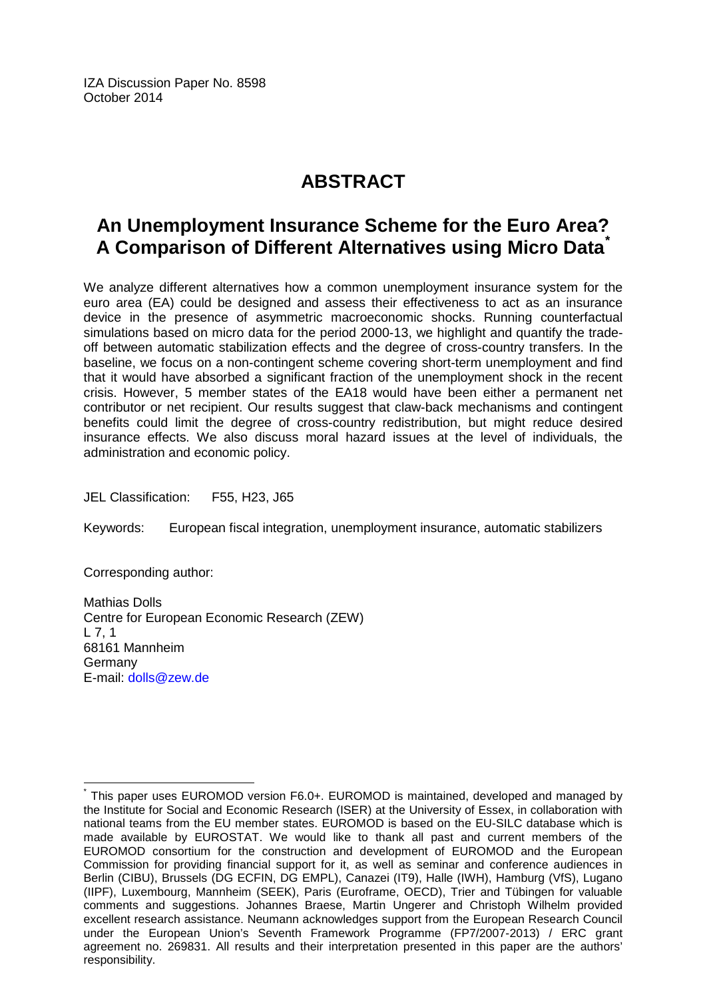IZA Discussion Paper No. 8598 October 2014

# **ABSTRACT**

# **An Unemployment Insurance Scheme for the Euro Area? A Comparison of Different Alternatives using Micro Data[\\*](#page-1-0)**

We analyze different alternatives how a common unemployment insurance system for the euro area (EA) could be designed and assess their effectiveness to act as an insurance device in the presence of asymmetric macroeconomic shocks. Running counterfactual simulations based on micro data for the period 2000-13, we highlight and quantify the tradeoff between automatic stabilization effects and the degree of cross-country transfers. In the baseline, we focus on a non-contingent scheme covering short-term unemployment and find that it would have absorbed a significant fraction of the unemployment shock in the recent crisis. However, 5 member states of the EA18 would have been either a permanent net contributor or net recipient. Our results suggest that claw-back mechanisms and contingent benefits could limit the degree of cross-country redistribution, but might reduce desired insurance effects. We also discuss moral hazard issues at the level of individuals, the administration and economic policy.

JEL Classification: F55, H23, J65

Keywords: European fiscal integration, unemployment insurance, automatic stabilizers

Corresponding author:

Mathias Dolls Centre for European Economic Research (ZEW)  $1, 7, 1$ 68161 Mannheim Germany E-mail: [dolls@zew.de](mailto:dolls@zew.de)

This paper uses EUROMOD version F6.0+. EUROMOD is maintained, developed and managed by the Institute for Social and Economic Research (ISER) at the University of Essex, in collaboration with national teams from the EU member states. EUROMOD is based on the EU-SILC database which is made available by EUROSTAT. We would like to thank all past and current members of the EUROMOD consortium for the construction and development of EUROMOD and the European Commission for providing financial support for it, as well as seminar and conference audiences in Berlin (CIBU), Brussels (DG ECFIN, DG EMPL), Canazei (IT9), Halle (IWH), Hamburg (VfS), Lugano (IIPF), Luxembourg, Mannheim (SEEK), Paris (Euroframe, OECD), Trier and Tübingen for valuable comments and suggestions. Johannes Braese, Martin Ungerer and Christoph Wilhelm provided excellent research assistance. Neumann acknowledges support from the European Research Council under the European Union's Seventh Framework Programme (FP7/2007-2013) / ERC grant agreement no. 269831. All results and their interpretation presented in this paper are the authors' responsibility.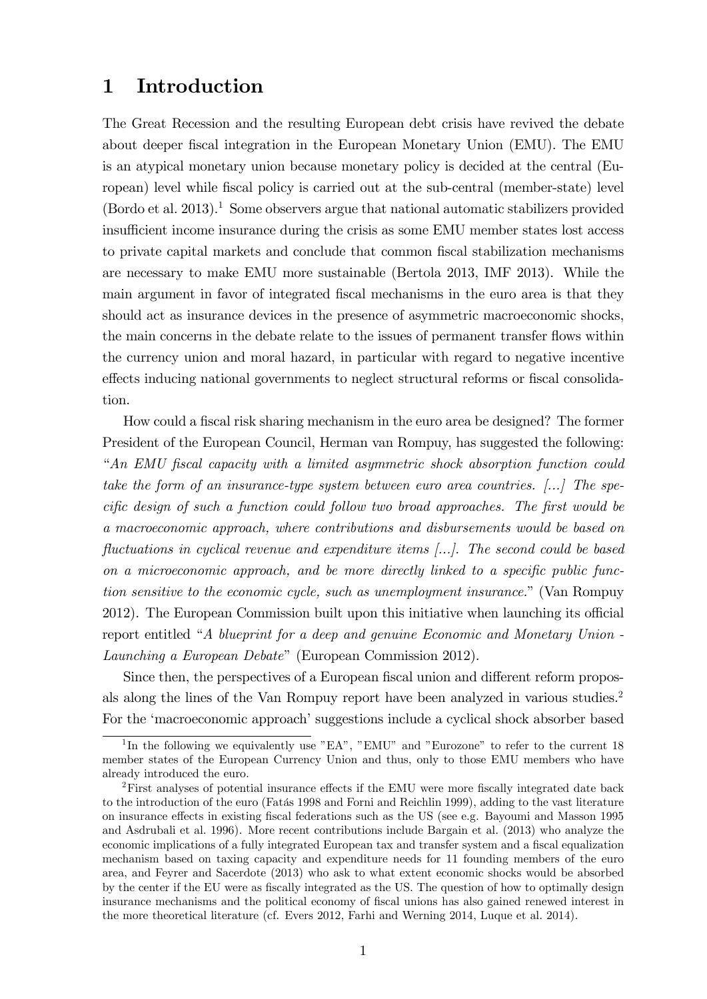# 1 Introduction

The Great Recession and the resulting European debt crisis have revived the debate about deeper Öscal integration in the European Monetary Union (EMU). The EMU is an atypical monetary union because monetary policy is decided at the central (European) level while fiscal policy is carried out at the sub-central (member-state) level  $($ Bordo et al. 2013).<sup>1</sup> Some observers argue that national automatic stabilizers provided insufficient income insurance during the crisis as some EMU member states lost access to private capital markets and conclude that common fiscal stabilization mechanisms are necessary to make EMU more sustainable (Bertola 2013, IMF 2013). While the main argument in favor of integrated fiscal mechanisms in the euro area is that they should act as insurance devices in the presence of asymmetric macroeconomic shocks, the main concerns in the debate relate to the issues of permanent transfer flows within the currency union and moral hazard, in particular with regard to negative incentive effects inducing national governments to neglect structural reforms or fiscal consolidation.

How could a fiscal risk sharing mechanism in the euro area be designed? The former President of the European Council, Herman van Rompuy, has suggested the following: ìAn EMU Öscal capacity with a limited asymmetric shock absorption function could take the form of an insurance-type system between euro area countries. [...] The specific design of such a function could follow two broad approaches. The first would be a macroeconomic approach, where contributions and disbursements would be based on fluctuations in cyclical revenue and expenditure items  $[\dots]$ . The second could be based on a microeconomic approach, and be more directly linked to a specific public function sensitive to the economic cycle, such as unemployment insurance." (Van Rompuy 2012). The European Commission built upon this initiative when launching its official report entitled  $A$  blueprint for a deep and genuine Economic and Monetary Union -Launching a European Debate" (European Commission 2012).

Since then, the perspectives of a European fiscal union and different reform proposals along the lines of the Van Rompuy report have been analyzed in various studies.<sup>2</sup> For the 'macroeconomic approach' suggestions include a cyclical shock absorber based

<sup>&</sup>lt;sup>1</sup>In the following we equivalently use "EA", "EMU" and "Eurozone" to refer to the current 18 member states of the European Currency Union and thus, only to those EMU members who have already introduced the euro.

 ${}^{2}$ First analyses of potential insurance effects if the EMU were more fiscally integrated date back to the introduction of the euro (Fatás 1998 and Forni and Reichlin 1999), adding to the vast literature on insurance effects in existing fiscal federations such as the US (see e.g. Bayoumi and Masson 1995 and Asdrubali et al. 1996). More recent contributions include Bargain et al. (2013) who analyze the economic implications of a fully integrated European tax and transfer system and a fiscal equalization mechanism based on taxing capacity and expenditure needs for 11 founding members of the euro area, and Feyrer and Sacerdote (2013) who ask to what extent economic shocks would be absorbed by the center if the EU were as fiscally integrated as the US. The question of how to optimally design insurance mechanisms and the political economy of fiscal unions has also gained renewed interest in the more theoretical literature (cf. Evers 2012, Farhi and Werning 2014, Luque et al. 2014).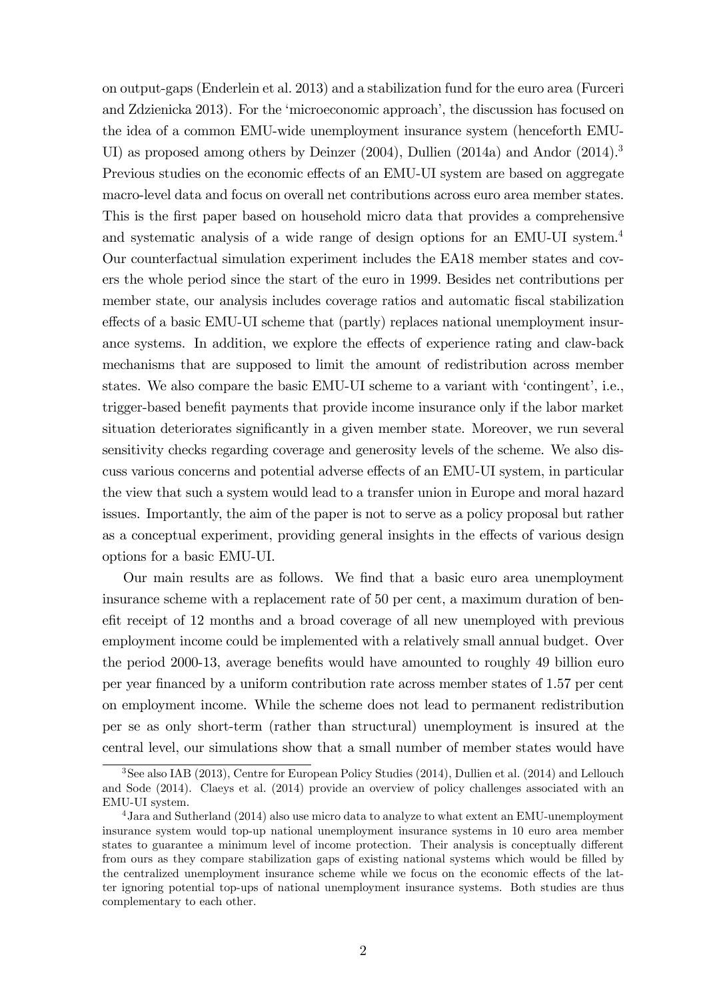on output-gaps (Enderlein et al. 2013) and a stabilization fund for the euro area (Furceri and Zdzienicka 2013). For the 'microeconomic approach', the discussion has focused on the idea of a common EMU-wide unemployment insurance system (henceforth EMU-UI) as proposed among others by Deinzer (2004), Dullien (2014a) and Andor (2014).<sup>3</sup> Previous studies on the economic effects of an EMU-UI system are based on aggregate macro-level data and focus on overall net contributions across euro area member states. This is the first paper based on household micro data that provides a comprehensive and systematic analysis of a wide range of design options for an EMU-UI system.<sup>4</sup> Our counterfactual simulation experiment includes the EA18 member states and covers the whole period since the start of the euro in 1999. Besides net contributions per member state, our analysis includes coverage ratios and automatic fiscal stabilization effects of a basic EMU-UI scheme that (partly) replaces national unemployment insurance systems. In addition, we explore the effects of experience rating and claw-back mechanisms that are supposed to limit the amount of redistribution across member states. We also compare the basic EMU-UI scheme to a variant with 'contingent', i.e., trigger-based benefit payments that provide income insurance only if the labor market situation deteriorates significantly in a given member state. Moreover, we run several sensitivity checks regarding coverage and generosity levels of the scheme. We also discuss various concerns and potential adverse effects of an EMU-UI system, in particular the view that such a system would lead to a transfer union in Europe and moral hazard issues. Importantly, the aim of the paper is not to serve as a policy proposal but rather as a conceptual experiment, providing general insights in the effects of various design options for a basic EMU-UI.

Our main results are as follows. We find that a basic euro area unemployment insurance scheme with a replacement rate of 50 per cent, a maximum duration of benefit receipt of 12 months and a broad coverage of all new unemployed with previous employment income could be implemented with a relatively small annual budget. Over the period 2000-13, average benefits would have amounted to roughly 49 billion euro per year Önanced by a uniform contribution rate across member states of 1.57 per cent on employment income. While the scheme does not lead to permanent redistribution per se as only short-term (rather than structural) unemployment is insured at the central level, our simulations show that a small number of member states would have

<sup>&</sup>lt;sup>3</sup>See also IAB (2013), Centre for European Policy Studies (2014), Dullien et al. (2014) and Lellouch and Sode (2014). Claeys et al. (2014) provide an overview of policy challenges associated with an EMU-UI system.

<sup>4</sup>Jara and Sutherland (2014) also use micro data to analyze to what extent an EMU-unemployment insurance system would top-up national unemployment insurance systems in 10 euro area member states to guarantee a minimum level of income protection. Their analysis is conceptually different from ours as they compare stabilization gaps of existing national systems which would be filled by the centralized unemployment insurance scheme while we focus on the economic effects of the latter ignoring potential top-ups of national unemployment insurance systems. Both studies are thus complementary to each other.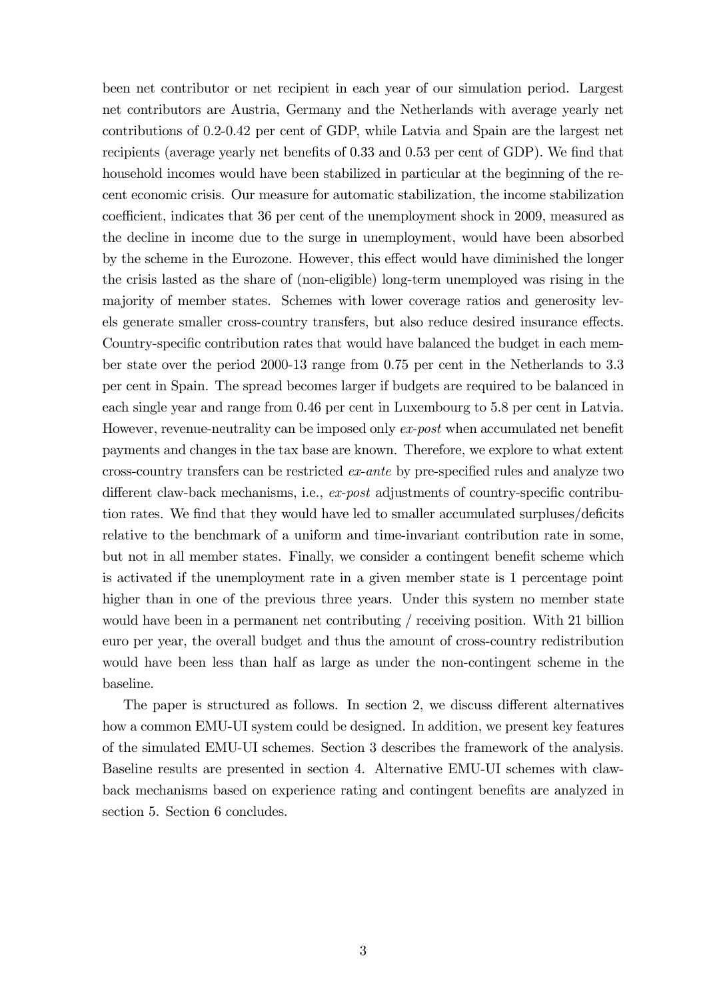been net contributor or net recipient in each year of our simulation period. Largest net contributors are Austria, Germany and the Netherlands with average yearly net contributions of 0.2-0.42 per cent of GDP, while Latvia and Spain are the largest net recipients (average yearly net benefits of  $0.33$  and  $0.53$  per cent of GDP). We find that household incomes would have been stabilized in particular at the beginning of the recent economic crisis. Our measure for automatic stabilization, the income stabilization coefficient, indicates that 36 per cent of the unemployment shock in 2009, measured as the decline in income due to the surge in unemployment, would have been absorbed by the scheme in the Eurozone. However, this effect would have diminished the longer the crisis lasted as the share of (non-eligible) long-term unemployed was rising in the majority of member states. Schemes with lower coverage ratios and generosity levels generate smaller cross-country transfers, but also reduce desired insurance effects. Country-specific contribution rates that would have balanced the budget in each member state over the period 2000-13 range from 0.75 per cent in the Netherlands to 3.3 per cent in Spain. The spread becomes larger if budgets are required to be balanced in each single year and range from 0.46 per cent in Luxembourg to 5.8 per cent in Latvia. However, revenue-neutrality can be imposed only ex-post when accumulated net benefit payments and changes in the tax base are known. Therefore, we explore to what extent cross-country transfers can be restricted  $ex$ -ante by pre-specified rules and analyze two different claw-back mechanisms, i.e.,  $ex\text{-}post$  adjustments of country-specific contribution rates. We find that they would have led to smaller accumulated surpluses/deficits relative to the benchmark of a uniform and time-invariant contribution rate in some, but not in all member states. Finally, we consider a contingent benefit scheme which is activated if the unemployment rate in a given member state is 1 percentage point higher than in one of the previous three years. Under this system no member state would have been in a permanent net contributing / receiving position. With 21 billion euro per year, the overall budget and thus the amount of cross-country redistribution would have been less than half as large as under the non-contingent scheme in the baseline.

The paper is structured as follows. In section  $2$ , we discuss different alternatives how a common EMU-UI system could be designed. In addition, we present key features of the simulated EMU-UI schemes. Section 3 describes the framework of the analysis. Baseline results are presented in section 4. Alternative EMU-UI schemes with clawback mechanisms based on experience rating and contingent benefits are analyzed in section 5. Section 6 concludes.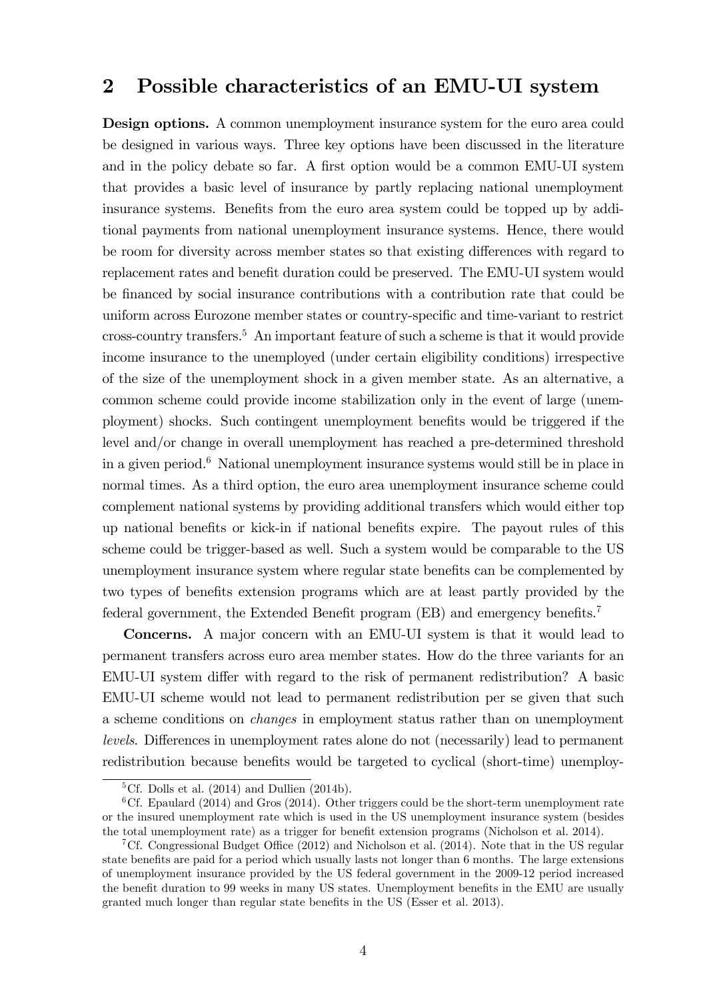## 2 Possible characteristics of an EMU-UI system

Design options. A common unemployment insurance system for the euro area could be designed in various ways. Three key options have been discussed in the literature and in the policy debate so far. A first option would be a common EMU-UI system that provides a basic level of insurance by partly replacing national unemployment insurance systems. Benefits from the euro area system could be topped up by additional payments from national unemployment insurance systems. Hence, there would be room for diversity across member states so that existing differences with regard to replacement rates and benefit duration could be preserved. The EMU-UI system would be financed by social insurance contributions with a contribution rate that could be uniform across Eurozone member states or country-specific and time-variant to restrict cross-country transfers.<sup>5</sup> An important feature of such a scheme is that it would provide income insurance to the unemployed (under certain eligibility conditions) irrespective of the size of the unemployment shock in a given member state. As an alternative, a common scheme could provide income stabilization only in the event of large (unemployment) shocks. Such contingent unemployment benefits would be triggered if the level and/or change in overall unemployment has reached a pre-determined threshold in a given period.<sup>6</sup> National unemployment insurance systems would still be in place in normal times. As a third option, the euro area unemployment insurance scheme could complement national systems by providing additional transfers which would either top up national benefits or kick-in if national benefits expire. The payout rules of this scheme could be trigger-based as well. Such a system would be comparable to the US unemployment insurance system where regular state benefits can be complemented by two types of benefits extension programs which are at least partly provided by the federal government, the Extended Benefit program (EB) and emergency benefits.<sup>7</sup>

Concerns. A major concern with an EMU-UI system is that it would lead to permanent transfers across euro area member states. How do the three variants for an EMU-UI system differ with regard to the risk of permanent redistribution? A basic EMU-UI scheme would not lead to permanent redistribution per se given that such a scheme conditions on changes in employment status rather than on unemployment levels. Differences in unemployment rates alone do not (necessarily) lead to permanent redistribution because benefits would be targeted to cyclical (short-time) unemploy-

<sup>&</sup>lt;sup>5</sup>Cf. Dolls et al.  $(2014)$  and Dullien  $(2014b)$ .

 ${}^{6}$  Cf. Epaulard (2014) and Gros (2014). Other triggers could be the short-term unemployment rate or the insured unemployment rate which is used in the US unemployment insurance system (besides the total unemployment rate) as a trigger for benefit extension programs (Nicholson et al. 2014).

<sup>&</sup>lt;sup>7</sup>Cf. Congressional Budget Office (2012) and Nicholson et al. (2014). Note that in the US regular state benefits are paid for a period which usually lasts not longer than 6 months. The large extensions of unemployment insurance provided by the US federal government in the 2009-12 period increased the benefit duration to 99 weeks in many US states. Unemployment benefits in the EMU are usually granted much longer than regular state benefits in the US (Esser et al. 2013).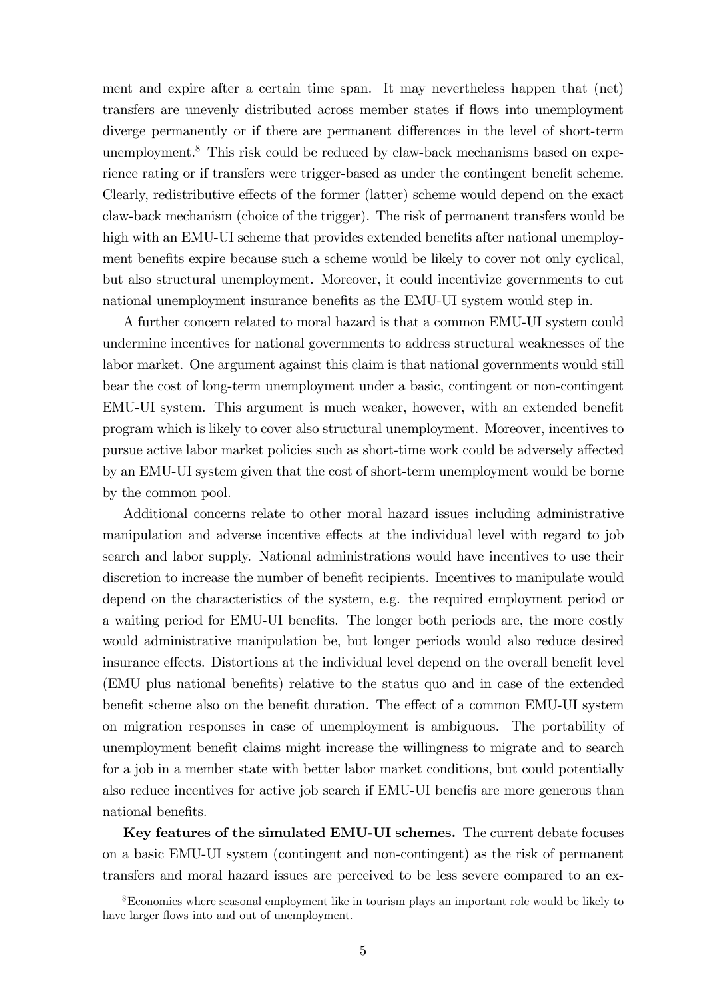ment and expire after a certain time span. It may nevertheless happen that (net) transfers are unevenly distributed across member states if flows into unemployment diverge permanently or if there are permanent differences in the level of short-term unemployment.<sup>8</sup> This risk could be reduced by claw-back mechanisms based on experience rating or if transfers were trigger-based as under the contingent benefit scheme. Clearly, redistributive effects of the former (latter) scheme would depend on the exact claw-back mechanism (choice of the trigger). The risk of permanent transfers would be high with an EMU-UI scheme that provides extended benefits after national unemployment benefits expire because such a scheme would be likely to cover not only cyclical, but also structural unemployment. Moreover, it could incentivize governments to cut national unemployment insurance benefits as the EMU-UI system would step in.

A further concern related to moral hazard is that a common EMU-UI system could undermine incentives for national governments to address structural weaknesses of the labor market. One argument against this claim is that national governments would still bear the cost of long-term unemployment under a basic, contingent or non-contingent EMU-UI system. This argument is much weaker, however, with an extended benefit program which is likely to cover also structural unemployment. Moreover, incentives to pursue active labor market policies such as short-time work could be adversely affected by an EMU-UI system given that the cost of short-term unemployment would be borne by the common pool.

Additional concerns relate to other moral hazard issues including administrative manipulation and adverse incentive effects at the individual level with regard to job search and labor supply. National administrations would have incentives to use their discretion to increase the number of benefit recipients. Incentives to manipulate would depend on the characteristics of the system, e.g. the required employment period or a waiting period for EMU-UI benefits. The longer both periods are, the more costly would administrative manipulation be, but longer periods would also reduce desired insurance effects. Distortions at the individual level depend on the overall benefit level (EMU plus national benefits) relative to the status quo and in case of the extended benefit scheme also on the benefit duration. The effect of a common EMU-UI system on migration responses in case of unemployment is ambiguous. The portability of unemployment benefit claims might increase the willingness to migrate and to search for a job in a member state with better labor market conditions, but could potentially also reduce incentives for active job search if EMU-UI benefis are more generous than national benefits.

Key features of the simulated EMU-UI schemes. The current debate focuses on a basic EMU-UI system (contingent and non-contingent) as the risk of permanent transfers and moral hazard issues are perceived to be less severe compared to an ex-

<sup>&</sup>lt;sup>8</sup>Economies where seasonal employment like in tourism plays an important role would be likely to have larger flows into and out of unemployment.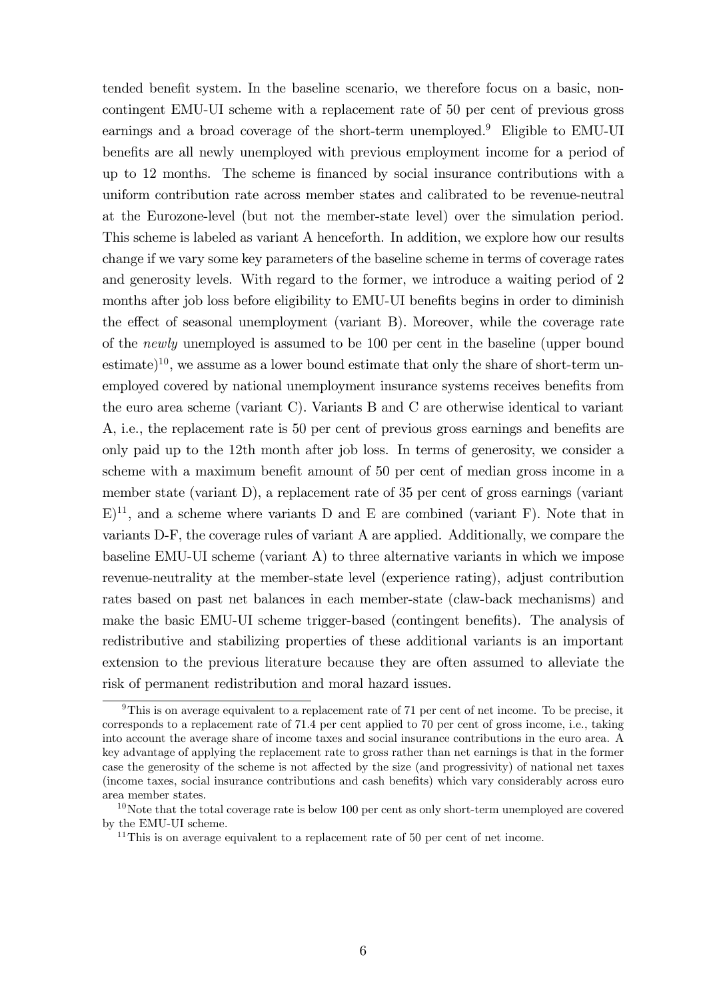tended benefit system. In the baseline scenario, we therefore focus on a basic, noncontingent EMU-UI scheme with a replacement rate of 50 per cent of previous gross earnings and a broad coverage of the short-term unemployed.<sup>9</sup> Eligible to EMU-UI benefits are all newly unemployed with previous employment income for a period of up to 12 months. The scheme is Önanced by social insurance contributions with a uniform contribution rate across member states and calibrated to be revenue-neutral at the Eurozone-level (but not the member-state level) over the simulation period. This scheme is labeled as variant A henceforth. In addition, we explore how our results change if we vary some key parameters of the baseline scheme in terms of coverage rates and generosity levels. With regard to the former, we introduce a waiting period of 2 months after job loss before eligibility to EMU-UI benefits begins in order to diminish the effect of seasonal unemployment (variant B). Moreover, while the coverage rate of the newly unemployed is assumed to be 100 per cent in the baseline (upper bound estimate)<sup>10</sup>, we assume as a lower bound estimate that only the share of short-term unemployed covered by national unemployment insurance systems receives benefits from the euro area scheme (variant C). Variants B and C are otherwise identical to variant A, i.e., the replacement rate is 50 per cent of previous gross earnings and benefits are only paid up to the 12th month after job loss. In terms of generosity, we consider a scheme with a maximum benefit amount of 50 per cent of median gross income in a member state (variant D), a replacement rate of 35 per cent of gross earnings (variant  $E^{11}$ , and a scheme where variants D and E are combined (variant F). Note that in variants D-F, the coverage rules of variant A are applied. Additionally, we compare the baseline EMU-UI scheme (variant A) to three alternative variants in which we impose revenue-neutrality at the member-state level (experience rating), adjust contribution rates based on past net balances in each member-state (claw-back mechanisms) and make the basic EMU-UI scheme trigger-based (contingent benefits). The analysis of redistributive and stabilizing properties of these additional variants is an important extension to the previous literature because they are often assumed to alleviate the risk of permanent redistribution and moral hazard issues.

<sup>&</sup>lt;sup>9</sup>This is on average equivalent to a replacement rate of 71 per cent of net income. To be precise, it corresponds to a replacement rate of 71.4 per cent applied to 70 per cent of gross income, i.e., taking into account the average share of income taxes and social insurance contributions in the euro area. A key advantage of applying the replacement rate to gross rather than net earnings is that in the former case the generosity of the scheme is not affected by the size (and progressivity) of national net taxes (income taxes, social insurance contributions and cash benefits) which vary considerably across euro area member states.

 $10<sup>10</sup>$  Note that the total coverage rate is below 100 per cent as only short-term unemployed are covered by the EMU-UI scheme.

<sup>&</sup>lt;sup>11</sup>This is on average equivalent to a replacement rate of 50 per cent of net income.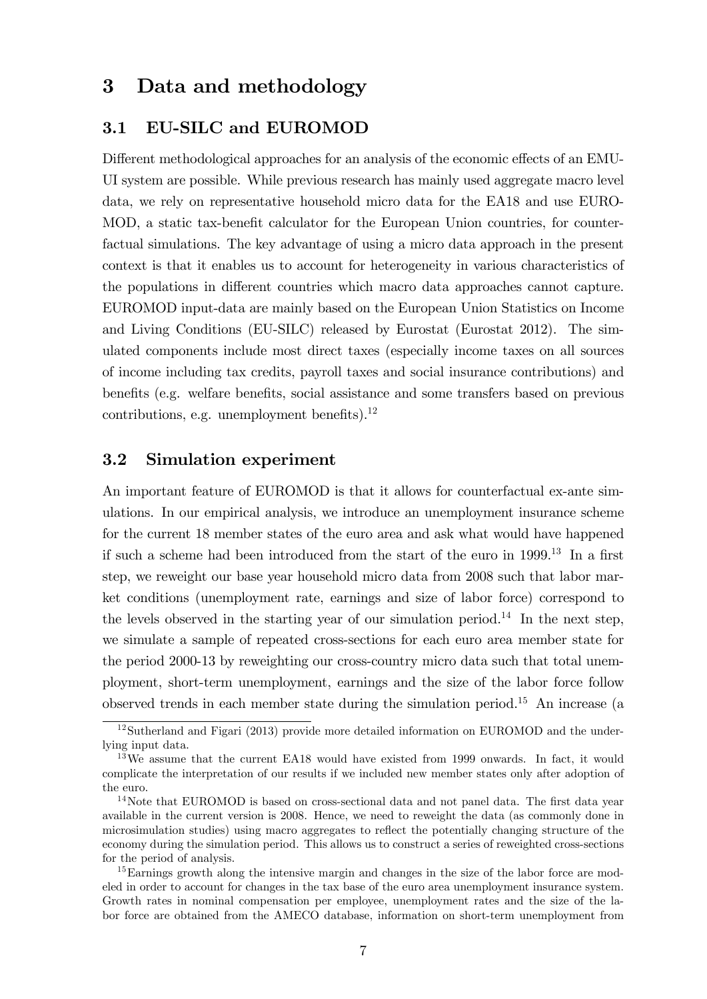## 3 Data and methodology

#### 3.1 EU-SILC and EUROMOD

Different methodological approaches for an analysis of the economic effects of an EMU-UI system are possible. While previous research has mainly used aggregate macro level data, we rely on representative household micro data for the EA18 and use EURO-MOD, a static tax-benefit calculator for the European Union countries, for counterfactual simulations. The key advantage of using a micro data approach in the present context is that it enables us to account for heterogeneity in various characteristics of the populations in different countries which macro data approaches cannot capture. EUROMOD input-data are mainly based on the European Union Statistics on Income and Living Conditions (EU-SILC) released by Eurostat (Eurostat 2012). The simulated components include most direct taxes (especially income taxes on all sources of income including tax credits, payroll taxes and social insurance contributions) and benefits (e.g. welfare benefits, social assistance and some transfers based on previous contributions, e.g. unemployment benefits). $^{12}$ 

#### 3.2 Simulation experiment

An important feature of EUROMOD is that it allows for counterfactual ex-ante simulations. In our empirical analysis, we introduce an unemployment insurance scheme for the current 18 member states of the euro area and ask what would have happened if such a scheme had been introduced from the start of the euro in  $1999^{13}$  In a first step, we reweight our base year household micro data from 2008 such that labor market conditions (unemployment rate, earnings and size of labor force) correspond to the levels observed in the starting year of our simulation period.<sup>14</sup> In the next step, we simulate a sample of repeated cross-sections for each euro area member state for the period 2000-13 by reweighting our cross-country micro data such that total unemployment, short-term unemployment, earnings and the size of the labor force follow observed trends in each member state during the simulation period.<sup>15</sup> An increase (a

<sup>&</sup>lt;sup>12</sup>Sutherland and Figari (2013) provide more detailed information on EUROMOD and the underlying input data.

<sup>&</sup>lt;sup>13</sup>We assume that the current EA18 would have existed from 1999 onwards. In fact, it would complicate the interpretation of our results if we included new member states only after adoption of the euro.

 $14$ Note that EUROMOD is based on cross-sectional data and not panel data. The first data year available in the current version is 2008. Hence, we need to reweight the data (as commonly done in microsimulation studies) using macro aggregates to reflect the potentially changing structure of the economy during the simulation period. This allows us to construct a series of reweighted cross-sections for the period of analysis.

<sup>&</sup>lt;sup>15</sup>Earnings growth along the intensive margin and changes in the size of the labor force are modeled in order to account for changes in the tax base of the euro area unemployment insurance system. Growth rates in nominal compensation per employee, unemployment rates and the size of the labor force are obtained from the AMECO database, information on short-term unemployment from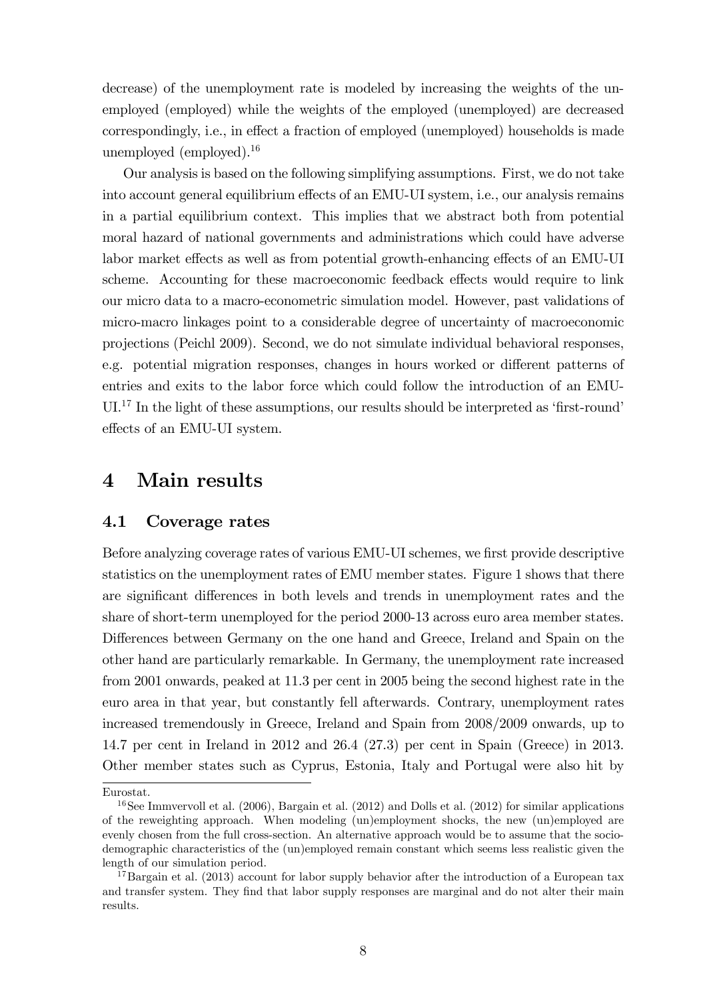decrease) of the unemployment rate is modeled by increasing the weights of the unemployed (employed) while the weights of the employed (unemployed) are decreased  $corresponding  $V<sub>N</sub>$ , i.e., in effect a fraction of employed (unemployed) households is made$ unemployed (employed).<sup>16</sup>

Our analysis is based on the following simplifying assumptions. First, we do not take into account general equilibrium effects of an EMU-UI system, i.e., our analysis remains in a partial equilibrium context. This implies that we abstract both from potential moral hazard of national governments and administrations which could have adverse labor market effects as well as from potential growth-enhancing effects of an EMU-UI scheme. Accounting for these macroeconomic feedback effects would require to link our micro data to a macro-econometric simulation model. However, past validations of micro-macro linkages point to a considerable degree of uncertainty of macroeconomic projections (Peichl 2009). Second, we do not simulate individual behavioral responses, e.g. potential migration responses, changes in hours worked or different patterns of entries and exits to the labor force which could follow the introduction of an EMU- $UL<sup>17</sup>$  In the light of these assumptions, our results should be interpreted as 'first-round' effects of an EMU-UI system.

# 4 Main results

#### 4.1 Coverage rates

Before analyzing coverage rates of various EMU-UI schemes, we first provide descriptive statistics on the unemployment rates of EMU member states. Figure 1 shows that there are significant differences in both levels and trends in unemployment rates and the share of short-term unemployed for the period 2000-13 across euro area member states. Differences between Germany on the one hand and Greece, Ireland and Spain on the other hand are particularly remarkable. In Germany, the unemployment rate increased from 2001 onwards, peaked at 11.3 per cent in 2005 being the second highest rate in the euro area in that year, but constantly fell afterwards. Contrary, unemployment rates increased tremendously in Greece, Ireland and Spain from 2008/2009 onwards, up to 14.7 per cent in Ireland in 2012 and 26.4 (27.3) per cent in Spain (Greece) in 2013. Other member states such as Cyprus, Estonia, Italy and Portugal were also hit by

Eurostat.

<sup>&</sup>lt;sup>16</sup>See Immvervoll et al.  $(2006)$ , Bargain et al.  $(2012)$  and Dolls et al.  $(2012)$  for similar applications of the reweighting approach. When modeling (un)employment shocks, the new (un)employed are evenly chosen from the full cross-section. An alternative approach would be to assume that the sociodemographic characteristics of the (un)employed remain constant which seems less realistic given the length of our simulation period.

<sup>&</sup>lt;sup>17</sup>Bargain et al. (2013) account for labor supply behavior after the introduction of a European tax and transfer system. They find that labor supply responses are marginal and do not alter their main results.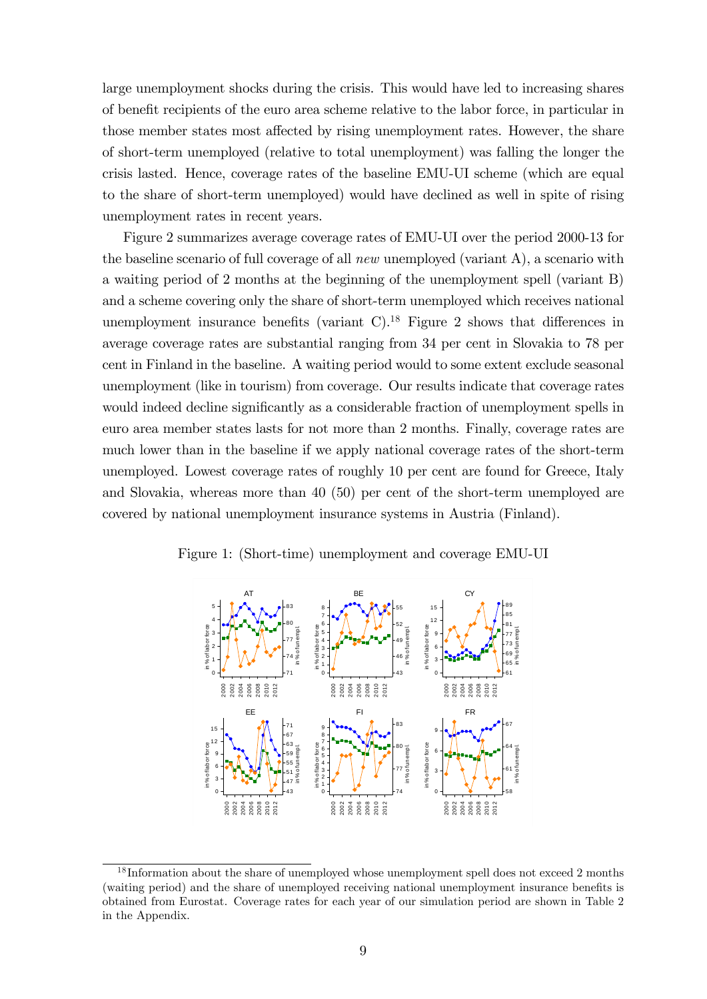large unemployment shocks during the crisis. This would have led to increasing shares of benefit recipients of the euro area scheme relative to the labor force, in particular in those member states most affected by rising unemployment rates. However, the share of short-term unemployed (relative to total unemployment) was falling the longer the crisis lasted. Hence, coverage rates of the baseline EMU-UI scheme (which are equal to the share of short-term unemployed) would have declined as well in spite of rising unemployment rates in recent years.

Figure 2 summarizes average coverage rates of EMU-UI over the period 2000-13 for the baseline scenario of full coverage of all *new* unemployed (variant A), a scenario with a waiting period of 2 months at the beginning of the unemployment spell (variant B) and a scheme covering only the share of short-term unemployed which receives national unemployment insurance benefits (variant  $C$ ).<sup>18</sup> Figure 2 shows that differences in average coverage rates are substantial ranging from 34 per cent in Slovakia to 78 per cent in Finland in the baseline. A waiting period would to some extent exclude seasonal unemployment (like in tourism) from coverage. Our results indicate that coverage rates would indeed decline significantly as a considerable fraction of unemployment spells in euro area member states lasts for not more than 2 months. Finally, coverage rates are much lower than in the baseline if we apply national coverage rates of the short-term unemployed. Lowest coverage rates of roughly 10 per cent are found for Greece, Italy and Slovakia, whereas more than 40 (50) per cent of the short-term unemployed are covered by national unemployment insurance systems in Austria (Finland).





 $18$  Information about the share of unemployed whose unemployment spell does not exceed 2 months (waiting period) and the share of unemployed receiving national unemployment insurance benefits is obtained from Eurostat. Coverage rates for each year of our simulation period are shown in Table 2 in the Appendix.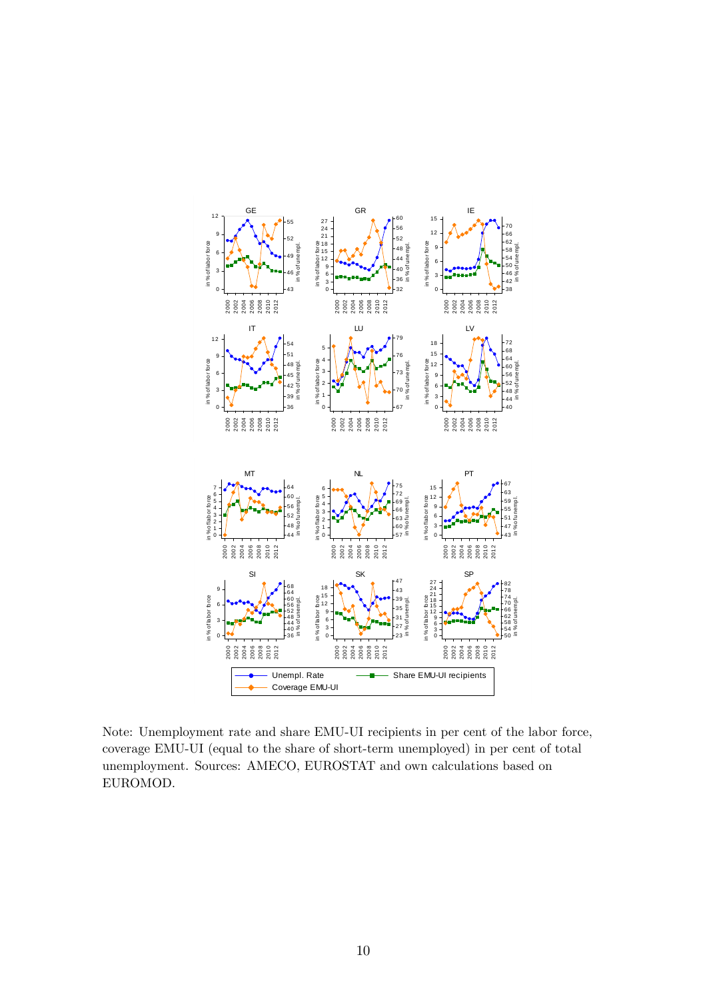

Note: Unemployment rate and share EMU-UI recipients in per cent of the labor force, coverage EMU-UI (equal to the share of short-term unemployed) in per cent of total unemployment. Sources: AMECO, EUROSTAT and own calculations based on EUROMOD.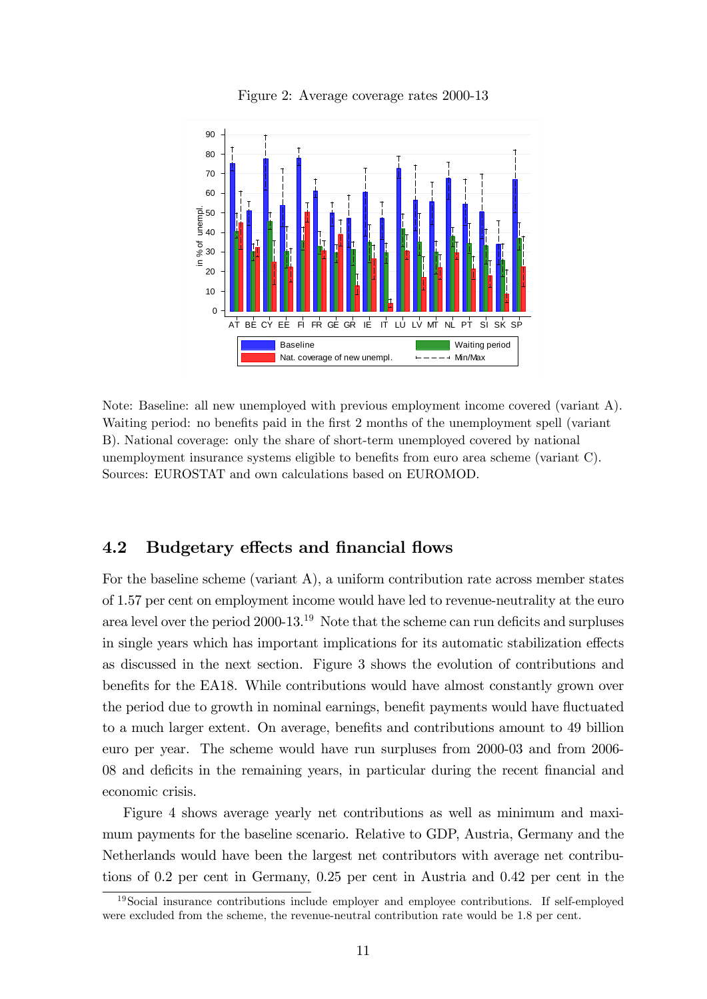

Figure 2: Average coverage rates 2000-13

Note: Baseline: all new unemployed with previous employment income covered (variant A). Waiting period: no benefits paid in the first 2 months of the unemployment spell (variant B). National coverage: only the share of short-term unemployed covered by national unemployment insurance systems eligible to benefits from euro area scheme (variant C). Sources: EUROSTAT and own calculations based on EUROMOD.

#### 4.2 Budgetary effects and financial flows

For the baseline scheme (variant A), a uniform contribution rate across member states of 1.57 per cent on employment income would have led to revenue-neutrality at the euro area level over the period  $2000-13$ .<sup>19</sup> Note that the scheme can run deficits and surpluses in single years which has important implications for its automatic stabilization effects as discussed in the next section. Figure 3 shows the evolution of contributions and benefits for the EA18. While contributions would have almost constantly grown over the period due to growth in nominal earnings, benefit payments would have fluctuated to a much larger extent. On average, benefits and contributions amount to 49 billion euro per year. The scheme would have run surpluses from 2000-03 and from 2006- 08 and deficits in the remaining years, in particular during the recent financial and economic crisis.

Figure 4 shows average yearly net contributions as well as minimum and maximum payments for the baseline scenario. Relative to GDP, Austria, Germany and the Netherlands would have been the largest net contributors with average net contributions of 0.2 per cent in Germany, 0.25 per cent in Austria and 0.42 per cent in the

<sup>&</sup>lt;sup>19</sup>Social insurance contributions include employer and employee contributions. If self-employed were excluded from the scheme, the revenue-neutral contribution rate would be 1.8 per cent.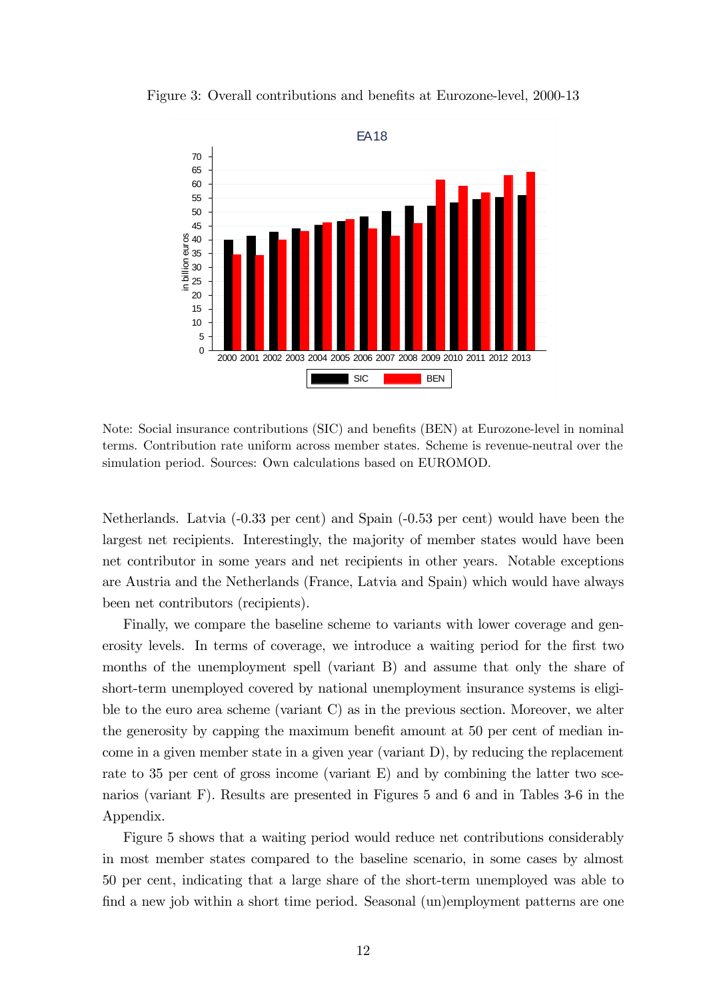

Figure 3: Overall contributions and benefits at Eurozone-level, 2000-13

Note: Social insurance contributions (SIC) and benefits (BEN) at Eurozone-level in nominal terms. Contribution rate uniform across member states. Scheme is revenue-neutral over the simulation period. Sources: Own calculations based on EUROMOD.

Netherlands. Latvia (-0.33 per cent) and Spain (-0.53 per cent) would have been the largest net recipients. Interestingly, the majority of member states would have been net contributor in some years and net recipients in other years. Notable exceptions are Austria and the Netherlands (France, Latvia and Spain) which would have always been net contributors (recipients).

Finally, we compare the baseline scheme to variants with lower coverage and generosity levels. In terms of coverage, we introduce a waiting period for the first two months of the unemployment spell (variant B) and assume that only the share of short-term unemployed covered by national unemployment insurance systems is eligible to the euro area scheme (variant C) as in the previous section. Moreover, we alter the generosity by capping the maximum benefit amount at  $50$  per cent of median income in a given member state in a given year (variant D), by reducing the replacement rate to 35 per cent of gross income (variant E) and by combining the latter two scenarios (variant F). Results are presented in Figures 5 and 6 and in Tables 3-6 in the Appendix.

Figure 5 shows that a waiting period would reduce net contributions considerably in most member states compared to the baseline scenario, in some cases by almost 50 per cent, indicating that a large share of the short-term unemployed was able to find a new job within a short time period. Seasonal (un)employment patterns are one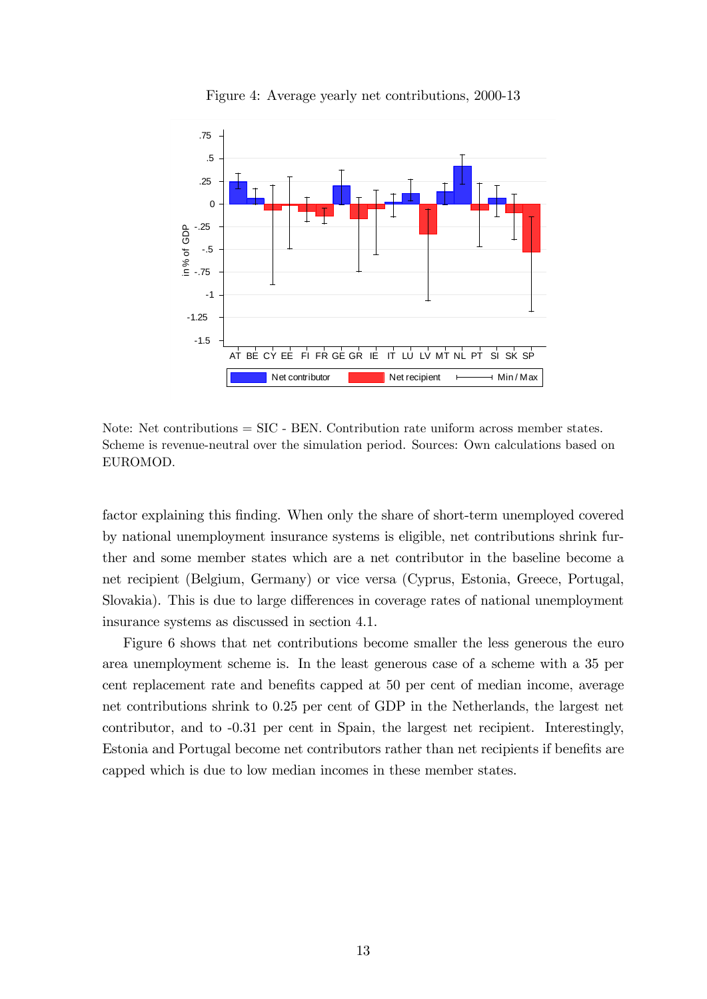

Figure 4: Average yearly net contributions, 2000-13

Note: Net contributions = SIC - BEN. Contribution rate uniform across member states. Scheme is revenue-neutral over the simulation period. Sources: Own calculations based on EUROMOD.

factor explaining this finding. When only the share of short-term unemployed covered by national unemployment insurance systems is eligible, net contributions shrink further and some member states which are a net contributor in the baseline become a net recipient (Belgium, Germany) or vice versa (Cyprus, Estonia, Greece, Portugal, Slovakia). This is due to large differences in coverage rates of national unemployment insurance systems as discussed in section 4.1.

Figure 6 shows that net contributions become smaller the less generous the euro area unemployment scheme is. In the least generous case of a scheme with a 35 per cent replacement rate and benefits capped at 50 per cent of median income, average net contributions shrink to 0.25 per cent of GDP in the Netherlands, the largest net contributor, and to -0.31 per cent in Spain, the largest net recipient. Interestingly, Estonia and Portugal become net contributors rather than net recipients if benefits are capped which is due to low median incomes in these member states.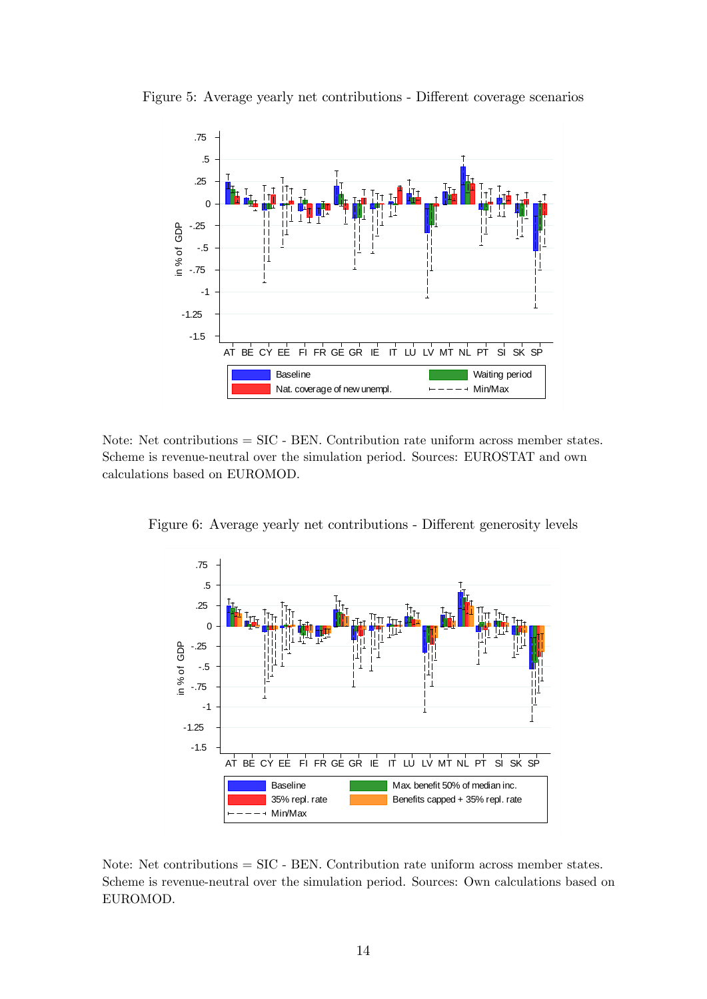

Figure 5: Average yearly net contributions - Different coverage scenarios

Note: Net contributions = SIC - BEN. Contribution rate uniform across member states. Scheme is revenue-neutral over the simulation period. Sources: EUROSTAT and own calculations based on EUROMOD.

.75 .5 .25 0 in % of GDP -.25 in % of GDP -.5 -.75 - 1 -1.25 -1.5 AT BE CY EE FI FR GE GR IE IT LU LV MT NL PT SI SK SP Baseline **Max.** benefit 50% of median inc. 35% repl. rate **Benefits capped + 35% repl. rate** Min/Max

Figure 6: Average yearly net contributions - Different generosity levels

Note: Net contributions = SIC - BEN. Contribution rate uniform across member states. Scheme is revenue-neutral over the simulation period. Sources: Own calculations based on EUROMOD.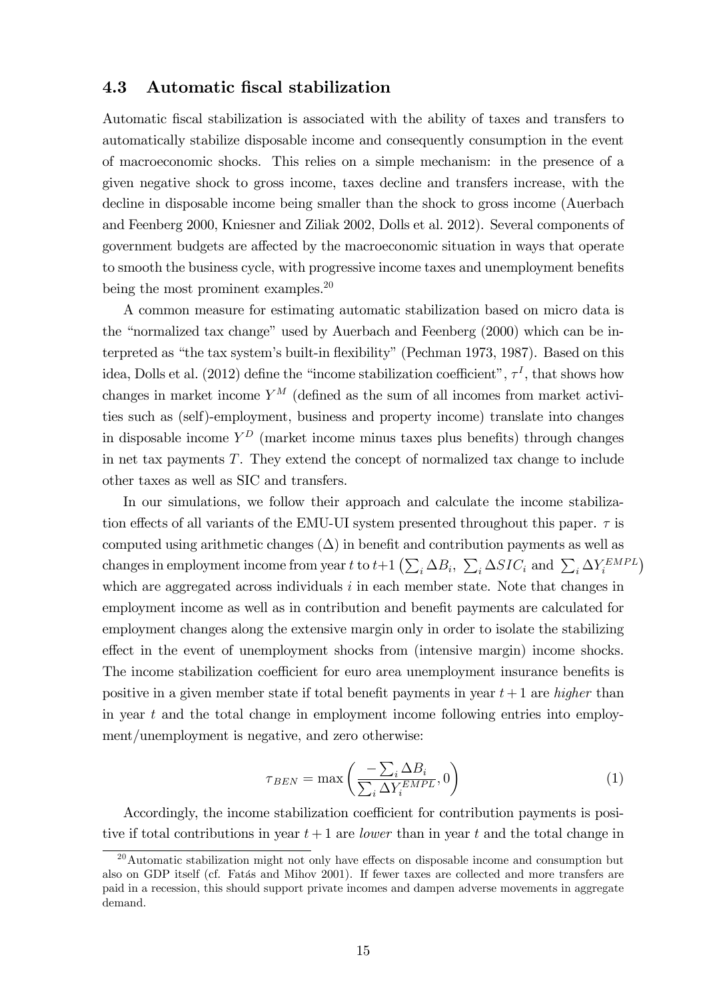#### 4.3 Automatic Öscal stabilization

Automatic Öscal stabilization is associated with the ability of taxes and transfers to automatically stabilize disposable income and consequently consumption in the event of macroeconomic shocks. This relies on a simple mechanism: in the presence of a given negative shock to gross income, taxes decline and transfers increase, with the decline in disposable income being smaller than the shock to gross income (Auerbach and Feenberg 2000, Kniesner and Ziliak 2002, Dolls et al. 2012). Several components of government budgets are affected by the macroeconomic situation in ways that operate to smooth the business cycle, with progressive income taxes and unemployment benefits being the most prominent examples.<sup>20</sup>

A common measure for estimating automatic stabilization based on micro data is the "normalized tax change" used by Auerbach and Feenberg  $(2000)$  which can be interpreted as "the tax system's built-in flexibility" (Pechman 1973, 1987). Based on this idea, Dolls et al. (2012) define the "income stabilization coefficient",  $\tau<sup>I</sup>$ , that shows how changes in market income  $Y^M$  (defined as the sum of all incomes from market activities such as (self)-employment, business and property income) translate into changes in disposable income  $Y^D$  (market income minus taxes plus benefits) through changes in net tax payments T. They extend the concept of normalized tax change to include other taxes as well as SIC and transfers.

In our simulations, we follow their approach and calculate the income stabilization effects of all variants of the EMU-UI system presented throughout this paper.  $\tau$  is computed using arithmetic changes  $(\Delta)$  in benefit and contribution payments as well as changes in employment income from year t to  $t+1\left(\sum_i \Delta B_i, \sum_i \Delta SIC_i \right)$  and  $\sum_i \Delta Y_i^{EMPL}$ which are aggregated across individuals  $i$  in each member state. Note that changes in employment income as well as in contribution and benefit payments are calculated for employment changes along the extensive margin only in order to isolate the stabilizing effect in the event of unemployment shocks from (intensive margin) income shocks. The income stabilization coefficient for euro area unemployment insurance benefits is positive in a given member state if total benefit payments in year  $t+1$  are *higher* than in year t and the total change in employment income following entries into employment/unemployment is negative, and zero otherwise:

$$
\tau_{BEN} = \max\left(\frac{-\sum_{i} \Delta B_i}{\sum_{i} \Delta Y_i^{EMPL}}, 0\right) \tag{1}
$$

Accordingly, the income stabilization coefficient for contribution payments is positive if total contributions in year  $t + 1$  are *lower* than in year t and the total change in

 $20$ Automatic stabilization might not only have effects on disposable income and consumption but also on GDP itself (cf. Fatás and Mihov 2001). If fewer taxes are collected and more transfers are paid in a recession, this should support private incomes and dampen adverse movements in aggregate demand.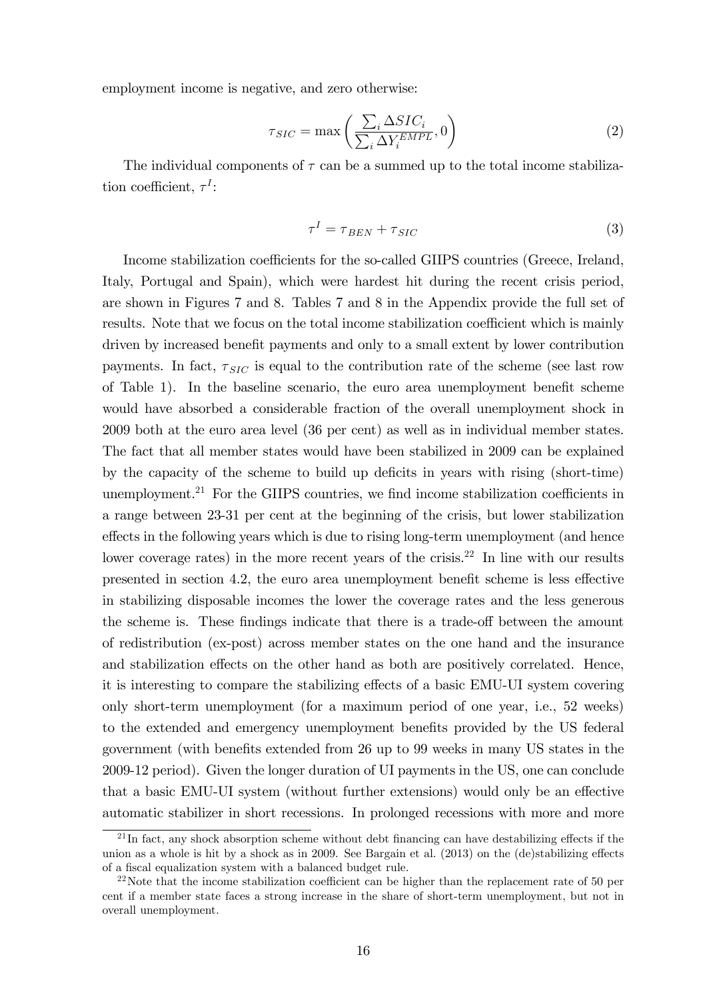employment income is negative, and zero otherwise:

$$
\tau_{SIC} = \max\left(\frac{\sum_{i} \Delta SIC_i}{\sum_{i} \Delta Y_i^{EMPL}}, 0\right) \tag{2}
$$

The individual components of  $\tau$  can be a summed up to the total income stabilization coefficient,  $\tau^I$ :

$$
\tau^I = \tau_{BEN} + \tau_{SIC} \tag{3}
$$

Income stabilization coefficients for the so-called GIIPS countries (Greece, Ireland, Italy, Portugal and Spain), which were hardest hit during the recent crisis period, are shown in Figures 7 and 8. Tables 7 and 8 in the Appendix provide the full set of results. Note that we focus on the total income stabilization coefficient which is mainly driven by increased benefit payments and only to a small extent by lower contribution payments. In fact,  $\tau_{SIC}$  is equal to the contribution rate of the scheme (see last row of Table 1). In the baseline scenario, the euro area unemployment benefit scheme would have absorbed a considerable fraction of the overall unemployment shock in 2009 both at the euro area level (36 per cent) as well as in individual member states. The fact that all member states would have been stabilized in 2009 can be explained by the capacity of the scheme to build up deficits in years with rising (short-time) unemployment.<sup>21</sup> For the GIIPS countries, we find income stabilization coefficients in a range between 23-31 per cent at the beginning of the crisis, but lower stabilization effects in the following years which is due to rising long-term unemployment (and hence lower coverage rates) in the more recent years of the crisis.<sup>22</sup> In line with our results presented in section 4.2, the euro area unemployment benefit scheme is less effective in stabilizing disposable incomes the lower the coverage rates and the less generous the scheme is. These findings indicate that there is a trade-off between the amount of redistribution (ex-post) across member states on the one hand and the insurance and stabilization effects on the other hand as both are positively correlated. Hence, it is interesting to compare the stabilizing effects of a basic EMU-UI system covering only short-term unemployment (for a maximum period of one year, i.e., 52 weeks) to the extended and emergency unemployment benefits provided by the US federal government (with benefits extended from 26 up to 99 weeks in many US states in the 2009-12 period). Given the longer duration of UI payments in the US, one can conclude that a basic EMU-UI system (without further extensions) would only be an effective automatic stabilizer in short recessions. In prolonged recessions with more and more

 $^{21}$ In fact, any shock absorption scheme without debt financing can have destabilizing effects if the union as a whole is hit by a shock as in 2009. See Bargain et al.  $(2013)$  on the  $(de)$ stabilizing effects of a fiscal equalization system with a balanced budget rule.

<sup>&</sup>lt;sup>22</sup>Note that the income stabilization coefficient can be higher than the replacement rate of 50 per cent if a member state faces a strong increase in the share of short-term unemployment, but not in overall unemployment.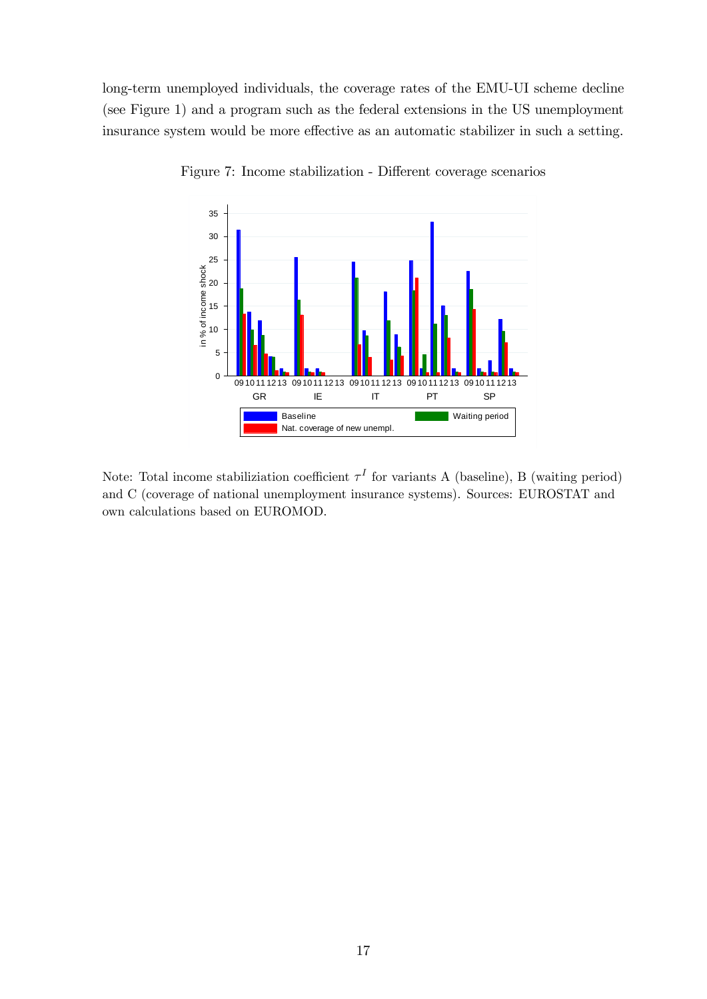long-term unemployed individuals, the coverage rates of the EMU-UI scheme decline (see Figure 1) and a program such as the federal extensions in the US unemployment insurance system would be more effective as an automatic stabilizer in such a setting.



Figure 7: Income stabilization - Different coverage scenarios

Note: Total income stabiliziation coefficient  $\tau^I$  for variants A (baseline), B (waiting period) and C (coverage of national unemployment insurance systems). Sources: EUROSTAT and own calculations based on EUROMOD.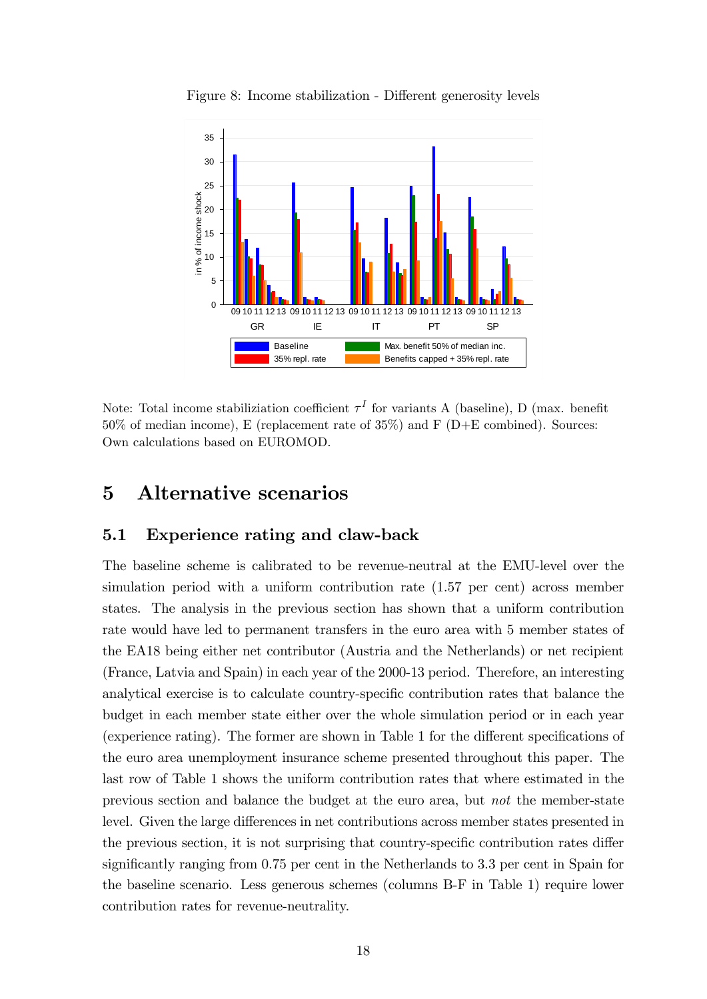

Figure 8: Income stabilization - Different generosity levels

Note: Total income stabiliziation coefficient  $\tau^I$  for variants A (baseline), D (max. benefit  $50\%$  of median income), E (replacement rate of  $35\%$ ) and F (D+E combined). Sources: Own calculations based on EUROMOD.

# 5 Alternative scenarios

#### 5.1 Experience rating and claw-back

The baseline scheme is calibrated to be revenue-neutral at the EMU-level over the simulation period with a uniform contribution rate (1.57 per cent) across member states. The analysis in the previous section has shown that a uniform contribution rate would have led to permanent transfers in the euro area with 5 member states of the EA18 being either net contributor (Austria and the Netherlands) or net recipient (France, Latvia and Spain) in each year of the 2000-13 period. Therefore, an interesting analytical exercise is to calculate country-specific contribution rates that balance the budget in each member state either over the whole simulation period or in each year (experience rating). The former are shown in Table 1 for the different specifications of the euro area unemployment insurance scheme presented throughout this paper. The last row of Table 1 shows the uniform contribution rates that where estimated in the previous section and balance the budget at the euro area, but not the member-state level. Given the large differences in net contributions across member states presented in the previous section, it is not surprising that country-specific contribution rates differ significantly ranging from  $0.75$  per cent in the Netherlands to  $3.3$  per cent in Spain for the baseline scenario. Less generous schemes (columns B-F in Table 1) require lower contribution rates for revenue-neutrality.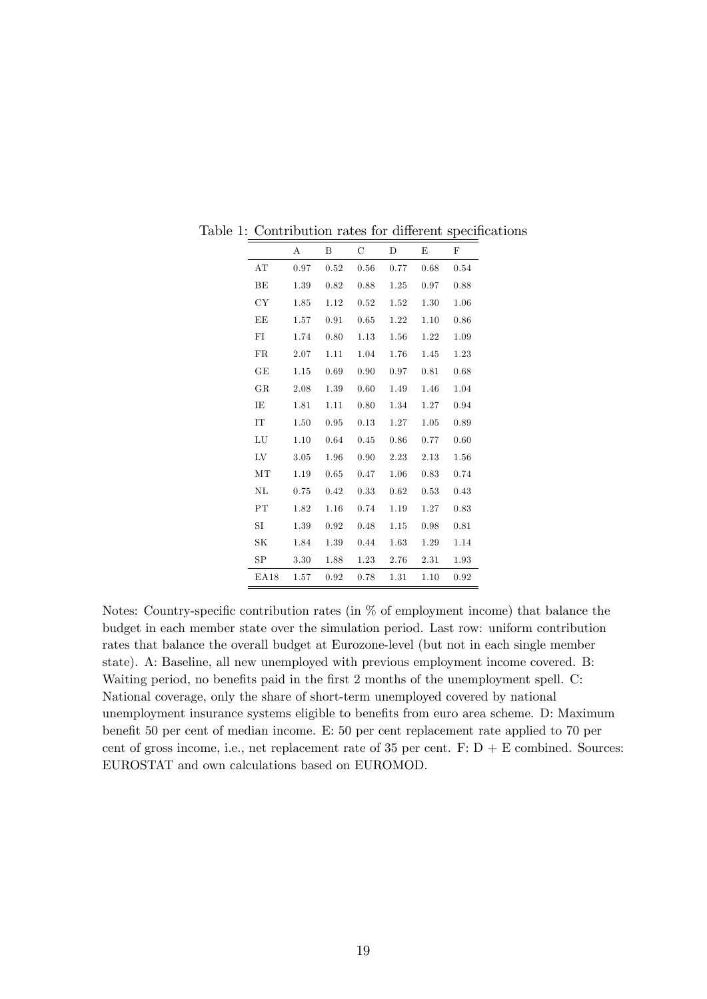|                  | Α    | В    | С    | D    | E    | F    |
|------------------|------|------|------|------|------|------|
| AT               | 0.97 | 0.52 | 0.56 | 0.77 | 0.68 | 0.54 |
| BE               | 1.39 | 0.82 | 0.88 | 1.25 | 0.97 | 0.88 |
| CY               | 1.85 | 1.12 | 0.52 | 1.52 | 1.30 | 1.06 |
| EE               | 1.57 | 0.91 | 0.65 | 1.22 | 1.10 | 0.86 |
| FI               | 1.74 | 0.80 | 1.13 | 1.56 | 1.22 | 1.09 |
| FR               | 2.07 | 1.11 | 1.04 | 1.76 | 1.45 | 1.23 |
| GE               | 1.15 | 0.69 | 0.90 | 0.97 | 0.81 | 0.68 |
| $_{\rm GR}$      | 2.08 | 1.39 | 0.60 | 1.49 | 1.46 | 1.04 |
| ΙE               | 1.81 | 1.11 | 0.80 | 1.34 | 1.27 | 0.94 |
| IT               | 1.50 | 0.95 | 0.13 | 1.27 | 1.05 | 0.89 |
| LU               | 1.10 | 0.64 | 0.45 | 0.86 | 0.77 | 0.60 |
| LV               | 3.05 | 1.96 | 0.90 | 2.23 | 2.13 | 1.56 |
| MT               | 1.19 | 0.65 | 0.47 | 1.06 | 0.83 | 0.74 |
| NL               | 0.75 | 0.42 | 0.33 | 0.62 | 0.53 | 0.43 |
| PT               | 1.82 | 1.16 | 0.74 | 1.19 | 1.27 | 0.83 |
| SI               | 1.39 | 0.92 | 0.48 | 1.15 | 0.98 | 0.81 |
| SK               | 1.84 | 1.39 | 0.44 | 1.63 | 1.29 | 1.14 |
| SP               | 3.30 | 1.88 | 1.23 | 2.76 | 2.31 | 1.93 |
| E <sub>A18</sub> | 1.57 | 0.92 | 0.78 | 1.31 | 1.10 | 0.92 |

Table 1: Contribution rates for different specifications

Notes: Country-specific contribution rates (in  $\%$  of employment income) that balance the budget in each member state over the simulation period. Last row: uniform contribution rates that balance the overall budget at Eurozone-level (but not in each single member state). A: Baseline, all new unemployed with previous employment income covered. B: Waiting period, no benefits paid in the first 2 months of the unemployment spell. C: National coverage, only the share of short-term unemployed covered by national unemployment insurance systems eligible to benefits from euro area scheme. D: Maximum benefit 50 per cent of median income. E: 50 per cent replacement rate applied to 70 per cent of gross income, i.e., net replacement rate of 35 per cent.  $F: D + E$  combined. Sources: EUROSTAT and own calculations based on EUROMOD.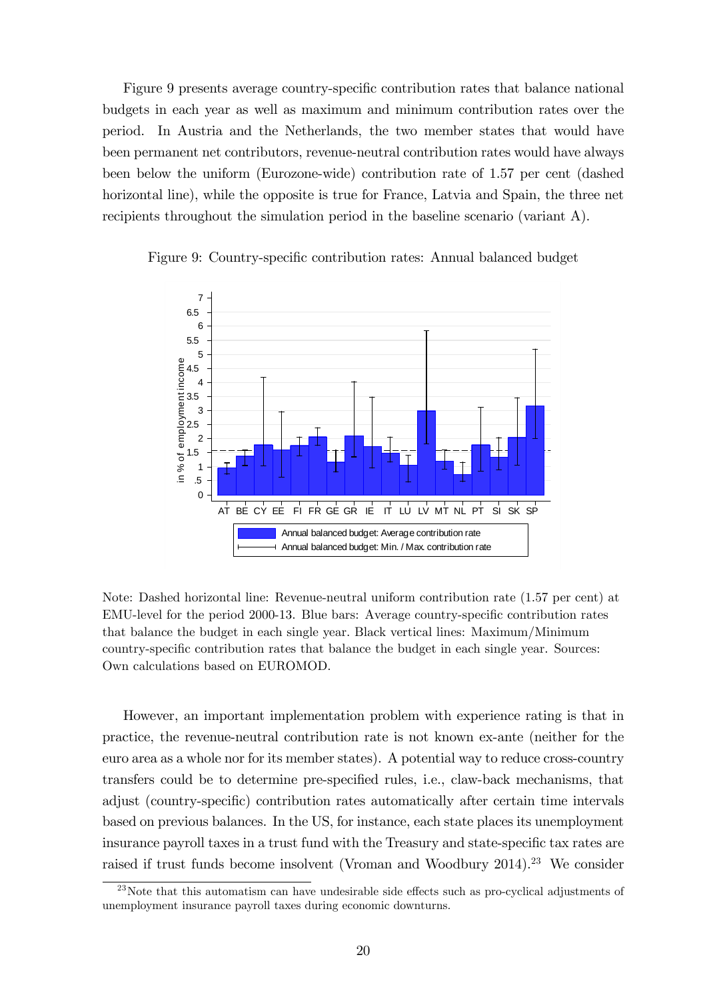Figure 9 presents average country-specific contribution rates that balance national budgets in each year as well as maximum and minimum contribution rates over the period. In Austria and the Netherlands, the two member states that would have been permanent net contributors, revenue-neutral contribution rates would have always been below the uniform (Eurozone-wide) contribution rate of 1.57 per cent (dashed horizontal line), while the opposite is true for France, Latvia and Spain, the three net recipients throughout the simulation period in the baseline scenario (variant A).



Figure 9: Country-specific contribution rates: Annual balanced budget

Note: Dashed horizontal line: Revenue-neutral uniform contribution rate (1.57 per cent) at EMU-level for the period 2000-13. Blue bars: Average country-specific contribution rates that balance the budget in each single year. Black vertical lines: Maximum/Minimum country-specific contribution rates that balance the budget in each single year. Sources: Own calculations based on EUROMOD.

However, an important implementation problem with experience rating is that in practice, the revenue-neutral contribution rate is not known ex-ante (neither for the euro area as a whole nor for its member states). A potential way to reduce cross-country transfers could be to determine pre-specified rules, i.e., claw-back mechanisms, that adjust (country-specific) contribution rates automatically after certain time intervals based on previous balances. In the US, for instance, each state places its unemployment insurance payroll taxes in a trust fund with the Treasury and state-specific tax rates are raised if trust funds become insolvent (Vroman and Woodbury 2014).<sup>23</sup> We consider

 $^{23}$ Note that this automatism can have undesirable side effects such as pro-cyclical adjustments of unemployment insurance payroll taxes during economic downturns.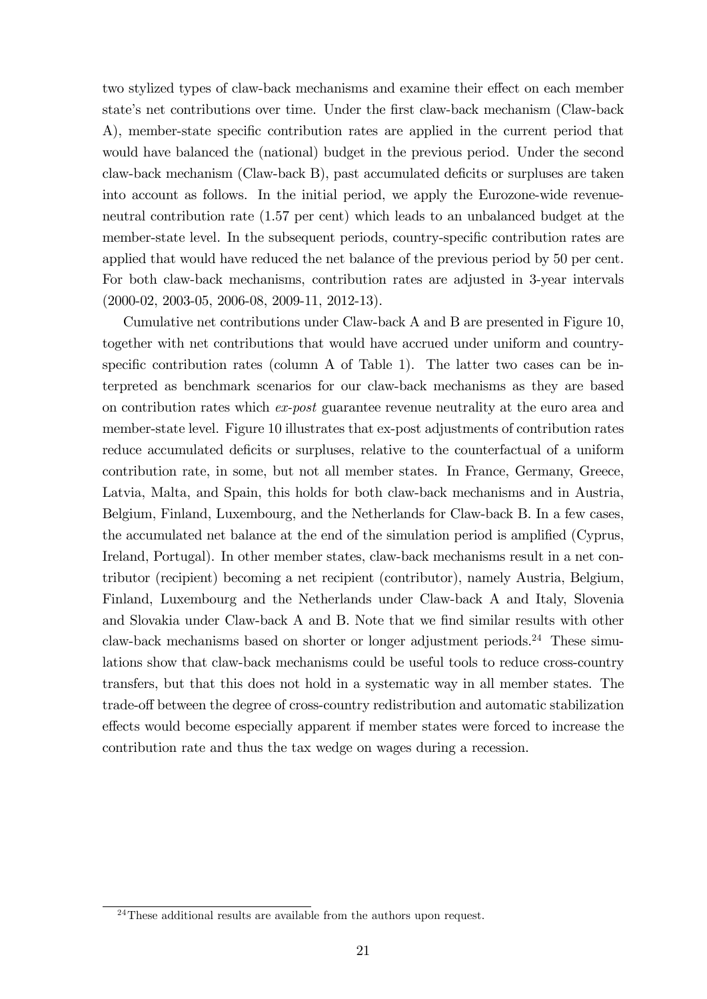two stylized types of claw-back mechanisms and examine their effect on each member state's net contributions over time. Under the first claw-back mechanism (Claw-back A), member-state specific contribution rates are applied in the current period that would have balanced the (national) budget in the previous period. Under the second claw-back mechanism (Claw-back B), past accumulated deficits or surpluses are taken into account as follows. In the initial period, we apply the Eurozone-wide revenueneutral contribution rate (1.57 per cent) which leads to an unbalanced budget at the member-state level. In the subsequent periods, country-specific contribution rates are applied that would have reduced the net balance of the previous period by 50 per cent. For both claw-back mechanisms, contribution rates are adjusted in 3-year intervals (2000-02, 2003-05, 2006-08, 2009-11, 2012-13).

Cumulative net contributions under Claw-back A and B are presented in Figure 10, together with net contributions that would have accrued under uniform and countryspecific contribution rates (column A of Table 1). The latter two cases can be interpreted as benchmark scenarios for our claw-back mechanisms as they are based on contribution rates which ex-post guarantee revenue neutrality at the euro area and member-state level. Figure 10 illustrates that ex-post adjustments of contribution rates reduce accumulated deficits or surpluses, relative to the counterfactual of a uniform contribution rate, in some, but not all member states. In France, Germany, Greece, Latvia, Malta, and Spain, this holds for both claw-back mechanisms and in Austria, Belgium, Finland, Luxembourg, and the Netherlands for Claw-back B. In a few cases, the accumulated net balance at the end of the simulation period is amplified (Cyprus, Ireland, Portugal). In other member states, claw-back mechanisms result in a net contributor (recipient) becoming a net recipient (contributor), namely Austria, Belgium, Finland, Luxembourg and the Netherlands under Claw-back A and Italy, Slovenia and Slovakia under Claw-back A and B. Note that we find similar results with other claw-back mechanisms based on shorter or longer adjustment periods.<sup>24</sup> These simulations show that claw-back mechanisms could be useful tools to reduce cross-country transfers, but that this does not hold in a systematic way in all member states. The trade-off between the degree of cross-country redistribution and automatic stabilization effects would become especially apparent if member states were forced to increase the contribution rate and thus the tax wedge on wages during a recession.

 $24$ These additional results are available from the authors upon request.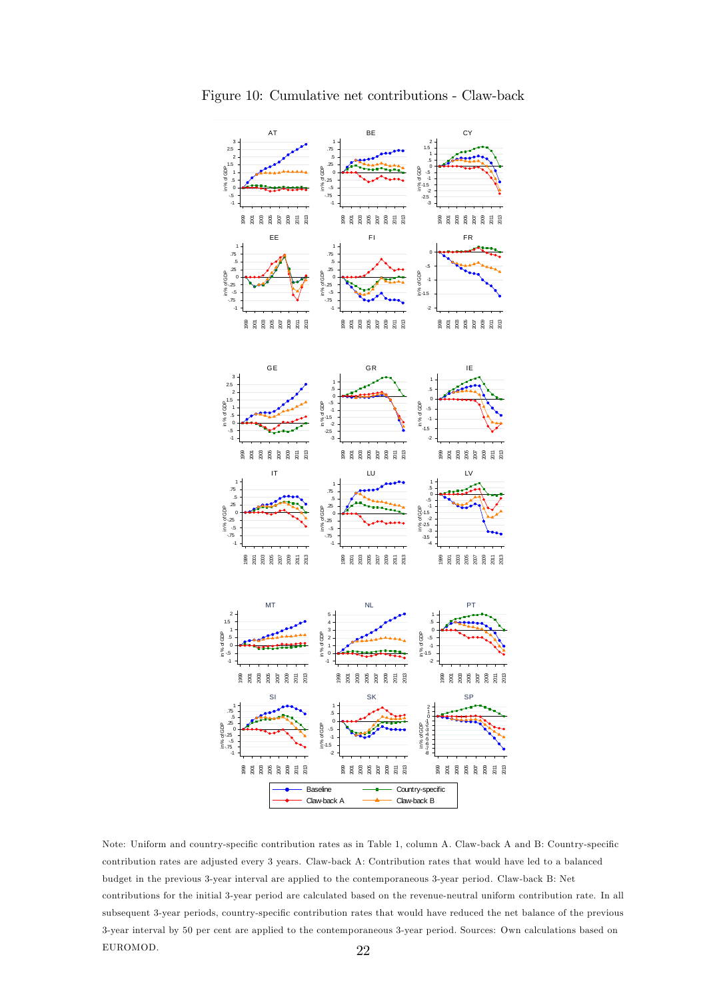

Figure 10: Cumulative net contributions - Claw-back

Note: Uniform and country-specific contribution rates as in Table 1, column A. Claw-back A and B: Country-specific contribution rates are adjusted every 3 years. Claw-back A: Contribution rates that would have led to a balanced budget in the previous 3-year interval are applied to the contemporaneous 3-year period. Claw-back B: Net contributions for the initial 3-year period are calculated based on the revenue-neutral uniform contribution rate. In all subsequent 3-year periods, country-specific contribution rates that would have reduced the net balance of the previous 3-year interval by 50 per cent are applied to the contemporaneous 3-year period. Sources: Own calculations based on EUROMOD. 22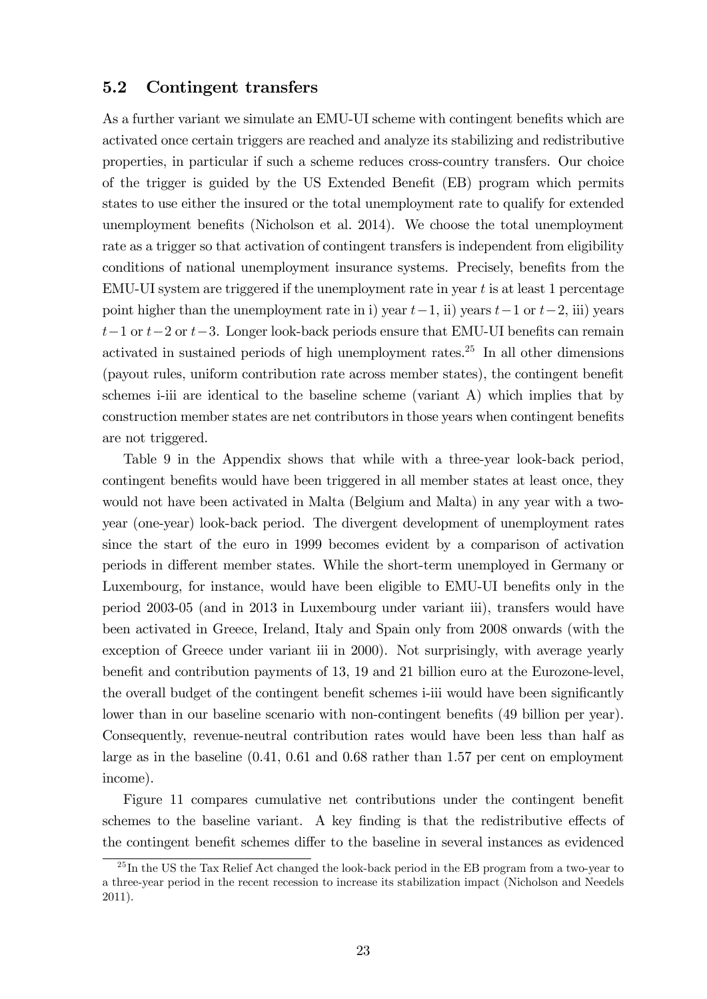#### 5.2 Contingent transfers

As a further variant we simulate an EMU-UI scheme with contingent benefits which are activated once certain triggers are reached and analyze its stabilizing and redistributive properties, in particular if such a scheme reduces cross-country transfers. Our choice of the trigger is guided by the US Extended Benefit (EB) program which permits states to use either the insured or the total unemployment rate to qualify for extended unemployment benefits (Nicholson et al. 2014). We choose the total unemployment rate as a trigger so that activation of contingent transfers is independent from eligibility conditions of national unemployment insurance systems. Precisely, benefits from the EMU-UI system are triggered if the unemployment rate in year  $t$  is at least 1 percentage point higher than the unemployment rate in i) year  $t-1$ , ii) years  $t-1$  or  $t-2$ , iii) years  $t-1$  or  $t-2$  or  $t-3$ . Longer look-back periods ensure that EMU-UI benefits can remain activated in sustained periods of high unemployment rates.<sup>25</sup> In all other dimensions (payout rules, uniform contribution rate across member states), the contingent benefit schemes i-iii are identical to the baseline scheme (variant A) which implies that by construction member states are net contributors in those years when contingent benefits are not triggered.

Table 9 in the Appendix shows that while with a three-year look-back period, contingent benefits would have been triggered in all member states at least once, they would not have been activated in Malta (Belgium and Malta) in any year with a twoyear (one-year) look-back period. The divergent development of unemployment rates since the start of the euro in 1999 becomes evident by a comparison of activation periods in different member states. While the short-term unemployed in Germany or Luxembourg, for instance, would have been eligible to EMU-UI benefits only in the period 2003-05 (and in 2013 in Luxembourg under variant iii), transfers would have been activated in Greece, Ireland, Italy and Spain only from 2008 onwards (with the exception of Greece under variant iii in 2000). Not surprisingly, with average yearly benefit and contribution payments of 13, 19 and 21 billion euro at the Eurozone-level, the overall budget of the contingent benefit schemes i-iii would have been significantly lower than in our baseline scenario with non-contingent benefits (49 billion per year). Consequently, revenue-neutral contribution rates would have been less than half as large as in the baseline (0.41, 0.61 and 0.68 rather than 1.57 per cent on employment income).

Figure 11 compares cumulative net contributions under the contingent benefit schemes to the baseline variant. A key finding is that the redistributive effects of the contingent benefit schemes differ to the baseline in several instances as evidenced

 $^{25}$ In the US the Tax Relief Act changed the look-back period in the EB program from a two-year to a three-year period in the recent recession to increase its stabilization impact (Nicholson and Needels 2011).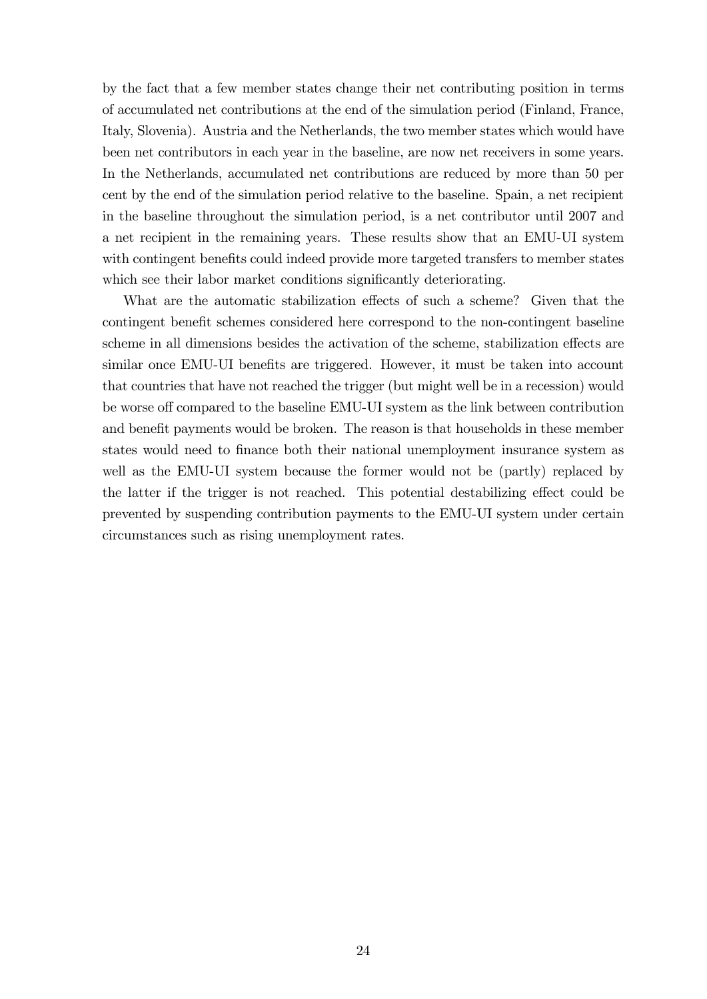by the fact that a few member states change their net contributing position in terms of accumulated net contributions at the end of the simulation period (Finland, France, Italy, Slovenia). Austria and the Netherlands, the two member states which would have been net contributors in each year in the baseline, are now net receivers in some years. In the Netherlands, accumulated net contributions are reduced by more than 50 per cent by the end of the simulation period relative to the baseline. Spain, a net recipient in the baseline throughout the simulation period, is a net contributor until 2007 and a net recipient in the remaining years. These results show that an EMU-UI system with contingent benefits could indeed provide more targeted transfers to member states which see their labor market conditions significantly deteriorating.

What are the automatic stabilization effects of such a scheme? Given that the contingent benefit schemes considered here correspond to the non-contingent baseline scheme in all dimensions besides the activation of the scheme, stabilization effects are similar once EMU-UI benefits are triggered. However, it must be taken into account that countries that have not reached the trigger (but might well be in a recession) would be worse off compared to the baseline EMU-UI system as the link between contribution and benefit payments would be broken. The reason is that households in these member states would need to finance both their national unemployment insurance system as well as the EMU-UI system because the former would not be (partly) replaced by the latter if the trigger is not reached. This potential destabilizing effect could be prevented by suspending contribution payments to the EMU-UI system under certain circumstances such as rising unemployment rates.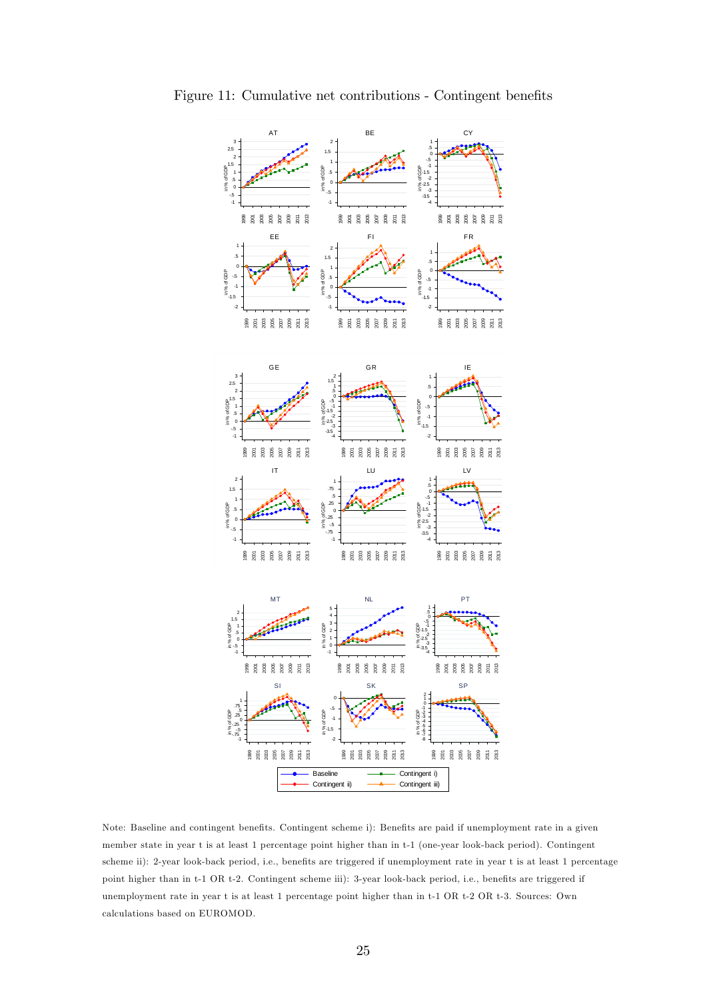

Figure 11: Cumulative net contributions - Contingent benefits

Note: Baseline and contingent benefits. Contingent scheme i): Benefits are paid if unemployment rate in a given member state in year t is at least 1 percentage point higher than in t-1 (one-year look-back period). Contingent scheme ii): 2-year look-back period, i.e., benefits are triggered if unemployment rate in year t is at least 1 percentage point higher than in t-1 OR t-2. Contingent scheme iii): 3-year look-back period, i.e., benefits are triggered if unemployment rate in year t is at least 1 percentage point higher than in t-1 OR t-2 OR t-3. Sources: Own calculations based on EUROMOD.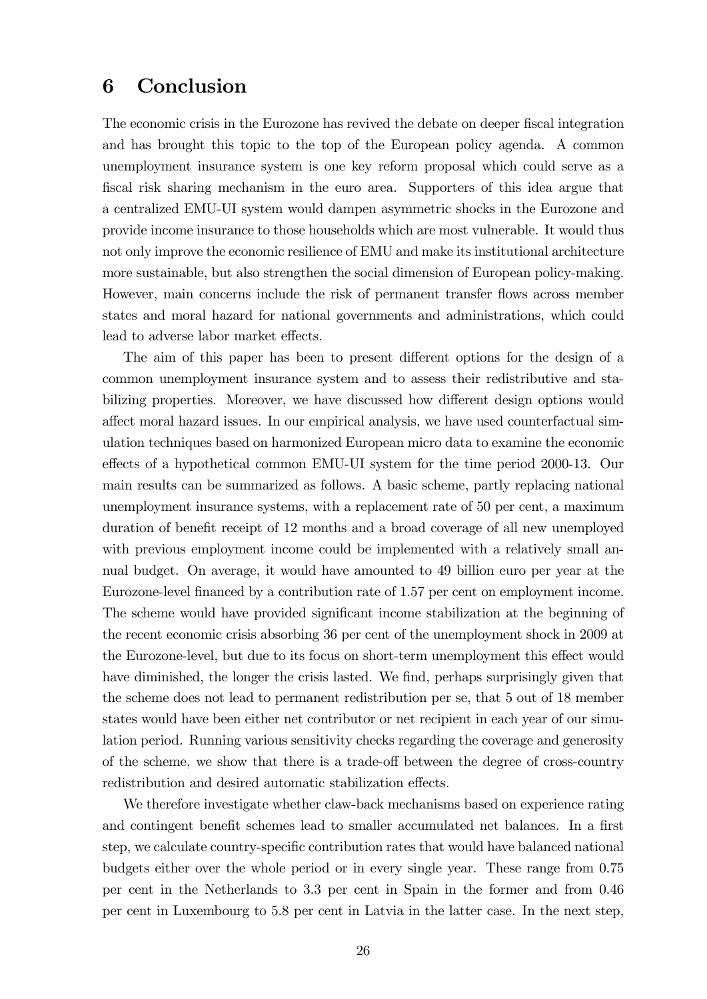### 6 Conclusion

The economic crisis in the Eurozone has revived the debate on deeper fiscal integration and has brought this topic to the top of the European policy agenda. A common unemployment insurance system is one key reform proposal which could serve as a fiscal risk sharing mechanism in the euro area. Supporters of this idea argue that a centralized EMU-UI system would dampen asymmetric shocks in the Eurozone and provide income insurance to those households which are most vulnerable. It would thus not only improve the economic resilience of EMU and make its institutional architecture more sustainable, but also strengthen the social dimension of European policy-making. However, main concerns include the risk of permanent transfer flows across member states and moral hazard for national governments and administrations, which could lead to adverse labor market effects.

The aim of this paper has been to present different options for the design of a common unemployment insurance system and to assess their redistributive and stabilizing properties. Moreover, we have discussed how different design options would affect moral hazard issues. In our empirical analysis, we have used counterfactual simulation techniques based on harmonized European micro data to examine the economic effects of a hypothetical common EMU-UI system for the time period 2000-13. Our main results can be summarized as follows. A basic scheme, partly replacing national unemployment insurance systems, with a replacement rate of 50 per cent, a maximum duration of benefit receipt of 12 months and a broad coverage of all new unemployed with previous employment income could be implemented with a relatively small annual budget. On average, it would have amounted to 49 billion euro per year at the Eurozone-level financed by a contribution rate of 1.57 per cent on employment income. The scheme would have provided significant income stabilization at the beginning of the recent economic crisis absorbing 36 per cent of the unemployment shock in 2009 at the Eurozone-level, but due to its focus on short-term unemployment this effect would have diminished, the longer the crisis lasted. We find, perhaps surprisingly given that the scheme does not lead to permanent redistribution per se, that 5 out of 18 member states would have been either net contributor or net recipient in each year of our simulation period. Running various sensitivity checks regarding the coverage and generosity of the scheme, we show that there is a trade-off between the degree of cross-country redistribution and desired automatic stabilization effects.

We therefore investigate whether claw-back mechanisms based on experience rating and contingent benefit schemes lead to smaller accumulated net balances. In a first step, we calculate country-specific contribution rates that would have balanced national budgets either over the whole period or in every single year. These range from 0.75 per cent in the Netherlands to 3.3 per cent in Spain in the former and from 0.46 per cent in Luxembourg to 5.8 per cent in Latvia in the latter case. In the next step,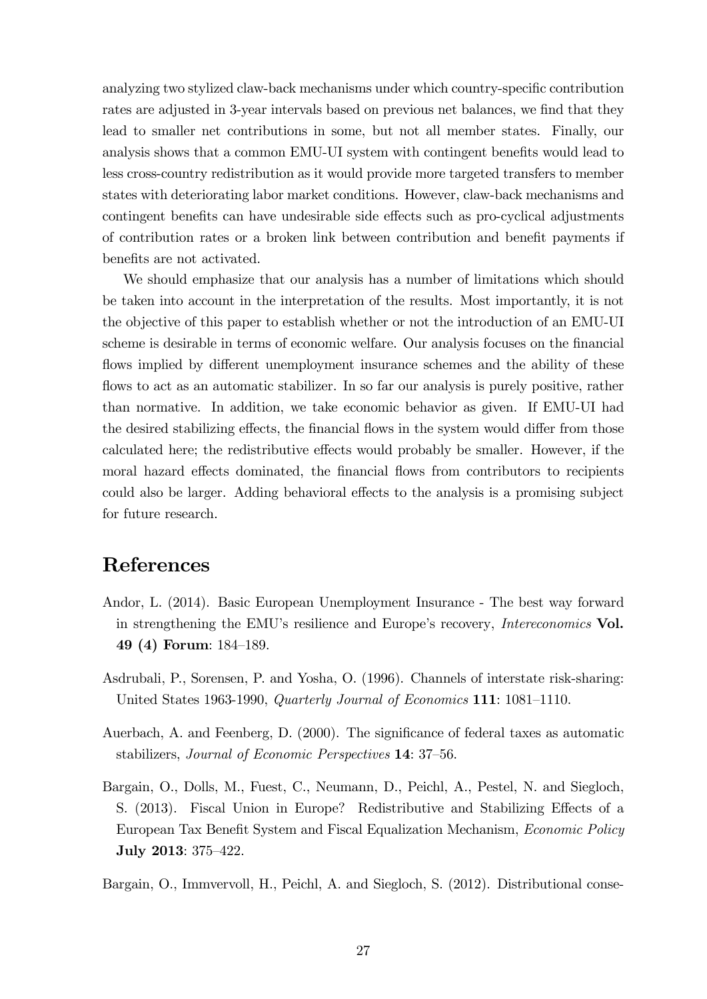analyzing two stylized claw-back mechanisms under which country-specific contribution rates are adjusted in 3-year intervals based on previous net balances, we find that they lead to smaller net contributions in some, but not all member states. Finally, our analysis shows that a common EMU-UI system with contingent benefits would lead to less cross-country redistribution as it would provide more targeted transfers to member states with deteriorating labor market conditions. However, claw-back mechanisms and contingent benefits can have undesirable side effects such as pro-cyclical adjustments of contribution rates or a broken link between contribution and benefit payments if benefits are not activated.

We should emphasize that our analysis has a number of limitations which should be taken into account in the interpretation of the results. Most importantly, it is not the objective of this paper to establish whether or not the introduction of an EMU-UI scheme is desirable in terms of economic welfare. Our analysis focuses on the financial flows implied by different unemployment insurance schemes and the ability of these flows to act as an automatic stabilizer. In so far our analysis is purely positive, rather than normative. In addition, we take economic behavior as given. If EMU-UI had the desired stabilizing effects, the financial flows in the system would differ from those calculated here; the redistributive effects would probably be smaller. However, if the moral hazard effects dominated, the financial flows from contributors to recipients could also be larger. Adding behavioral effects to the analysis is a promising subject for future research.

## References

- Andor, L. (2014). Basic European Unemployment Insurance The best way forward in strengthening the EMU's resilience and Europe's recovery, *Intereconomics* Vol. 49 (4) Forum: 184–189.
- Asdrubali, P., Sorensen, P. and Yosha, O. (1996). Channels of interstate risk-sharing: United States 1963-1990, Quarterly Journal of Economics  $111: 1081-1110$ .
- Auerbach, A. and Feenberg, D. (2000). The significance of federal taxes as automatic stabilizers, Journal of Economic Perspectives 14: 37–56.
- Bargain, O., Dolls, M., Fuest, C., Neumann, D., Peichl, A., Pestel, N. and Siegloch, S. (2013). Fiscal Union in Europe? Redistributive and Stabilizing Effects of a European Tax Benefit System and Fiscal Equalization Mechanism, *Economic Policy* July 2013: 375-422.
- Bargain, O., Immvervoll, H., Peichl, A. and Siegloch, S. (2012). Distributional conse-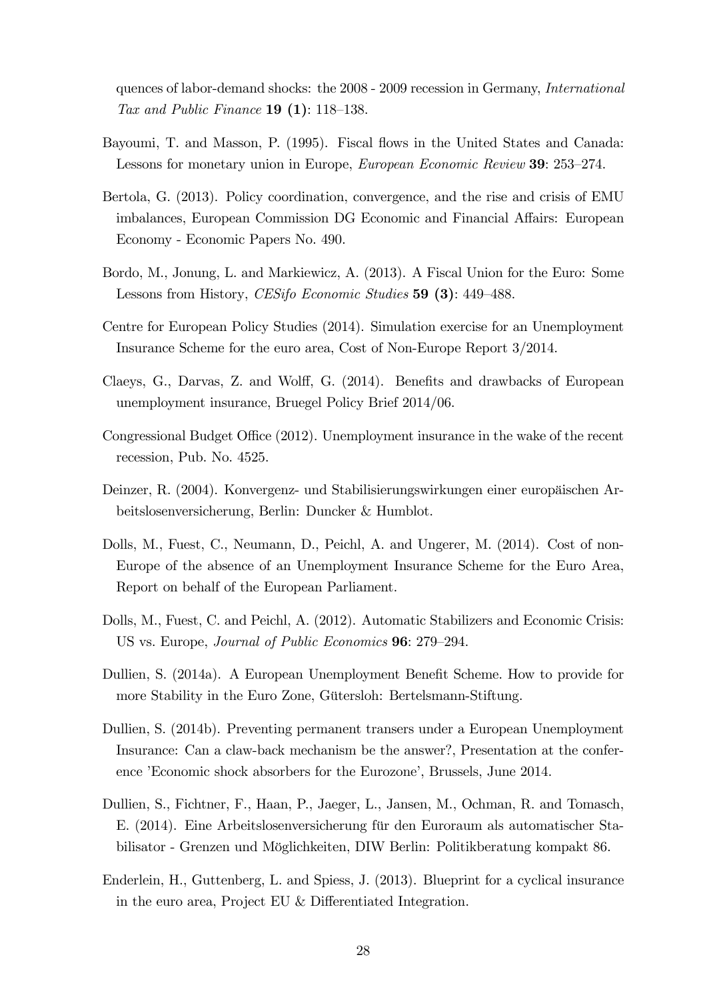quences of labor-demand shocks: the 2008 - 2009 recession in Germany, International Tax and Public Finance  $19(1)$ : 118–138.

- Bayoumi, T. and Masson, P. (1995). Fiscal flows in the United States and Canada: Lessons for monetary union in Europe, *European Economic Review* 39: 253–274.
- Bertola, G. (2013). Policy coordination, convergence, and the rise and crisis of EMU imbalances, European Commission DG Economic and Financial Affairs: European Economy - Economic Papers No. 490.
- Bordo, M., Jonung, L. and Markiewicz, A. (2013). A Fiscal Union for the Euro: Some Lessons from History, CESifo Economic Studies 59 (3): 449-488.
- Centre for European Policy Studies (2014). Simulation exercise for an Unemployment Insurance Scheme for the euro area, Cost of Non-Europe Report 3/2014.
- Claeys, G., Darvas, Z. and Wolff, G. (2014). Benefits and drawbacks of European unemployment insurance, Bruegel Policy Brief 2014/06.
- Congressional Budget Office (2012). Unemployment insurance in the wake of the recent recession, Pub. No. 4525.
- Deinzer, R. (2004). Konvergenz- und Stabilisierungswirkungen einer europäischen Arbeitslosenversicherung, Berlin: Duncker & Humblot.
- Dolls, M., Fuest, C., Neumann, D., Peichl, A. and Ungerer, M. (2014). Cost of non-Europe of the absence of an Unemployment Insurance Scheme for the Euro Area, Report on behalf of the European Parliament.
- Dolls, M., Fuest, C. and Peichl, A. (2012). Automatic Stabilizers and Economic Crisis: US vs. Europe, Journal of Public Economics 96: 279–294.
- Dullien, S. (2014a). A European Unemployment Benefit Scheme. How to provide for more Stability in the Euro Zone, Gütersloh: Bertelsmann-Stiftung.
- Dullien, S. (2014b). Preventing permanent transers under a European Unemployment Insurance: Can a claw-back mechanism be the answer?, Presentation at the conference 'Economic shock absorbers for the Eurozone', Brussels, June 2014.
- Dullien, S., Fichtner, F., Haan, P., Jaeger, L., Jansen, M., Ochman, R. and Tomasch, E. (2014). Eine Arbeitslosenversicherung für den Euroraum als automatischer Stabilisator - Grenzen und Möglichkeiten, DIW Berlin: Politikberatung kompakt 86.
- Enderlein, H., Guttenberg, L. and Spiess, J. (2013). Blueprint for a cyclical insurance in the euro area, Project EU  $&$  Differentiated Integration.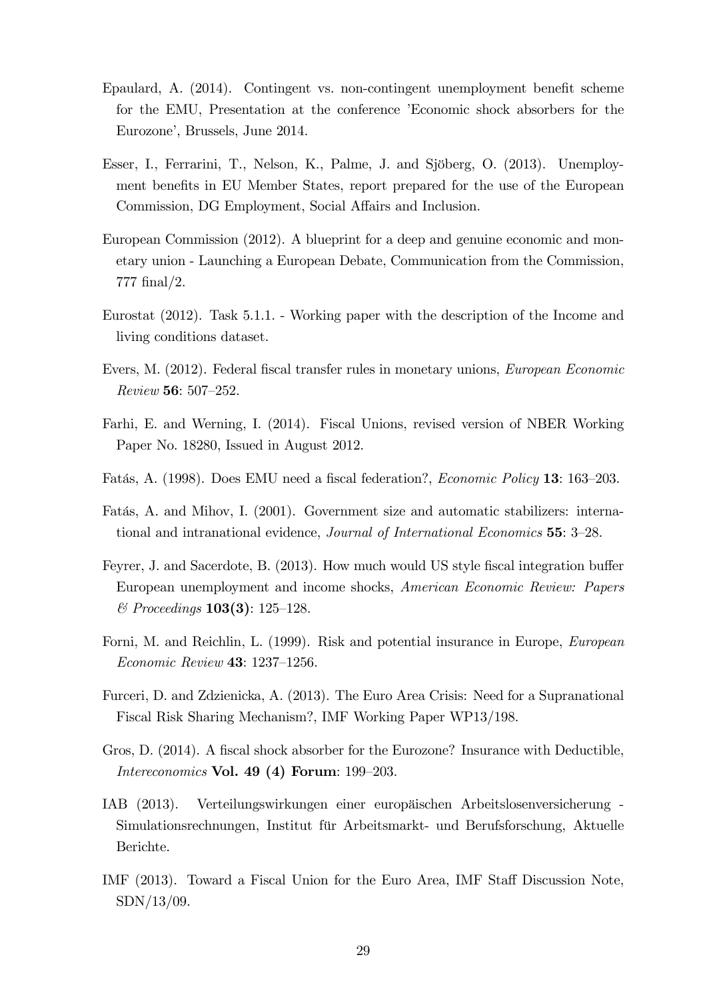- Epaulard, A.  $(2014)$ . Contingent vs. non-contingent unemployment benefit scheme for the EMU, Presentation at the conference 'Economic shock absorbers for the Eurozone', Brussels, June 2014.
- Esser, I., Ferrarini, T., Nelson, K., Palme, J. and Sjöberg, O. (2013). Unemployment benefits in EU Member States, report prepared for the use of the European Commission, DG Employment, Social Affairs and Inclusion.
- European Commission (2012). A blueprint for a deep and genuine economic and monetary union - Launching a European Debate, Communication from the Commission, 777 Önal/2.
- Eurostat (2012). Task 5.1.1. Working paper with the description of the Income and living conditions dataset.
- Evers, M. (2012). Federal fiscal transfer rules in monetary unions, *European Economic*  $Review 56: 507–252.$
- Farhi, E. and Werning, I. (2014). Fiscal Unions, revised version of NBER Working Paper No. 18280, Issued in August 2012.
- Fatás, A. (1998). Does EMU need a fiscal federation?, *Economic Policy* 13: 163–203.
- Fatás, A. and Mihov, I. (2001). Government size and automatic stabilizers: international and intranational evidence, *Journal of International Economics* 55: 3–28.
- Feyrer, J. and Sacerdote, B. (2013). How much would US style fiscal integration buffer European unemployment and income shocks, American Economic Review: Papers  $\&$  Proceedings **103(3)**: 125–128.
- Forni, M. and Reichlin, L. (1999). Risk and potential insurance in Europe, European Economic Review 43:  $1237-1256$ .
- Furceri, D. and Zdzienicka, A. (2013). The Euro Area Crisis: Need for a Supranational Fiscal Risk Sharing Mechanism?, IMF Working Paper WP13/198.
- Gros, D. (2014). A fiscal shock absorber for the Eurozone? Insurance with Deductible, Intereconomics Vol. 49 (4) Forum:  $199-203$ .
- IAB (2013). Verteilungswirkungen einer europ‰ischen Arbeitslosenversicherung Simulationsrechnungen, Institut für Arbeitsmarkt- und Berufsforschung, Aktuelle Berichte.
- IMF (2013). Toward a Fiscal Union for the Euro Area, IMF Staff Discussion Note, SDN/13/09.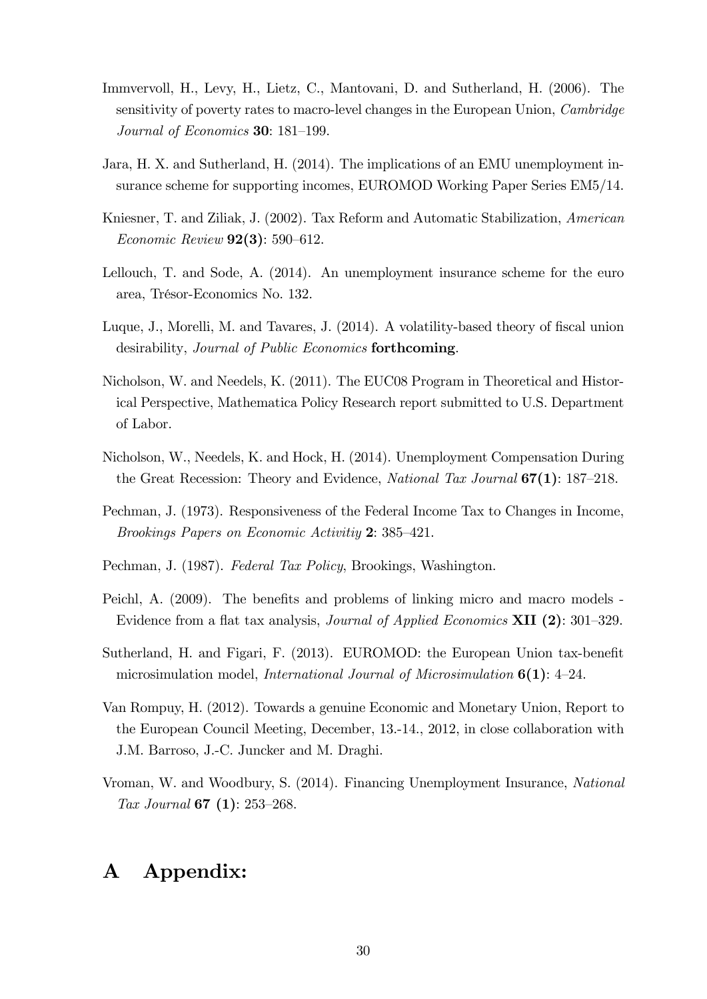- Immvervoll, H., Levy, H., Lietz, C., Mantovani, D. and Sutherland, H. (2006). The sensitivity of poverty rates to macro-level changes in the European Union, Cambridge Journal of Economics  $30: 181-199$ .
- Jara, H. X. and Sutherland, H. (2014). The implications of an EMU unemployment insurance scheme for supporting incomes, EUROMOD Working Paper Series EM5/14.
- Kniesner, T. and Ziliak, J. (2002). Tax Reform and Automatic Stabilization, American Economic Review  $92(3)$ : 590–612.
- Lellouch, T. and Sode, A. (2014). An unemployment insurance scheme for the euro area, TrÈsor-Economics No. 132.
- Luque, J., Morelli, M. and Tavares, J. (2014). A volatility-based theory of fiscal union desirability, Journal of Public Economics forthcoming.
- Nicholson, W. and Needels, K. (2011). The EUC08 Program in Theoretical and Historical Perspective, Mathematica Policy Research report submitted to U.S. Department of Labor.
- Nicholson, W., Needels, K. and Hock, H. (2014). Unemployment Compensation During the Great Recession: Theory and Evidence, National Tax Journal  $67(1)$ : 187–218.
- Pechman, J. (1973). Responsiveness of the Federal Income Tax to Changes in Income, Brookings Papers on Economic Activitiy  $2: 385-421$ .
- Pechman, J. (1987). Federal Tax Policy, Brookings, Washington.
- Peichl, A. (2009). The benefits and problems of linking micro and macro models -Evidence from a flat tax analysis, *Journal of Applied Economics* **XII** (2): 301–329.
- Sutherland, H. and Figari, F. (2013). EUROMOD: the European Union tax-benefit microsimulation model, *International Journal of Microsimulation*  $6(1)$ : 4–24.
- Van Rompuy, H. (2012). Towards a genuine Economic and Monetary Union, Report to the European Council Meeting, December, 13.-14., 2012, in close collaboration with J.M. Barroso, J.-C. Juncker and M. Draghi.
- Vroman, W. and Woodbury, S. (2014). Financing Unemployment Insurance, National Tax Journal 67  $(1)$ : 253–268.

# A Appendix: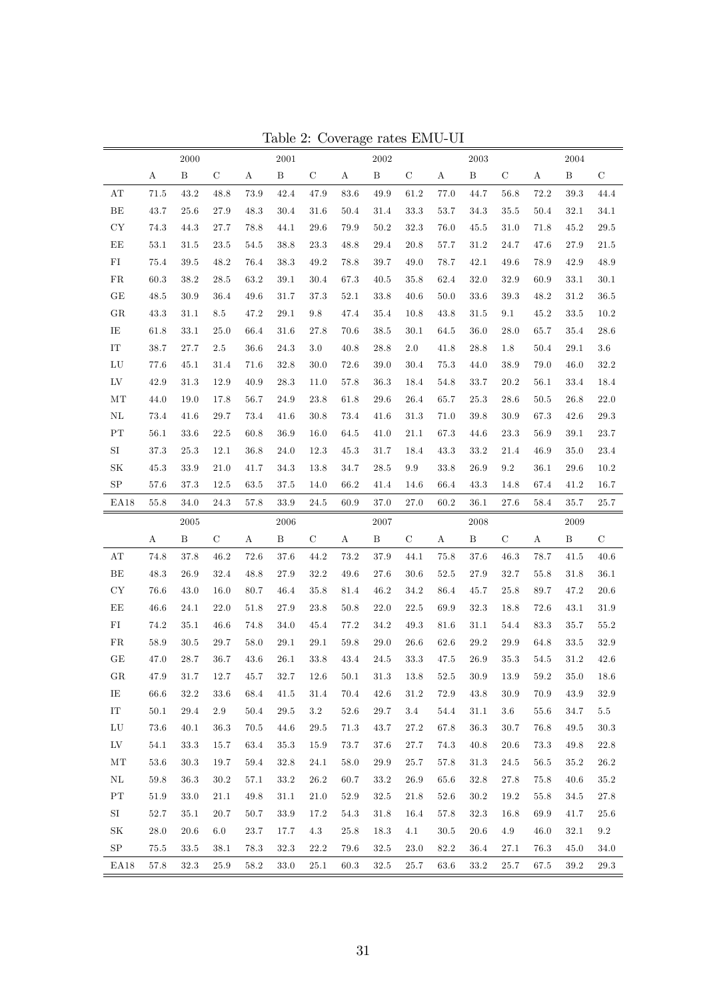|                         |                  | 2000         |                 |          | 2001         |                    |          | 2002         |             |          | 2003         |               |          | 2004         |             |
|-------------------------|------------------|--------------|-----------------|----------|--------------|--------------------|----------|--------------|-------------|----------|--------------|---------------|----------|--------------|-------------|
|                         | $\boldsymbol{A}$ | $\, {\bf B}$ | $\mathbf C$     | $\rm A$  | $\, {\bf B}$ | $\mathbf C$        | $\rm A$  | $\, {\bf B}$ | $\mathbf C$ | $\rm A$  | $\, {\bf B}$ | $\mathbf C$   | $\rm A$  | $\, {\bf B}$ | $\mathbf C$ |
| AT                      | 71.5             | 43.2         | 48.8            | $73.9\,$ | 42.4         | 47.9               | $83.6\,$ | $\rm 49.9$   | 61.2        | $77.0\,$ | 44.7         | 56.8          | 72.2     | 39.3         | 44.4        |
| BE                      | 43.7             | 25.6         | 27.9            | 48.3     | 30.4         | 31.6               | 50.4     | 31.4         | 33.3        | 53.7     | 34.3         | 35.5          | 50.4     | 32.1         | 34.1        |
| ${\rm CY}$              | 74.3             | 44.3         | 27.7            | 78.8     | 44.1         | 29.6               | 79.9     | 50.2         | 32.3        | $76.0\,$ | 45.5         | 31.0          | 71.8     | 45.2         | $29.5\,$    |
| EE                      | 53.1             | 31.5         | 23.5            | 54.5     | 38.8         | 23.3               | 48.8     | 29.4         | 20.8        | 57.7     | 31.2         | 24.7          | 47.6     | 27.9         | 21.5        |
| ${\rm FI}$              | 75.4             | $39.5\,$     | 48.2            | 76.4     | 38.3         | 49.2               | 78.8     | 39.7         | 49.0        | 78.7     | 42.1         | 49.6          | 78.9     | 42.9         | 48.9        |
| FR                      | $60.3\,$         | $38.2\,$     | 28.5            | 63.2     | 39.1         | $30.4\,$           | 67.3     | $40.5\,$     | 35.8        | 62.4     | 32.0         | 32.9          | 60.9     | 33.1         | $30.1\,$    |
| $\operatorname{GE}$     | 48.5             | 30.9         | 36.4            | 49.6     | 31.7         | 37.3               | 52.1     | 33.8         | 40.6        | 50.0     | 33.6         | 39.3          | 48.2     | 31.2         | $36.5\,$    |
| ${\rm GR}$              | 43.3             | 31.1         | $\!\!\!\!\!8.5$ | 47.2     | 29.1         | $\boldsymbol{9.8}$ | 47.4     | 35.4         | 10.8        | 43.8     | 31.5         | 9.1           | 45.2     | 33.5         | 10.2        |
| IE                      | 61.8             | $33.1\,$     | 25.0            | 66.4     | 31.6         | 27.8               | 70.6     | 38.5         | 30.1        | 64.5     | $36.0\,$     | 28.0          | 65.7     | 35.4         | $28.6\,$    |
| $\operatorname{IT}$     | 38.7             | 27.7         | 2.5             | $36.6\,$ | 24.3         | $3.0\,$            | 40.8     | 28.8         | $2.0\,$     | 41.8     | 28.8         | 1.8           | 50.4     | 29.1         | $3.6\,$     |
| ${\rm LU}$              | 77.6             | 45.1         | 31.4            | 71.6     | 32.8         | 30.0               | 72.6     | 39.0         | 30.4        | $75.3\,$ | 44.0         | 38.9          | 79.0     | 46.0         | $32.2\,$    |
| ${\rm LV}$              | 42.9             | 31.3         | 12.9            | 40.9     | 28.3         | 11.0               | 57.8     | 36.3         | 18.4        | $54.8\,$ | 33.7         | 20.2          | 56.1     | 33.4         | 18.4        |
| MT                      | 44.0             | 19.0         | 17.8            | 56.7     | 24.9         | 23.8               | 61.8     | 29.6         | 26.4        | 65.7     | 25.3         | 28.6          | $50.5$   | 26.8         | 22.0        |
| $\rm NL$                | 73.4             | 41.6         | 29.7            | 73.4     | 41.6         | $30.8\,$           | 73.4     | 41.6         | 31.3        | 71.0     | $39.8\,$     | 30.9          | 67.3     | 42.6         | $29.3\,$    |
| $\mathbf{PT}$           | 56.1             | 33.6         | 22.5            | 60.8     | 36.9         | 16.0               | 64.5     | 41.0         | 21.1        | 67.3     | 44.6         | 23.3          | 56.9     | 39.1         | $23.7\,$    |
| $\rm SI$                | $37.3\,$         | 25.3         | 12.1            | $36.8\,$ | 24.0         | 12.3               | 45.3     | 31.7         | 18.4        | 43.3     | $33.2\,$     | 21.4          | 46.9     | 35.0         | $23.4\,$    |
| $\rm SK$                | 45.3             | 33.9         | 21.0            | 41.7     | 34.3         | 13.8               | 34.7     | $28.5\,$     | 9.9         | 33.8     | 26.9         | $\ \, 9.2$    | 36.1     | 29.6         | 10.2        |
| ${\rm SP}$              | 57.6             | 37.3         | 12.5            | 63.5     | 37.5         | 14.0               | 66.2     | 41.4         | 14.6        | 66.4     | 43.3         | 14.8          | 67.4     | 41.2         | 16.7        |
| EA18                    | 55.8             | 34.0         | 24.3            | 57.8     | 33.9         | 24.5               | 60.9     | 37.0         | 27.0        | 60.2     | 36.1         | 27.6          | 58.4     | 35.7         | 25.7        |
|                         |                  | 2005         |                 |          | 2006         |                    |          | 2007         |             |          | 2008         |               |          | 2009         |             |
|                         | A                | $\, {\bf B}$ | $\mathbf C$     | $\rm A$  | $\, {\bf B}$ | C                  | A        | $\, {\bf B}$ | $\mathbf C$ | Α        | $\, {\bf B}$ | $\mathcal{C}$ | $\rm A$  | $\, {\bf B}$ | $\mathbf C$ |
| $\mathbf{A} \mathbf{T}$ | 74.8             | 37.8         | 46.2            | 72.6     | 37.6         | 44.2               | 73.2     | $37.9\,$     | 44.1        | $75.8\,$ | 37.6         | 46.3          | 78.7     | 41.5         | 40.6        |
| BE                      | 48.3             | 26.9         | 32.4            | 48.8     | 27.9         | 32.2               | 49.6     | 27.6         | 30.6        | 52.5     | 27.9         | 32.7          | 55.8     | 31.8         | 36.1        |
| ${\rm CY}$              | 76.6             | 43.0         | 16.0            | 80.7     | 46.4         | 35.8               | 81.4     | 46.2         | 34.2        | 86.4     | 45.7         | 25.8          | 89.7     | 47.2         | $20.6\,$    |
| EE                      | 46.6             | $24.1\,$     | 22.0            | 51.8     | 27.9         | $23.8\,$           | 50.8     | $22.0\,$     | $22.5\,$    | 69.9     | $32.3\,$     | 18.8          | 72.6     | 43.1         | $31.9\,$    |
| FI                      | 74.2             | 35.1         | 46.6            | 74.8     | 34.0         | 45.4               | 77.2     | 34.2         | 49.3        | 81.6     | 31.1         | 54.4          | 83.3     | 35.7         | 55.2        |
| FR                      | 58.9             | $30.5\,$     | 29.7            | 58.0     | 29.1         | $29.1\,$           | $59.8\,$ | 29.0         | 26.6        | 62.6     | $29.2\,$     | 29.9          | 64.8     | 33.5         | $32.9\,$    |
| GE                      | 47.0             | 28.7         | 36.7            | 43.6     | 26.1         | 33.8               | 43.4     | 24.5         | $33.3\,$    | 47.5     | 26.9         | 35.3          | $54.5\,$ | 31.2         | $42.6\,$    |
| $_{\rm GR}$             | 47.9             | 31.7         | 12.7            | 45.7     | 32.7         | 12.6               | 50.1     | $31.3\,$     | $13.8\,$    | 52.5     | $30.9\,$     | $13.9\,$      | 59.2     | 35.0         | 18.6        |
| IE                      | 66.6             | 32.2         | 33.6            | 68.4     | 41.5         | 31.4               | 70.4     | 42.6         | 31.2        | 72.9     | 43.8         | 30.9          | 70.9     | 43.9         | 32.9        |
| ${\rm IT}$              | 50.1             | 29.4         | $2.9\,$         | 50.4     | 29.5         | $3.2\,$            | $52.6\,$ | 29.7         | 3.4         | 54.4     | 31.1         | $3.6\,$       | 55.6     | 34.7         | $5.5\,$     |
| ${\rm LU}$              | 73.6             | 40.1         | 36.3            | 70.5     | 44.6         | $29.5\,$           | 71.3     | 43.7         | 27.2        | 67.8     | $36.3\,$     | 30.7          | 76.8     | 49.5         | $30.3\,$    |
| $L_{\rm V}$             | 54.1             | 33.3         | 15.7            | 63.4     | 35.3         | 15.9               | 73.7     | 37.6         | 27.7        | 74.3     | 40.8         | 20.6          | 73.3     | 49.8         | $22.8\,$    |
| $\rm{MT}$               | 53.6             | 30.3         | 19.7            | 59.4     | 32.8         | 24.1               | 58.0     | 29.9         | 25.7        | 57.8     | 31.3         | 24.5          | 56.5     | 35.2         | 26.2        |
| $\rm NL$                | 59.8             | $36.3\,$     | 30.2            | 57.1     | 33.2         | $26.2\,$           | 60.7     | 33.2         | 26.9        | 65.6     | 32.8         | 27.8          | 75.8     | 40.6         | 35.2        |
| ${\rm PT}$              | 51.9             | 33.0         | 21.1            | 49.8     | 31.1         | $21.0\,$           | 52.9     | 32.5         | 21.8        | 52.6     | 30.2         | 19.2          | 55.8     | 34.5         | $27.8\,$    |
| SI                      | 52.7             | 35.1         | 20.7            | 50.7     | 33.9         | 17.2               | 54.3     | 31.8         | 16.4        | 57.8     | $32.3\,$     | 16.8          | 69.9     | 41.7         | 25.6        |
| $\rm SK$                | 28.0             | 20.6         | 6.0             | $23.7\,$ | 17.7         | 4.3                | 25.8     | 18.3         | 4.1         | 30.5     | 20.6         | 4.9           | 46.0     | 32.1         | $9.2\,$     |
| ${\rm SP}$              | 75.5             | 33.5         | 38.1            | 78.3     | 32.3         | $22.2\,$           | 79.6     | 32.5         | 23.0        | 82.2     | 36.4         | 27.1          | 76.3     | 45.0         | 34.0        |
| EA18                    | 57.8             | 32.3         | 25.9            | 58.2     | 33.0         | $25.1\,$           | 60.3     | 32.5         | 25.7        | 63.6     | 33.2         | 25.7          | 67.5     | 39.2         | 29.3        |

Table 2: Coverage rates EMU-UI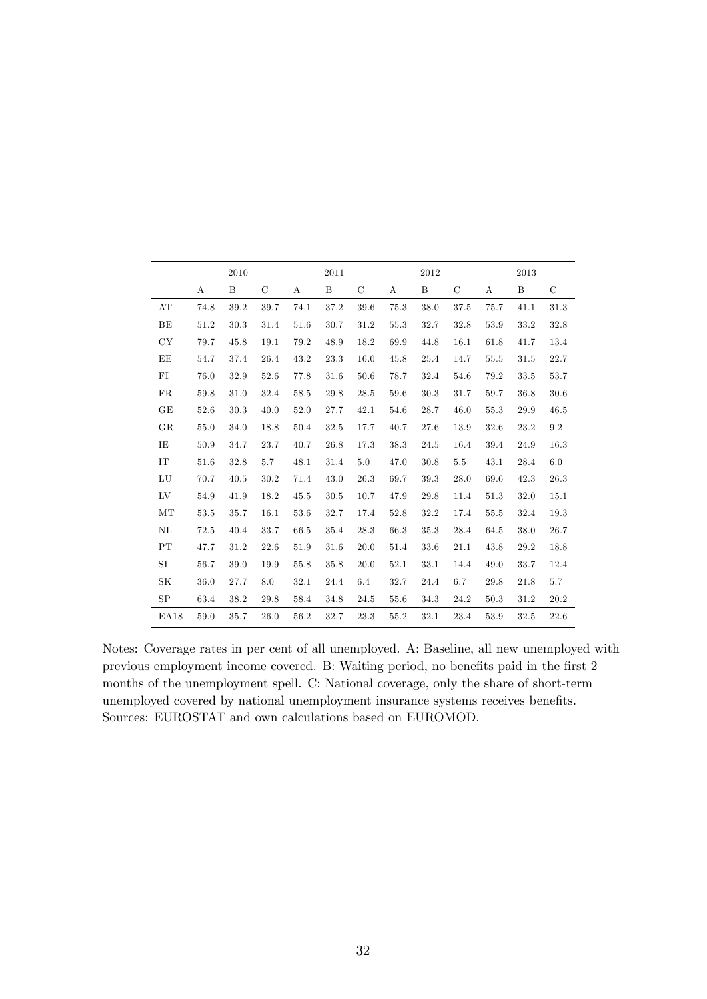|                     |      | 2010 |               |      | 2011 |               |          | 2012 |               |                  | 2013 |               |
|---------------------|------|------|---------------|------|------|---------------|----------|------|---------------|------------------|------|---------------|
|                     | A    | B    | $\mathcal{C}$ | А    | B    | $\mathcal{C}$ | А        | B    | $\mathcal{C}$ | $\boldsymbol{A}$ | B    | $\mathcal{C}$ |
| AT                  | 74.8 | 39.2 | 39.7          | 74.1 | 37.2 | 39.6          | 75.3     | 38.0 | $37.5\,$      | 75.7             | 41.1 | 31.3          |
| BE                  | 51.2 | 30.3 | 31.4          | 51.6 | 30.7 | 31.2          | 55.3     | 32.7 | 32.8          | 53.9             | 33.2 | 32.8          |
| CY                  | 79.7 | 45.8 | 19.1          | 79.2 | 48.9 | 18.2          | 69.9     | 44.8 | 16.1          | 61.8             | 41.7 | 13.4          |
| EE                  | 54.7 | 37.4 | 26.4          | 43.2 | 23.3 | 16.0          | 45.8     | 25.4 | 14.7          | 55.5             | 31.5 | 22.7          |
| FI                  | 76.0 | 32.9 | 52.6          | 77.8 | 31.6 | 50.6          | 78.7     | 32.4 | 54.6          | 79.2             | 33.5 | 53.7          |
| ${\rm FR}$          | 59.8 | 31.0 | 32.4          | 58.5 | 29.8 | 28.5          | 59.6     | 30.3 | 31.7          | 59.7             | 36.8 | 30.6          |
| GE                  | 52.6 | 30.3 | 40.0          | 52.0 | 27.7 | 42.1          | 54.6     | 28.7 | 46.0          | 55.3             | 29.9 | 46.5          |
| GR                  | 55.0 | 34.0 | 18.8          | 50.4 | 32.5 | 17.7          | 40.7     | 27.6 | 13.9          | 32.6             | 23.2 | $\,9.2$       |
| IE                  | 50.9 | 34.7 | 23.7          | 40.7 | 26.8 | 17.3          | 38.3     | 24.5 | 16.4          | 39.4             | 24.9 | 16.3          |
| $\operatorname{IT}$ | 51.6 | 32.8 | 5.7           | 48.1 | 31.4 | 5.0           | 47.0     | 30.8 | $5.5\,$       | 43.1             | 28.4 | 6.0           |
| LU                  | 70.7 | 40.5 | 30.2          | 71.4 | 43.0 | 26.3          | 69.7     | 39.3 | 28.0          | 69.6             | 42.3 | 26.3          |
| LV                  | 54.9 | 41.9 | 18.2          | 45.5 | 30.5 | 10.7          | 47.9     | 29.8 | 11.4          | 51.3             | 32.0 | 15.1          |
| MT                  | 53.5 | 35.7 | 16.1          | 53.6 | 32.7 | 17.4          | 52.8     | 32.2 | 17.4          | 55.5             | 32.4 | 19.3          |
| NL                  | 72.5 | 40.4 | 33.7          | 66.5 | 35.4 | 28.3          | 66.3     | 35.3 | 28.4          | 64.5             | 38.0 | 26.7          |
| PT                  | 47.7 | 31.2 | 22.6          | 51.9 | 31.6 | 20.0          | $51.4\,$ | 33.6 | 21.1          | 43.8             | 29.2 | 18.8          |
| SI                  | 56.7 | 39.0 | 19.9          | 55.8 | 35.8 | 20.0          | 52.1     | 33.1 | 14.4          | 49.0             | 33.7 | 12.4          |
| SK                  | 36.0 | 27.7 | 8.0           | 32.1 | 24.4 | 6.4           | 32.7     | 24.4 | 6.7           | 29.8             | 21.8 | 5.7           |
| SP                  | 63.4 | 38.2 | 29.8          | 58.4 | 34.8 | 24.5          | 55.6     | 34.3 | 24.2          | 50.3             | 31.2 | 20.2          |
| EA18                | 59.0 | 35.7 | 26.0          | 56.2 | 32.7 | 23.3          | 55.2     | 32.1 | 23.4          | 53.9             | 32.5 | 22.6          |

Notes: Coverage rates in per cent of all unemployed. A: Baseline, all new unemployed with previous employment income covered. B: Waiting period, no benefits paid in the first 2 months of the unemployment spell. C: National coverage, only the share of short-term unemployed covered by national unemployment insurance systems receives benefits. Sources: EUROSTAT and own calculations based on EUROMOD.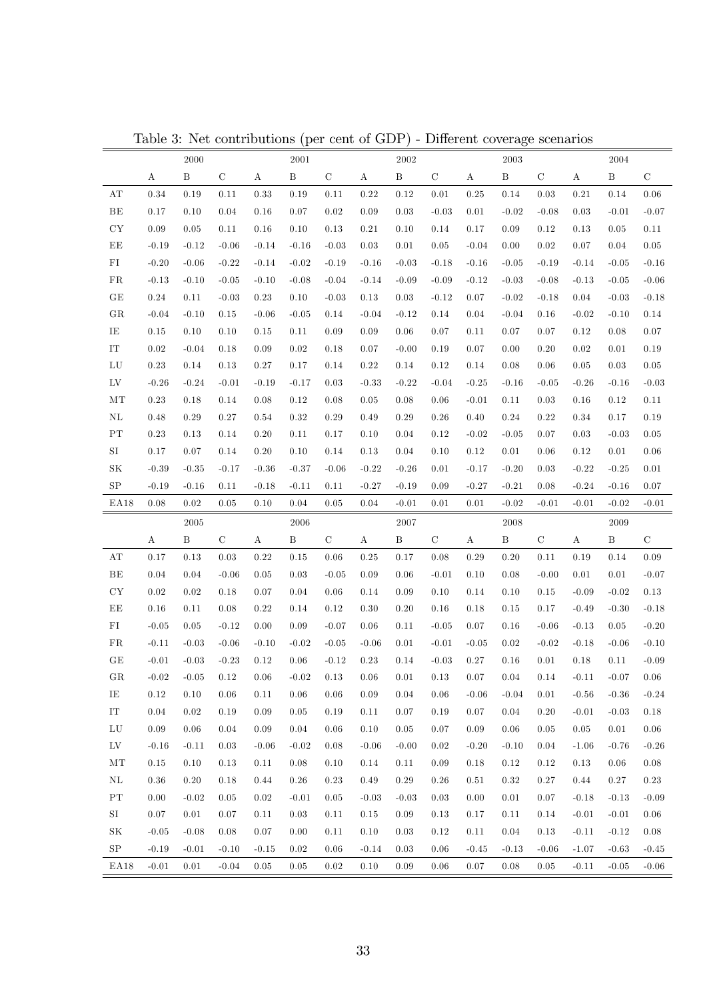|                          |          | 2000         |             |            | $\,2001\,$   |             |          | 2002         |             |                  | $\,2003\,$   |             |                  | $\,2004\,$   |             |
|--------------------------|----------|--------------|-------------|------------|--------------|-------------|----------|--------------|-------------|------------------|--------------|-------------|------------------|--------------|-------------|
|                          | $\rm A$  | $\, {\bf B}$ | $\mathbf C$ | $\rm A$    | $\, {\bf B}$ | $\mathbf C$ | $\rm A$  | $\, {\bf B}$ | $\mathbf C$ | $\rm A$          | $\, {\bf B}$ | $\mathbf C$ | А                | $\, {\bf B}$ | $\mathbf C$ |
| $\mathbf{A} \mathbf{T}$  | 0.34     | 0.19         | 0.11        | 0.33       | 0.19         | 0.11        | 0.22     | 0.12         | 0.01        | 0.25             | 0.14         | 0.03        | 0.21             | 0.14         | 0.06        |
| $\rm BE$                 | 0.17     | 0.10         | 0.04        | 0.16       | 0.07         | 0.02        | 0.09     | 0.03         | $-0.03$     | 0.01             | $-0.02$      | $-0.08$     | 0.03             | $-0.01$      | $-0.07$     |
| CY                       | 0.09     | $\rm 0.05$   | 0.11        | 0.16       | 0.10         | $0.13\,$    | 0.21     | 0.10         | 0.14        | 0.17             | 0.09         | 0.12        | 0.13             | 0.05         | 0.11        |
| ΕE                       | $-0.19$  | $-0.12$      | $-0.06$     | $-0.14$    | $-0.16$      | $-0.03$     | 0.03     | 0.01         | $0.05\,$    | $-0.04$          | 0.00         | 0.02        | 0.07             | 0.04         | $0.05\,$    |
| FI                       | $-0.20$  | $-0.06$      | $-0.22$     | $-0.14$    | $-0.02$      | $-0.19$     | $-0.16$  | $-0.03$      | $-0.18$     | $-0.16$          | $-0.05$      | $-0.19$     | $-0.14$          | $-0.05$      | $-0.16$     |
| ${\rm FR}$               | $-0.13$  | $-0.10$      | $-0.05$     | $-0.10$    | $-0.08$      | $-0.04$     | $-0.14$  | $-0.09$      | $-0.09$     | $-0.12$          | $-0.03$      | $-0.08$     | $-0.13$          | $-0.05$      | $-0.06$     |
| GE                       | $0.24\,$ | 0.11         | $-0.03$     | $0.23\,$   | 0.10         | $-0.03$     | 0.13     | 0.03         | $-0.12$     | 0.07             | $-0.02$      | $-0.18$     | 0.04             | $-0.03$      | $-0.18$     |
| GR                       | $-0.04$  | $-0.10$      | 0.15        | $-0.06$    | $-0.05$      | 0.14        | $-0.04$  | $-0.12$      | 0.14        | 0.04             | $-0.04$      | 0.16        | $-0.02$          | $-0.10$      | 0.14        |
| IE                       | 0.15     | 0.10         | 0.10        | 0.15       | 0.11         | $0.09\,$    | 0.09     | 0.06         | 0.07        | 0.11             | 0.07         | 0.07        | 0.12             | 0.08         | 0.07        |
| $IT$                     | 0.02     | $-0.04$      | 0.18        | 0.09       | 0.02         | 0.18        | 0.07     | $-0.00$      | 0.19        | 0.07             | 0.00         | 0.20        | 0.02             | 0.01         | 0.19        |
| LU                       | 0.23     | 0.14         | 0.13        | 0.27       | 0.17         | 0.14        | 0.22     | 0.14         | 0.12        | 0.14             | 0.08         | 0.06        | 0.05             | 0.03         | $0.05\,$    |
| LV                       | $-0.26$  | $-0.24$      | $-0.01$     | $-0.19$    | $-0.17$      | 0.03        | $-0.33$  | $-0.22$      | $-0.04$     | $-0.25$          | $-0.16$      | $-0.05$     | $-0.26$          | $-0.16$      | $-0.03$     |
| ΜТ                       | $0.23\,$ | 0.18         | 0.14        | 0.08       | 0.12         | 0.08        | 0.05     | 0.08         | 0.06        | $-0.01$          | 0.11         | 0.03        | 0.16             | 0.12         | 0.11        |
| ΝL                       | 0.48     | 0.29         | 0.27        | 0.54       | 0.32         | $0.29\,$    | 0.49     | 0.29         | $0.26\,$    | 0.40             | 0.24         | 0.22        | 0.34             | 0.17         | 0.19        |
| PT                       | 0.23     | 0.13         | 0.14        | 0.20       | 0.11         | 0.17        | 0.10     | 0.04         | 0.12        | $-0.02$          | $-0.05$      | 0.07        | 0.03             | $-0.03$      | 0.05        |
| SI                       | 0.17     | 0.07         | 0.14        | 0.20       | 0.10         | 0.14        | 0.13     | 0.04         | 0.10        | 0.12             | 0.01         | 0.06        | 0.12             | 0.01         | 0.06        |
| $\rm SK$                 | $-0.39$  | $-0.35$      | $-0.17$     | $-0.36$    | $-0.37$      | $-0.06$     | $-0.22$  | $-0.26$      | 0.01        | $-0.17$          | $-0.20$      | 0.03        | $-0.22$          | $-0.25$      | $0.01\,$    |
| ${\rm SP}$               | $-0.19$  | $-0.16$      | 0.11        | $-0.18$    | $-0.11$      | 0.11        | $-0.27$  | $-0.19$      | 0.09        | $-0.27$          | $-0.21$      | 0.08        | $-0.24$          | $-0.16$      | 0.07        |
| EA18                     | 0.08     | $0.02\,$     | 0.05        | 0.10       | 0.04         | 0.05        | 0.04     | $-0.01$      | 0.01        | 0.01             | $-0.02$      | $-0.01$     | $-0.01$          | $-0.02$      | $-0.01$     |
|                          |          |              |             |            |              |             |          |              |             |                  |              |             |                  |              |             |
|                          |          | 2005         |             |            | 2006         |             |          | 2007         |             |                  | 2008         |             |                  | 2009         |             |
|                          | $\rm A$  | B            | $\mathbf C$ | $\rm A$    | $\, {\bf B}$ | $\mathbf C$ | $\rm A$  | $\, {\bf B}$ | $\mathbf C$ | $\boldsymbol{A}$ | $\, {\bf B}$ | $\mathbf C$ | $\boldsymbol{A}$ | $\, {\bf B}$ | $\mathbf C$ |
| AТ                       | 0.17     | 0.13         | 0.03        | 0.22       | 0.15         | 0.06        | 0.25     | 0.17         | 0.08        | 0.29             | 0.20         | 0.11        | 0.19             | 0.14         | 0.09        |
| $\rm BE$                 | 0.04     | 0.04         | $-0.06$     | $\rm 0.05$ | $\rm 0.03$   | $-0.05$     | 0.09     | 0.06         | $-0.01$     | 0.10             | 0.08         | $-0.00$     | 0.01             | 0.01         | $-0.07$     |
| ${\rm CY}$               | 0.02     | 0.02         | 0.18        | 0.07       | 0.04         | $0.06\,$    | 0.14     | 0.09         | 0.10        | 0.14             | 0.10         | 0.15        | $-0.09$          | $-0.02$      | 0.13        |
| ΕE                       | 0.16     | 0.11         | 0.08        | 0.22       | 0.14         | 0.12        | $0.30\,$ | 0.20         | 0.16        | 0.18             | 0.15         | 0.17        | $-0.49$          | $-0.30$      | $-0.18$     |
| FI                       | $-0.05$  | 0.05         | $-0.12$     | 0.00       | 0.09         | $-0.07$     | 0.06     | 0.11         | $-0.05$     | 0.07             | 0.16         | $-0.06$     | $-0.13$          | 0.05         | $-0.20$     |
| FR                       | $-0.11$  | $-0.03$      | $-0.06$     | $-0.10$    | $-0.02$      | $-0.05$     | $-0.06$  | 0.01         | $-0.01$     | $-0.05$          | 0.02         | $-0.02$     | $-0.18$          | $-0.06$      | $-0.10$     |
| GE                       | $-0.01$  | $-0.03$      | $-0.23$     | 0.12       | $0.06\,$     | $-0.12$     | 0.23     | 0.14         | $-0.03$     | 0.27             | 0.16         | 0.01        | 0.18             | 0.11         | $-0.09$     |
| GR                       | $-0.02$  | $-0.05$      | 0.12        | 0.06       | $-0.02$      | 0.13        | 0.06     | 0.01         | 0.13        | 0.07             | 0.04         | 0.14        | $-0.11$          | $-0.07$      | 0.06        |
| IE                       | 0.12     | 0.10         | 0.06        | 0.11       | 0.06         | 0.06        | 0.09     | 0.04         | 0.06        | $-0.06$          | $-0.04$      | 0.01        | $-0.56$          | $-0.36$      | $-0.24$     |
| IT                       | 0.04     | 0.02         | 0.19        | 0.09       | 0.05         | 0.19        | 0.11     | 0.07         | 0.19        | 0.07             | 0.04         | 0.20        | $-0.01$          | $-0.03$      | 0.18        |
| LU                       | 0.09     | 0.06         | 0.04        | 0.09       | 0.04         | 0.06        | 0.10     | 0.05         | 0.07        | 0.09             | 0.06         | 0.05        | 0.05             | 0.01         | $0.06\,$    |
| ${\rm LV}$               | $-0.16$  | $-0.11$      | 0.03        | $-0.06$    | $-0.02$      | 0.08        | $-0.06$  | $-0.00$      | 0.02        | $-0.20$          | $-0.10$      | 0.04        | $-1.06$          | $-0.76$      | $-0.26$     |
| $\rm{MT}$                | 0.15     | 0.10         | 0.13        | 0.11       | 0.08         | 0.10        | 0.14     | 0.11         | $0.09\,$    | 0.18             | 0.12         | $0.12\,$    | 0.13             | 0.06         | $0.08\,$    |
| $\rm NL$                 | $0.36\,$ | 0.20         | 0.18        | $0.44\,$   | $0.26\,$     | 0.23        | $0.49\,$ | 0.29         | 0.26        | 0.51             | 0.32         | $0.27\,$    | 0.44             | 0.27         | $0.23\,$    |
| $\mathcal{P}\mathcal{T}$ | 0.00     | $-0.02$      | 0.05        | $0.02\,$   | $-0.01$      | 0.05        | $-0.03$  | $-0.03$      | 0.03        | 0.00             | 0.01         | 0.07        | $-0.18$          | $-0.13$      | $-0.09$     |
| SI                       | 0.07     | 0.01         | 0.07        | 0.11       | 0.03         | 0.11        | 0.15     | 0.09         | 0.13        | 0.17             | 0.11         | 0.14        | $-0.01$          | $-0.01$      | 0.06        |
| $\rm SK$                 | $-0.05$  | $-0.08$      | 0.08        | 0.07       | 0.00         | 0.11        | 0.10     | 0.03         | 0.12        | 0.11             | 0.04         | 0.13        | $-0.11$          | $-0.12$      | $0.08\,$    |
| SP                       | $-0.19$  | $-0.01$      | $-0.10$     | $-0.15$    | 0.02         | 0.06        | $-0.14$  | 0.03         | 0.06        | $-0.45$          | $-0.13$      | $-0.06$     | $-1.07$          | $-0.63$      | $-0.45$     |

Table 3: Net contributions (per cent of GDP) - Different coverage scenarios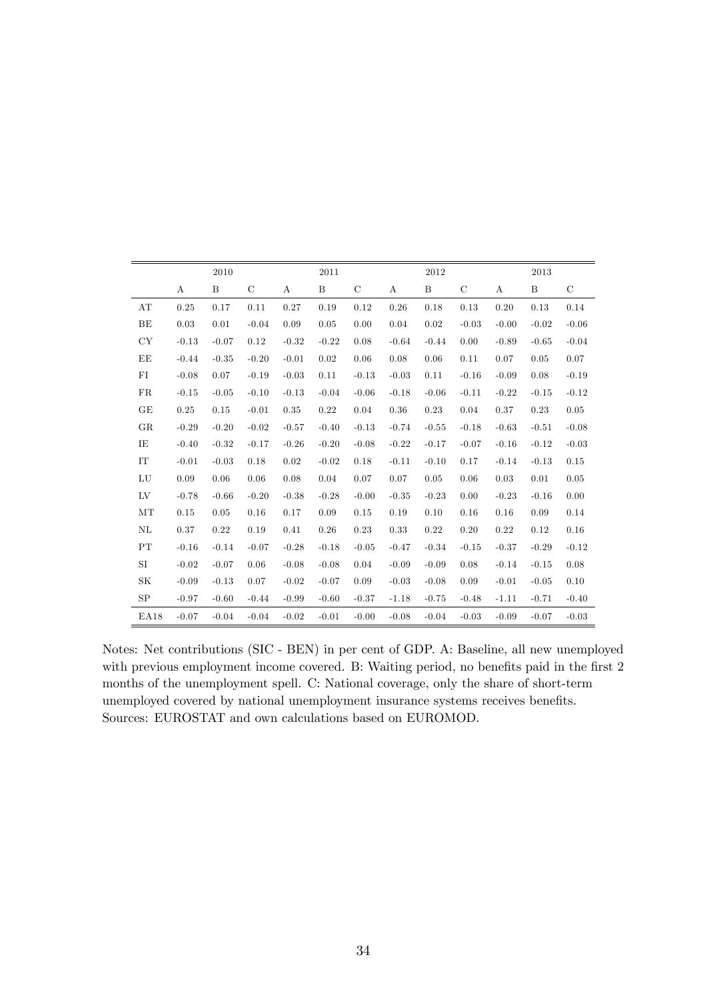|      |         | 2010    |             |            | 2011         |             |         | 2012             |               |         | 2013         |               |
|------|---------|---------|-------------|------------|--------------|-------------|---------|------------------|---------------|---------|--------------|---------------|
|      | A       | B       | $\mathbf C$ | А          | $\, {\bf B}$ | $\mathbf C$ | А       | $\boldsymbol{B}$ | $\mathcal{C}$ | A       | $\, {\bf B}$ | $\mathcal{C}$ |
| AT   | 0.25    | 0.17    | 0.11        | 0.27       | 0.19         | 0.12        | 0.26    | 0.18             | 0.13          | 0.20    | 0.13         | 0.14          |
| BE   | 0.03    | 0.01    | $-0.04$     | 0.09       | 0.05         | 0.00        | 0.04    | 0.02             | $-0.03$       | $-0.00$ | $-0.02$      | $-0.06$       |
| CY   | $-0.13$ | $-0.07$ | 0.12        | $-0.32$    | $-0.22$      | 0.08        | $-0.64$ | $-0.44$          | 0.00          | $-0.89$ | $-0.65$      | $-0.04$       |
| ΕE   | $-0.44$ | $-0.35$ | $-0.20$     | $-0.01$    | 0.02         | 0.06        | 0.08    | 0.06             | 0.11          | 0.07    | 0.05         | 0.07          |
| FI   | $-0.08$ | 0.07    | $-0.19$     | $-0.03$    | 0.11         | $-0.13$     | $-0.03$ | 0.11             | $-0.16$       | $-0.09$ | 0.08         | $-0.19$       |
| FR   | $-0.15$ | $-0.05$ | $-0.10$     | $-0.13$    | $-0.04$      | $-0.06$     | $-0.18$ | $-0.06$          | $-0.11$       | $-0.22$ | $-0.15$      | $-0.12$       |
| GE   | 0.25    | 0.15    | $-0.01$     | $\rm 0.35$ | 0.22         | 0.04        | 0.36    | 0.23             | 0.04          | 0.37    | 0.23         | 0.05          |
| GR   | $-0.29$ | $-0.20$ | $-0.02$     | $-0.57$    | $-0.40$      | $-0.13$     | $-0.74$ | $-0.55$          | $-0.18$       | $-0.63$ | $-0.51$      | $-0.08$       |
| IE   | $-0.40$ | $-0.32$ | $-0.17$     | $-0.26$    | $-0.20$      | $-0.08$     | $-0.22$ | $-0.17$          | $-0.07$       | $-0.16$ | $-0.12$      | $-0.03$       |
| IT   | $-0.01$ | $-0.03$ | 0.18        | 0.02       | $-0.02$      | 0.18        | $-0.11$ | $-0.10$          | 0.17          | $-0.14$ | $-0.13$      | 0.15          |
| LU   | 0.09    | 0.06    | 0.06        | 0.08       | 0.04         | 0.07        | 0.07    | 0.05             | 0.06          | 0.03    | 0.01         | 0.05          |
| LV   | $-0.78$ | $-0.66$ | $-0.20$     | $-0.38$    | $-0.28$      | $-0.00$     | $-0.35$ | $-0.23$          | 0.00          | $-0.23$ | $-0.16$      | 0.00          |
| MT   | 0.15    | 0.05    | 0.16        | 0.17       | 0.09         | 0.15        | 0.19    | 0.10             | 0.16          | 0.16    | 0.09         | 0.14          |
| NL   | 0.37    | 0.22    | 0.19        | 0.41       | 0.26         | 0.23        | 0.33    | 0.22             | 0.20          | 0.22    | 0.12         | 0.16          |
| PT   | $-0.16$ | $-0.14$ | $-0.07$     | $-0.28$    | $-0.18$      | $-0.05$     | $-0.47$ | $-0.34$          | $-0.15$       | $-0.37$ | $-0.29$      | $-0.12$       |
| SI   | $-0.02$ | $-0.07$ | 0.06        | $-0.08$    | $-0.08$      | 0.04        | $-0.09$ | $-0.09$          | 0.08          | $-0.14$ | $-0.15$      | 0.08          |
| SK   | $-0.09$ | $-0.13$ | 0.07        | $-0.02$    | $-0.07$      | 0.09        | $-0.03$ | $-0.08$          | 0.09          | $-0.01$ | $-0.05$      | 0.10          |
| SP   | $-0.97$ | $-0.60$ | $-0.44$     | $-0.99$    | $-0.60$      | $-0.37$     | $-1.18$ | $-0.75$          | $-0.48$       | $-1.11$ | $-0.71$      | $-0.40$       |
| EA18 | $-0.07$ | $-0.04$ | $-0.04$     | $-0.02$    | $-0.01$      | $-0.00$     | $-0.08$ | $-0.04$          | $-0.03$       | $-0.09$ | $-0.07$      | $-0.03$       |

Notes: Net contributions (SIC - BEN) in per cent of GDP. A: Baseline, all new unemployed with previous employment income covered. B: Waiting period, no benefits paid in the first 2 months of the unemployment spell. C: National coverage, only the share of short-term unemployed covered by national unemployment insurance systems receives benefits. Sources: EUROSTAT and own calculations based on EUROMOD.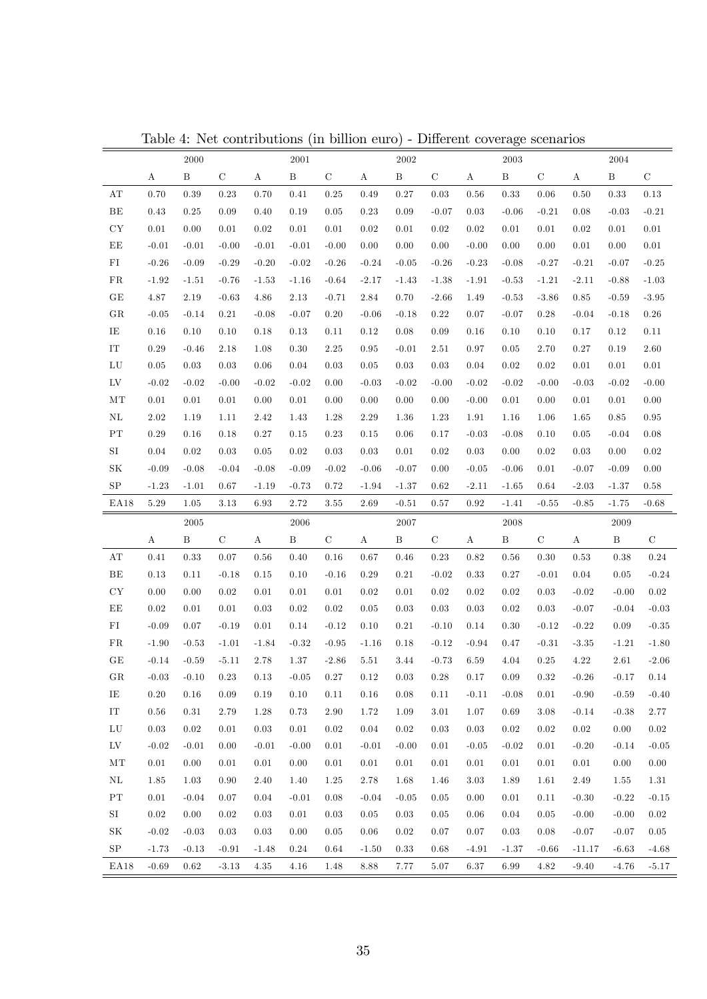|                          |              | 2000       |             |                  | 2001         |             |              | 2002         |               |                  | 2003         |             |                  | 2004         |             |
|--------------------------|--------------|------------|-------------|------------------|--------------|-------------|--------------|--------------|---------------|------------------|--------------|-------------|------------------|--------------|-------------|
|                          | A            | B          | $\mathbf C$ | A                | $\, {\bf B}$ | $\mathbf C$ | A            | $\, {\bf B}$ | $\mathcal{C}$ | Α                | $\, {\bf B}$ | $\mathbf C$ | А                | $\, {\bf B}$ | $\mathbf C$ |
| $\mathbf{A} \mathbf{T}$  | 0.70         | 0.39       | 0.23        | 0.70             | 0.41         | 0.25        | 0.49         | 0.27         | 0.03          | 0.56             | 0.33         | 0.06        | 0.50             | 0.33         | 0.13        |
| BE                       | 0.43         | 0.25       | 0.09        | 0.40             | 0.19         | $\rm 0.05$  | 0.23         | 0.09         | $-0.07$       | 0.03             | $-0.06$      | $-0.21$     | 0.08             | $-0.03$      | $-0.21$     |
| ${\rm CY}$               | 0.01         | 0.00       | $0.01\,$    | 0.02             | $0.01\,$     | 0.01        | 0.02         | 0.01         | 0.02          | 0.02             | $0.01\,$     | 0.01        | 0.02             | 0.01         | 0.01        |
| $\rm EE$                 | $-0.01$      | $-0.01$    | $-0.00$     | $-0.01$          | $-0.01$      | $-0.00$     | 0.00         | 0.00         | 0.00          | $-0.00$          | 0.00         | 0.00        | 0.01             | 0.00         | $0.01\,$    |
| FI                       | $-0.26$      | $-0.09$    | $-0.29$     | $-0.20$          | $-0.02$      | $-0.26$     | $-0.24$      | $-0.05$      | $-0.26$       | $-0.23$          | $-0.08$      | $-0.27$     | $-0.21$          | $-0.07$      | $-0.25$     |
| FR                       | $-1.92$      | $-1.51$    | $-0.76$     | $-1.53$          | $-1.16$      | $-0.64$     | $-2.17$      | $-1.43$      | $-1.38$       | $-1.91$          | $-0.53$      | $-1.21$     | $-2.11$          | $-0.88$      | $-1.03$     |
| GE                       | 4.87         | 2.19       | $-0.63$     | 4.86             | 2.13         | $-0.71$     | 2.84         | 0.70         | $-2.66$       | 1.49             | $-0.53$      | $-3.86$     | $\rm 0.85$       | $-0.59$      | $-3.95$     |
| GR                       | $-0.05$      | $-0.14$    | $0.21\,$    | $-0.08$          | $-0.07$      | 0.20        | $-0.06$      | $-0.18$      | 0.22          | 0.07             | $-0.07$      | 0.28        | $-0.04$          | $-0.18$      | $0.26\,$    |
| IE                       | 0.16         | 0.10       | $0.10\,$    | 0.18             | 0.13         | 0.11        | 0.12         | 0.08         | 0.09          | 0.16             | 0.10         | 0.10        | 0.17             | 0.12         | $0.11\,$    |
| ${\rm IT}$               | $0.29\,$     | $-0.46$    | 2.18        | 1.08             | 0.30         | 2.25        | 0.95         | $-0.01$      | 2.51          | $0.97\,$         | $\rm 0.05$   | 2.70        | $0.27\,$         | 0.19         | $2.60\,$    |
| ${\rm LU}$               | $0.05\,$     | $\rm 0.03$ | $\rm 0.03$  | 0.06             | 0.04         | 0.03        | 0.05         | $\rm 0.03$   | 0.03          | $0.04\,$         | $0.02\,$     | 0.02        | 0.01             | 0.01         | $0.01\,$    |
| ${\rm LV}$               | $-0.02$      | $-0.02$    | $-0.00$     | $-0.02$          | $-0.02$      | 0.00        | $-0.03$      | $-0.02$      | $-0.00$       | $-0.02$          | $-0.02$      | $-0.00$     | $-0.03$          | $-0.02$      | $-0.00$     |
| MT                       | 0.01         | 0.01       | $0.01\,$    | 0.00             | 0.01         | 0.00        | $0.00\,$     | 0.00         | 0.00          | $-0.00$          | 0.01         | 0.00        | 0.01             | 0.01         | $0.00\,$    |
| $\rm NL$                 | 2.02         | 1.19       | 1.11        | 2.42             | 1.43         | 1.28        | 2.29         | 1.36         | 1.23          | 1.91             | 1.16         | 1.06        | 1.65             | 0.85         | 0.95        |
| $\rm PT$                 | $0.29\,$     | 0.16       | 0.18        | 0.27             | 0.15         | 0.23        | 0.15         | 0.06         | 0.17          | $-0.03$          | $-0.08$      | 0.10        | 0.05             | $-0.04$      | 0.08        |
| SI                       | 0.04         | 0.02       | $\rm 0.03$  | 0.05             | 0.02         | $\rm 0.03$  | 0.03         | 0.01         | 0.02          | $\rm 0.03$       | 0.00         | 0.02        | 0.03             | 0.00         | $0.02\,$    |
| SK                       | $-0.09$      | $-0.08$    | $-0.04$     | $-0.08$          | $-0.09$      | $-0.02$     | $-0.06$      | $-0.07$      | 0.00          | $-0.05$          | $-0.06$      | 0.01        | $-0.07$          | $-0.09$      | 0.00        |
| ${\rm SP}$               | $-1.23$      | $-1.01$    | $0.67\,$    | $-1.19$          | $-0.73$      | $0.72\,$    | $-1.94$      | $-1.37$      | 0.62          | $-2.11$          | $-1.65$      | 0.64        | $-2.03$          | $-1.37$      | 0.58        |
| EA18                     | $5.29\,$     | $1.05\,$   | $3.13\,$    | $6.93\,$         | 2.72         | 3.55        | $2.69\,$     | $-0.51$      | 0.57          | $\rm 0.92$       | $-1.41$      | $-0.55$     | $-0.85$          | $-1.75$      | $-0.68$     |
|                          |              |            |             |                  |              |             |              |              |               |                  |              |             |                  |              |             |
|                          |              | 2005       |             |                  | 2006         |             |              | 2007         |               |                  | 2008         |             |                  | 2009         |             |
|                          | $\mathbf{A}$ | B          | $\mathbf C$ | $\boldsymbol{A}$ | $\, {\bf B}$ | $\mathbf C$ | $\mathbf{A}$ | $\, {\bf B}$ | $\mathbf C$   | $\boldsymbol{A}$ | $\, {\bf B}$ | $\mathbf C$ | $\boldsymbol{A}$ | $\, {\bf B}$ | $\mathbf C$ |
| $\mathbf{A} \mathbf{T}$  | 0.41         | 0.33       | 0.07        | 0.56             | 0.40         | 0.16        | 0.67         | 0.46         | 0.23          | 0.82             | 0.56         | 0.30        | 0.53             | 0.38         | $0.24\,$    |
| BE                       | 0.13         | 0.11       | $-0.18$     | 0.15             | 0.10         | $-0.16$     | 0.29         | 0.21         | $-0.02$       | 0.33             | 0.27         | $-0.01$     | 0.04             | $\rm 0.05$   | $-0.24$     |
| ${\rm CY}$               | 0.00         | 0.00       | 0.02        | 0.01             | 0.01         | $0.01\,$    | 0.02         | 0.01         | 0.02          | 0.02             | $0.02\,$     | 0.03        | $-0.02$          | $-0.00$      | $0.02\,$    |
| $\rm EE$                 | $0.02\,$     | 0.01       | $0.01\,$    | 0.03             | 0.02         | $0.02\,$    | 0.05         | 0.03         | 0.03          | 0.03             | $0.02\,$     | 0.03        | $-0.07$          | $-0.04$      | $-0.03$     |
| FI                       | $-0.09$      | 0.07       | $-0.19$     | 0.01             | 0.14         | $-0.12$     | 0.10         | 0.21         | $-0.10$       | 0.14             | 0.30         | $-0.12$     | $-0.22$          | 0.09         | $-0.35$     |
| FR                       | $-1.90$      | $-0.53$    | $-1.01$     | $-1.84$          | $-0.32$      | $-0.95$     | $-1.16$      | 0.18         | $-0.12$       | $-0.94$          | 0.47         | $-0.31$     | $-3.35$          | $-1.21$      | $-1.80$     |
| $\operatorname{GE}$      | $-0.14$      | $-0.59$    | $-5.11$     | 2.78             | 1.37         | $-2.86$     | 5.51         | 3.44         | $-0.73$       | 6.59             | 4.04         | 0.25        | $4.22\,$         | 2.61         | $-2.06$     |
| GR                       | $-0.03$      | $-0.10$    | 0.23        | 0.13             | $-0.05$      | 0.27        | 0.12         | 0.03         | 0.28          | 0.17             | 0.09         | 0.32        | $-0.26$          | $-0.17$      | 0.14        |
| IE                       | 0.20         | 0.16       | $0.09\,$    | 0.19             | 0.10         | 0.11        | 0.16         | 0.08         | 0.11          | $-0.11$          | $-0.08$      | 0.01        | $-0.90$          | $-0.59$      | $-0.40$     |
| ${\rm IT}$               | $0.56\,$     | $0.31\,$   | 2.79        | 1.28             | 0.73         | $2.90\,$    | 1.72         | 1.09         | 3.01          | 1.07             | $0.69\,$     | 3.08        | $-0.14$          | $-0.38$      | 2.77        |
| ${\rm LU}$               | $0.03\,$     | $0.02\,$   | 0.01        | 0.03             | $0.01\,$     | $0.02\,$    | $0.04\,$     | 0.02         | 0.03          | 0.03             | 0.02         | 0.02        | $0.02\,$         | 0.00         | $0.02\,$    |
| ${\rm LV}$               | $-0.02$      | $-0.01$    | 0.00        | $-0.01$          | $-0.00$      | $0.01\,$    | $-0.01$      | $-0.00$      | 0.01          | $-0.05$          | $-0.02$      | 0.01        | $-0.20$          | $-0.14$      | $-0.05$     |
| MT                       | $0.01\,$     | 0.00       | $0.01\,$    | $0.01\,$         | 0.00         | $0.01\,$    | $0.01\,$     | $0.01\,$     | 0.01          | $0.01\,$         | $0.01\,$     | 0.01        | $0.01\,$         | 0.00         | $0.00\,$    |
| $\rm NL$                 | $1.85\,$     | 1.03       | 0.90        | 2.40             | 1.40         | 1.25        | 2.78         | 1.68         | 1.46          | 3.03             | 1.89         | 1.61        | $2.49\,$         | 1.55         | $1.31\,$    |
| $\mathcal{P}\mathcal{T}$ | 0.01         | $-0.04$    | 0.07        | 0.04             | $-0.01$      | $0.08\,$    | $-0.04$      | $-0.05$      | 0.05          | 0.00             | 0.01         | 0.11        | $-0.30$          | $-0.22$      | $-0.15$     |
| SI                       | $0.02\,$     | 0.00       | 0.02        | 0.03             | $0.01\,$     | 0.03        | 0.05         | 0.03         | 0.05          | 0.06             | 0.04         | 0.05        | $-0.00$          | $-0.00$      | $0.02\,$    |
| $\rm SK$                 | $-0.02$      | $-0.03$    | 0.03        | 0.03             | 0.00         | 0.05        | 0.06         | 0.02         | 0.07          | 0.07             | 0.03         | 0.08        | $-0.07$          | $-0.07$      | $0.05\,$    |
| SP                       | $-1.73$      | $-0.13$    | $-0.91$     | $-1.48$          | $0.24\,$     | $0.64\,$    | $-1.50$      | $0.33\,$     | 0.68          | $-4.91$          | $-1.37$      | $-0.66$     | $-11.17$         | $-6.63$      | $-4.68$     |

Table 4: Net contributions (in billion euro) - Different coverage scenarios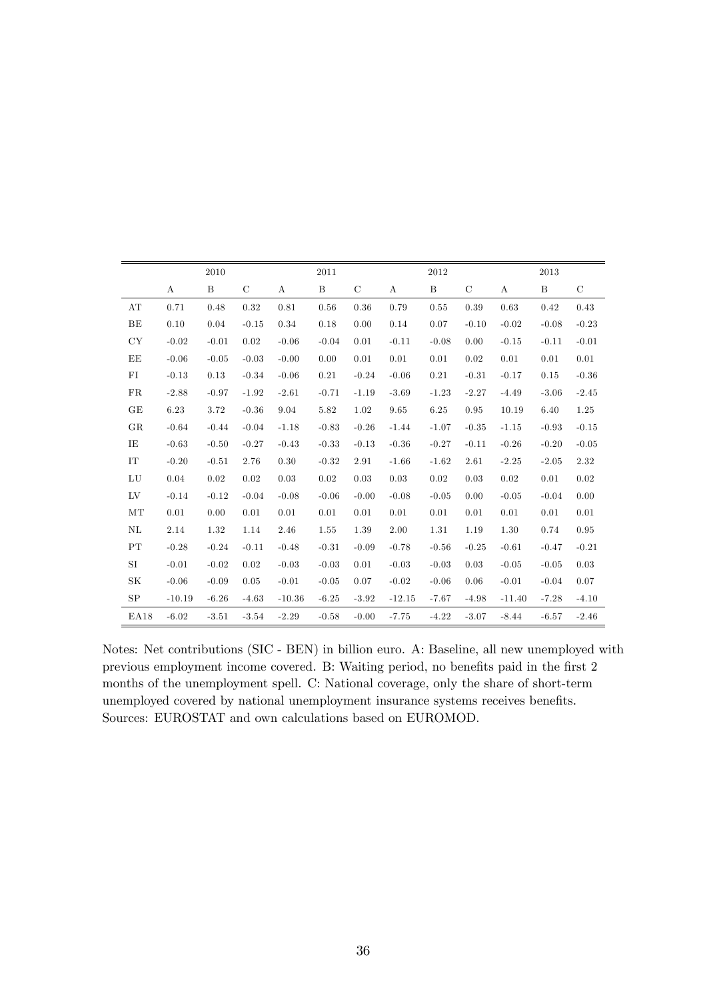|                            |          | 2010    |               |          | 2011         |               |          | 2012    |               |          | 2013         |               |
|----------------------------|----------|---------|---------------|----------|--------------|---------------|----------|---------|---------------|----------|--------------|---------------|
|                            | A        | B       | $\mathcal{C}$ | A        | $\, {\bf B}$ | $\mathcal{C}$ | A        | B       | $\mathcal{C}$ | A        | $\, {\bf B}$ | $\mathcal{C}$ |
| AT                         | 0.71     | 0.48    | 0.32          | 0.81     | 0.56         | 0.36          | 0.79     | 0.55    | 0.39          | 0.63     | 0.42         | 0.43          |
| BE                         | 0.10     | 0.04    | $-0.15$       | 0.34     | 0.18         | 0.00          | 0.14     | 0.07    | $-0.10$       | $-0.02$  | $-0.08$      | $-0.23$       |
| CY                         | $-0.02$  | $-0.01$ | 0.02          | $-0.06$  | $-0.04$      | 0.01          | $-0.11$  | $-0.08$ | 0.00          | $-0.15$  | $-0.11$      | $-0.01$       |
| EE                         | $-0.06$  | $-0.05$ | $-0.03$       | $-0.00$  | 0.00         | 0.01          | 0.01     | 0.01    | 0.02          | 0.01     | 0.01         | 0.01          |
| FI                         | $-0.13$  | 0.13    | $-0.34$       | $-0.06$  | 0.21         | $-0.24$       | $-0.06$  | 0.21    | $-0.31$       | $-0.17$  | 0.15         | $-0.36$       |
| ${\rm FR}$                 | $-2.88$  | $-0.97$ | $-1.92$       | $-2.61$  | $-0.71$      | $-1.19$       | $-3.69$  | $-1.23$ | $-2.27$       | $-4.49$  | $-3.06$      | $-2.45$       |
| GE                         | 6.23     | 3.72    | $-0.36$       | 9.04     | 5.82         | 1.02          | 9.65     | 6.25    | 0.95          | 10.19    | 6.40         | 1.25          |
| GR                         | $-0.64$  | $-0.44$ | $-0.04$       | $-1.18$  | $-0.83$      | $-0.26$       | $-1.44$  | $-1.07$ | $-0.35$       | $-1.15$  | $-0.93$      | $-0.15$       |
| ΙE                         | $-0.63$  | $-0.50$ | $-0.27$       | $-0.43$  | $-0.33$      | $-0.13$       | $-0.36$  | $-0.27$ | $-0.11$       | $-0.26$  | $-0.20$      | $-0.05$       |
| $\mathop{\rm IT}\nolimits$ | $-0.20$  | $-0.51$ | 2.76          | 0.30     | $-0.32$      | 2.91          | $-1.66$  | $-1.62$ | 2.61          | $-2.25$  | $-2.05$      | 2.32          |
| LU                         | 0.04     | 0.02    | 0.02          | 0.03     | 0.02         | 0.03          | 0.03     | 0.02    | 0.03          | 0.02     | 0.01         | 0.02          |
| LV                         | $-0.14$  | $-0.12$ | $-0.04$       | $-0.08$  | $-0.06$      | $-0.00$       | $-0.08$  | $-0.05$ | 0.00          | $-0.05$  | $-0.04$      | 0.00          |
| MT                         | 0.01     | 0.00    | 0.01          | 0.01     | 0.01         | 0.01          | 0.01     | 0.01    | 0.01          | 0.01     | 0.01         | 0.01          |
| NL                         | 2.14     | 1.32    | 1.14          | 2.46     | 1.55         | 1.39          | 2.00     | 1.31    | 1.19          | 1.30     | 0.74         | 0.95          |
| PT                         | $-0.28$  | $-0.24$ | $-0.11$       | $-0.48$  | $-0.31$      | $-0.09$       | $-0.78$  | $-0.56$ | $-0.25$       | $-0.61$  | $-0.47$      | $-0.21$       |
| $\rm SI$                   | $-0.01$  | $-0.02$ | 0.02          | $-0.03$  | $-0.03$      | 0.01          | $-0.03$  | $-0.03$ | 0.03          | $-0.05$  | $-0.05$      | 0.03          |
| SK                         | $-0.06$  | $-0.09$ | 0.05          | $-0.01$  | $-0.05$      | 0.07          | $-0.02$  | $-0.06$ | 0.06          | $-0.01$  | $-0.04$      | 0.07          |
| SP                         | $-10.19$ | $-6.26$ | $-4.63$       | $-10.36$ | $-6.25$      | $-3.92$       | $-12.15$ | $-7.67$ | $-4.98$       | $-11.40$ | $-7.28$      | $-4.10$       |
| <b>EA18</b>                | $-6.02$  | $-3.51$ | $-3.54$       | $-2.29$  | $-0.58$      | $-0.00$       | $-7.75$  | $-4.22$ | $-3.07$       | $-8.44$  | $-6.57$      | $-2.46$       |

Notes: Net contributions (SIC - BEN) in billion euro. A: Baseline, all new unemployed with previous employment income covered. B: Waiting period, no benefits paid in the first 2 months of the unemployment spell. C: National coverage, only the share of short-term unemployed covered by national unemployment insurance systems receives benefits. Sources: EUROSTAT and own calculations based on EUROMOD.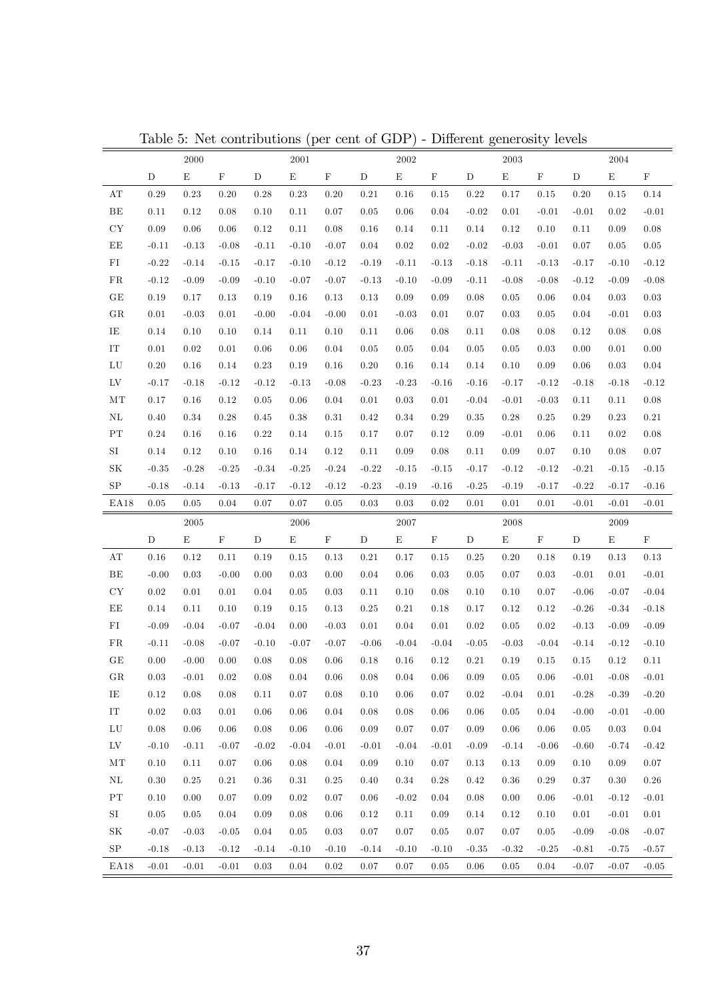|                          |             | 2000        |             |             | 2001        |             |             | 2002        |             |             | $\,2003\,$  |             |             | 2004        |             |
|--------------------------|-------------|-------------|-------------|-------------|-------------|-------------|-------------|-------------|-------------|-------------|-------------|-------------|-------------|-------------|-------------|
|                          | $\mathbf D$ | $\mathbf E$ | $\mathbf F$ | $\mathbf D$ | $\mathbf E$ | $\mathbf F$ | $\mathbf D$ | $\mathbf E$ | $\mathbf F$ | $\mathbf D$ | $\mathbf E$ | $\mathbf F$ | $\mathbf D$ | $\mathbf E$ | $\mathbf F$ |
| $\mathbf{A} \mathbf{T}$  | 0.29        | 0.23        | 0.20        | 0.28        | 0.23        | 0.20        | 0.21        | 0.16        | 0.15        | 0.22        | 0.17        | 0.15        | 0.20        | 0.15        | 0.14        |
| BE                       | 0.11        | 0.12        | 0.08        | 0.10        | 0.11        | 0.07        | 0.05        | 0.06        | 0.04        | $-0.02$     | 0.01        | $-0.01$     | $-0.01$     | $0.02\,$    | $-0.01$     |
| ${\rm CY}$               | 0.09        | 0.06        | 0.06        | 0.12        | 0.11        | 0.08        | 0.16        | 0.14        | 0.11        | 0.14        | 0.12        | 0.10        | 0.11        | 0.09        | 0.08        |
| EE                       | $-0.11$     | $-0.13$     | $-0.08$     | $-0.11$     | $-0.10$     | $-0.07$     | 0.04        | 0.02        | 0.02        | $-0.02$     | $-0.03$     | $-0.01$     | 0.07        | 0.05        | 0.05        |
| ${\rm FI}$               | $-0.22$     | $-0.14$     | $-0.15$     | $-0.17$     | $-0.10$     | $-0.12$     | $-0.19$     | $-0.11$     | $-0.13$     | $-0.18$     | $-0.11$     | $-0.13$     | $-0.17$     | $-0.10$     | $-0.12$     |
| FR                       | $-0.12$     | $-0.09$     | $-0.09$     | $-0.10$     | $-0.07$     | $-0.07$     | $-0.13$     | $-0.10$     | $-0.09$     | $-0.11$     | $-0.08$     | $-0.08$     | $-0.12$     | $-0.09$     | $-0.08$     |
| $\operatorname{GE}$      | 0.19        | 0.17        | 0.13        | 0.19        | $0.16\,$    | 0.13        | 0.13        | 0.09        | 0.09        | 0.08        | 0.05        | 0.06        | 0.04        | $\rm 0.03$  | 0.03        |
| GR                       | 0.01        | $-0.03$     | 0.01        | $-0.00$     | $-0.04$     | $-0.00$     | 0.01        | $-0.03$     | 0.01        | 0.07        | 0.03        | 0.05        | 0.04        | $-0.01$     | 0.03        |
| IE                       | 0.14        | 0.10        | 0.10        | 0.14        | 0.11        | 0.10        | 0.11        | 0.06        | 0.08        | 0.11        | 0.08        | 0.08        | 0.12        | 0.08        | 0.08        |
| ${\rm IT}$               | 0.01        | 0.02        | 0.01        | 0.06        | 0.06        | 0.04        | $\rm 0.05$  | 0.05        | 0.04        | 0.05        | 0.05        | 0.03        | 0.00        | 0.01        | 0.00        |
| ${\rm LU}$               | 0.20        | 0.16        | 0.14        | 0.23        | 0.19        | 0.16        | 0.20        | 0.16        | 0.14        | 0.14        | 0.10        | 0.09        | 0.06        | 0.03        | 0.04        |
| LV                       | $-0.17$     | $-0.18$     | $-0.12$     | $-0.12$     | $-0.13$     | $-0.08$     | $-0.23$     | $-0.23$     | $-0.16$     | $-0.16$     | $-0.17$     | $-0.12$     | $-0.18$     | $-0.18$     | $-0.12$     |
| MT                       | 0.17        | 0.16        | 0.12        | $\rm 0.05$  | 0.06        | 0.04        | 0.01        | $\rm 0.03$  | $0.01\,$    | $-0.04$     | $-0.01$     | $-0.03$     | 0.11        | 0.11        | 0.08        |
| $\rm NL$                 | 0.40        | 0.34        | 0.28        | 0.45        | 0.38        | 0.31        | 0.42        | $0.34\,$    | 0.29        | 0.35        | 0.28        | 0.25        | 0.29        | 0.23        | 0.21        |
| ${\rm PT}$               | 0.24        | 0.16        | 0.16        | 0.22        | 0.14        | 0.15        | 0.17        | 0.07        | 0.12        | $0.09\,$    | $-0.01$     | 0.06        | 0.11        | 0.02        | 0.08        |
| SI                       | 0.14        | 0.12        | 0.10        | 0.16        | 0.14        | 0.12        | 0.11        | 0.09        | 0.08        | 0.11        | 0.09        | 0.07        | 0.10        | 0.08        | 0.07        |
| SK                       | $-0.35$     | $-0.28$     | $-0.25$     | $-0.34$     | $-0.25$     | $-0.24$     | $-0.22$     | $-0.15$     | $-0.15$     | $-0.17$     | $-0.12$     | $-0.12$     | $-0.21$     | $-0.15$     | $-0.15$     |
| SP                       | $-0.18$     | $-0.14$     | $-0.13$     | $-0.17$     | $-0.12$     | $-0.12$     | $-0.23$     | $-0.19$     | $-0.16$     | $-0.25$     | $-0.19$     | $-0.17$     | $-0.22$     | $-0.17$     | $-0.16$     |
| EA18                     | $0.05\,$    | 0.05        | 0.04        | $0.07\,$    | 0.07        | 0.05        | $\rm 0.03$  | $\rm 0.03$  | $0.02\,$    | $0.01\,$    | 0.01        | $0.01\,$    | $-0.01$     | $-0.01$     | $-0.01$     |
|                          |             |             |             |             |             |             |             |             |             |             |             |             |             |             |             |
|                          |             | 2005        |             |             | 2006        |             |             | 2007        |             |             | 2008        |             |             | 2009        |             |
|                          | $\mathbf D$ | E           | $\mathbf F$ | $\mathbf D$ | E           | $\mathbf F$ | $\mathbf D$ | E           | $\mathbf F$ | $\mathbf D$ | $\mathbf E$ | $\mathbf F$ | $\mathbf D$ | $\mathbf E$ | $\mathbf F$ |
| AΤ                       | 0.16        | 0.12        | 0.11        | 0.19        | 0.15        | 0.13        | 0.21        | 0.17        | 0.15        | 0.25        | 0.20        | 0.18        | 0.19        | 0.13        | 0.13        |
| BE                       | $-0.00$     | 0.03        | $-0.00$     | 0.00        | 0.03        | 0.00        | 0.04        | 0.06        | 0.03        | 0.05        | 0.07        | 0.03        | $-0.01$     | 0.01        | $-0.01$     |
| CY                       | $0.02\,$    | 0.01        | 0.01        | 0.04        | 0.05        | 0.03        | 0.11        | 0.10        | 0.08        | 0.10        | 0.10        | 0.07        | $-0.06$     | $-0.07$     | $-0.04$     |
| EE                       | 0.14        | 0.11        | 0.10        | 0.19        | 0.15        | 0.13        | 0.25        | 0.21        | 0.18        | 0.17        | 0.12        | 0.12        | $-0.26$     | $-0.34$     | $-0.18$     |
| ${\rm FI}$               | $-0.09$     | $-0.04$     | $-0.07$     | $-0.04$     | 0.00        | $-0.03$     | 0.01        | 0.04        | 0.01        | $\rm 0.02$  | 0.05        | $\rm 0.02$  | $-0.13$     | $-0.09$     | $-0.09$     |
| FR                       | $-0.11$     | $-0.08$     | $-0.07$     | $-0.10$     | $-0.07$     | $-0.07$     | $-0.06$     | $-0.04$     | $-0.04$     | $-0.05$     | $-0.03$     | $-0.04$     | $-0.14$     | $-0.12$     | $-0.10$     |
| $\operatorname{GE}$      | $0.00\,$    | $-0.00$     | 0.00        | 0.08        | 0.08        | 0.06        | 0.18        | 0.16        | 0.12        | $0.21\,$    | 0.19        | 0.15        | $0.15\,$    | 0.12        | 0.11        |
| GR                       | 0.03        | $-0.01$     | 0.02        | 0.08        | 0.04        | 0.06        | 0.08        | 0.04        | 0.06        | 0.09        | 0.05        | 0.06        | $-0.01$     | $-0.08$     | $-0.01$     |
| IE                       | 0.12        | 0.08        | 0.08        | 0.11        | 0.07        | 0.08        | 0.10        | 0.06        | 0.07        | $\rm 0.02$  | $-0.04$     | 0.01        | $-0.28$     | $-0.39$     | $-0.20$     |
| ${\rm IT}$               | $0.02\,$    | $0.03\,$    | 0.01        | 0.06        | 0.06        | 0.04        | 0.08        | 0.08        | 0.06        | $0.06\,$    | $\rm 0.05$  | 0.04        | $-0.00$     | $-0.01$     | $-0.00$     |
| ${\rm LU}$               | $0.08\,$    | 0.06        | $0.06\,$    | 0.08        | 0.06        | $0.06\,$    | 0.09        | 0.07        | $0.07\,$    | 0.09        | 0.06        | 0.06        | 0.05        | 0.03        | 0.04        |
| $L_{\rm V}$              | $-0.10$     | $-0.11$     | $-0.07$     | $-0.02$     | $-0.04$     | $-0.01$     | $-0.01$     | $-0.04$     | $-0.01$     | $-0.09$     | $-0.14$     | $-0.06$     | $-0.60$     | $-0.74$     | $-0.42$     |
| $\rm{MT}$                | 0.10        | $0.11\,$    | $0.07\,$    | 0.06        | $0.08\,$    | $0.04\,$    | 0.09        | $0.10\,$    | $0.07\,$    | 0.13        | $0.13\,$    | $0.09\,$    | 0.10        | 0.09        | $0.07\,$    |
| $\rm NL$                 | 0.30        | 0.25        | 0.21        | 0.36        | 0.31        | 0.25        | 0.40        | 0.34        | 0.28        | 0.42        | 0.36        | 0.29        | 0.37        | 0.30        | $0.26\,$    |
| $\mathcal{P}\mathcal{T}$ | 0.10        | 0.00        | $0.07\,$    | 0.09        | 0.02        | 0.07        | 0.06        | $-0.02$     | 0.04        | 0.08        | 0.00        | 0.06        | $-0.01$     | $-0.12$     | $-0.01$     |
| $\rm SI$                 | $0.05\,$    | 0.05        | $0.04\,$    | 0.09        | 0.08        | $0.06\,$    | 0.12        | 0.11        | 0.09        | 0.14        | 0.12        | 0.10        | 0.01        | $-0.01$     | $0.01\,$    |
| SK                       | $-0.07$     | $-0.03$     | $-0.05$     | 0.04        | 0.05        | 0.03        | 0.07        | 0.07        | 0.05        | 0.07        | 0.07        | 0.05        | $-0.09$     | $-0.08$     | $-0.07$     |
| ${\rm SP}$               | $-0.18$     | $-0.13$     | $-0.12$     | $-0.14$     | $-0.10$     | $-0.10$     | $-0.14$     | $-0.10$     | $-0.10$     | $-0.35$     | $-0.32$     | $-0.25$     | $-0.81$     | $-0.75$     | $-0.57$     |

Table 5: Net contributions (per cent of GDP) - Different generosity levels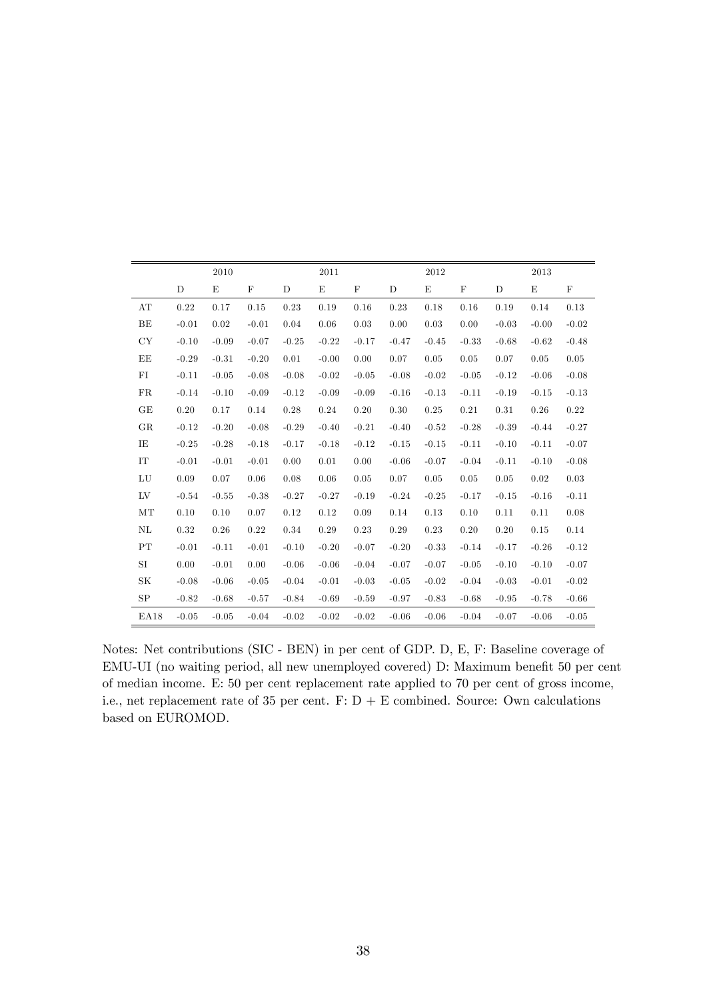|      |             | 2010    |             |         | 2011        |             |         | 2012    |             |         | 2013    |             |
|------|-------------|---------|-------------|---------|-------------|-------------|---------|---------|-------------|---------|---------|-------------|
|      | $\mathbf D$ | E       | $\mathbf F$ | D       | $\mathbf E$ | $\mathbf F$ | D       | E       | $\mathbf F$ | D       | E       | $\mathbf F$ |
| AT   | 0.22        | 0.17    | 0.15        | 0.23    | 0.19        | 0.16        | 0.23    | 0.18    | 0.16        | 0.19    | 0.14    | 0.13        |
| BE   | $-0.01$     | 0.02    | $-0.01$     | 0.04    | 0.06        | 0.03        | 0.00    | 0.03    | 0.00        | $-0.03$ | $-0.00$ | $-0.02$     |
| CY   | $-0.10$     | $-0.09$ | $-0.07$     | $-0.25$ | $-0.22$     | $-0.17$     | $-0.47$ | $-0.45$ | $-0.33$     | $-0.68$ | $-0.62$ | $-0.48$     |
| EE   | $-0.29$     | $-0.31$ | $-0.20$     | 0.01    | $-0.00$     | 0.00        | 0.07    | 0.05    | 0.05        | 0.07    | 0.05    | 0.05        |
| FI   | $-0.11$     | $-0.05$ | $-0.08$     | $-0.08$ | $-0.02$     | $-0.05$     | $-0.08$ | $-0.02$ | $-0.05$     | $-0.12$ | $-0.06$ | $-0.08$     |
| FR   | $-0.14$     | $-0.10$ | $-0.09$     | $-0.12$ | $-0.09$     | $-0.09$     | $-0.16$ | $-0.13$ | $-0.11$     | $-0.19$ | $-0.15$ | $-0.13$     |
| GE   | 0.20        | 0.17    | 0.14        | 0.28    | 0.24        | 0.20        | 0.30    | 0.25    | 0.21        | 0.31    | 0.26    | 0.22        |
| GR   | $-0.12$     | $-0.20$ | $-0.08$     | $-0.29$ | $-0.40$     | $-0.21$     | $-0.40$ | $-0.52$ | $-0.28$     | $-0.39$ | $-0.44$ | $-0.27$     |
| ΙE   | $-0.25$     | $-0.28$ | $-0.18$     | $-0.17$ | $-0.18$     | $-0.12$     | $-0.15$ | $-0.15$ | $-0.11$     | $-0.10$ | $-0.11$ | $-0.07$     |
| IT   | $-0.01$     | $-0.01$ | $-0.01$     | 0.00    | 0.01        | 0.00        | $-0.06$ | $-0.07$ | $-0.04$     | $-0.11$ | $-0.10$ | $-0.08$     |
| LU   | 0.09        | 0.07    | 0.06        | 0.08    | 0.06        | 0.05        | 0.07    | 0.05    | 0.05        | 0.05    | 0.02    | 0.03        |
| LV   | $-0.54$     | $-0.55$ | $-0.38$     | $-0.27$ | $-0.27$     | $-0.19$     | $-0.24$ | $-0.25$ | $-0.17$     | $-0.15$ | $-0.16$ | $-0.11$     |
| MT   | 0.10        | 0.10    | 0.07        | 0.12    | 0.12        | 0.09        | 0.14    | 0.13    | 0.10        | 0.11    | 0.11    | 0.08        |
| NL   | 0.32        | 0.26    | 0.22        | 0.34    | 0.29        | 0.23        | 0.29    | 0.23    | 0.20        | 0.20    | 0.15    | 0.14        |
| PT   | $-0.01$     | $-0.11$ | $-0.01$     | $-0.10$ | $-0.20$     | $-0.07$     | $-0.20$ | $-0.33$ | $-0.14$     | $-0.17$ | $-0.26$ | $-0.12$     |
| SI   | 0.00        | $-0.01$ | 0.00        | $-0.06$ | $-0.06$     | $-0.04$     | $-0.07$ | $-0.07$ | $-0.05$     | $-0.10$ | $-0.10$ | $-0.07$     |
| SK   | $-0.08$     | $-0.06$ | $-0.05$     | $-0.04$ | $-0.01$     | $-0.03$     | $-0.05$ | $-0.02$ | $-0.04$     | $-0.03$ | $-0.01$ | $-0.02$     |
| SP   | $-0.82$     | $-0.68$ | $-0.57$     | $-0.84$ | $-0.69$     | $-0.59$     | $-0.97$ | $-0.83$ | $-0.68$     | $-0.95$ | $-0.78$ | $-0.66$     |
| EA18 | $-0.05$     | $-0.05$ | $-0.04$     | $-0.02$ | $-0.02$     | $-0.02$     | $-0.06$ | $-0.06$ | $-0.04$     | $-0.07$ | $-0.06$ | $-0.05$     |

Notes: Net contributions (SIC - BEN) in per cent of GDP. D, E, F: Baseline coverage of EMU-UI (no waiting period, all new unemployed covered) D: Maximum benefit 50 per cent of median income. E: 50 per cent replacement rate applied to 70 per cent of gross income, i.e., net replacement rate of 35 per cent.  $F: D + E$  combined. Source: Own calculations based on EUROMOD.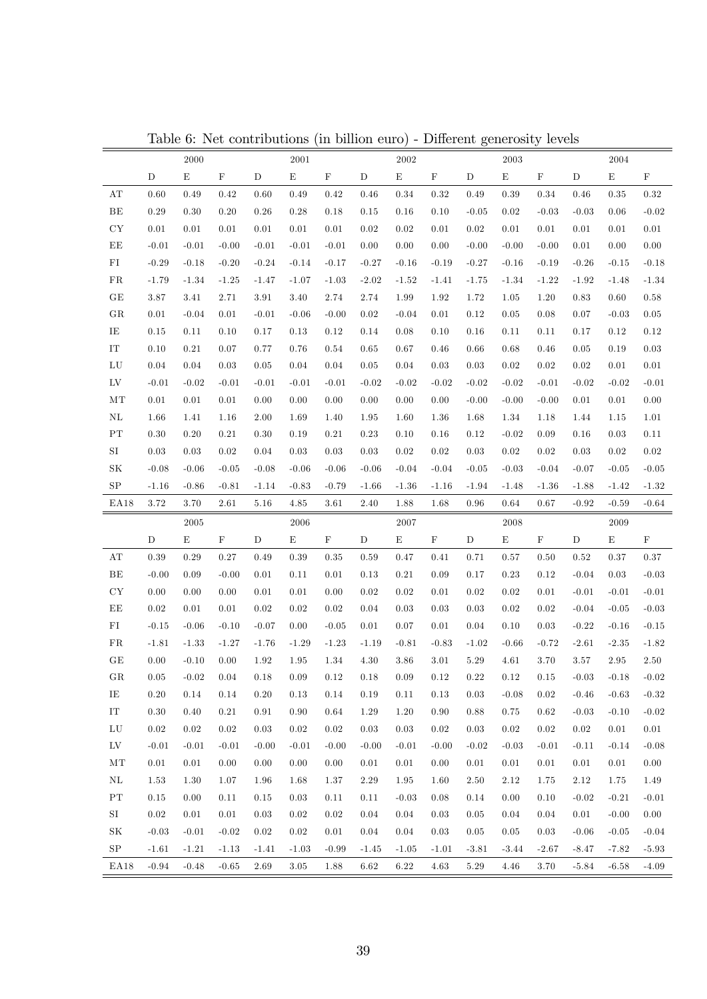|                          |             | $2000\,$    |             |             | $\,2001\,$  |             |             | 2002      |             |             | 2003        |             |             | 2004        |             |
|--------------------------|-------------|-------------|-------------|-------------|-------------|-------------|-------------|-----------|-------------|-------------|-------------|-------------|-------------|-------------|-------------|
|                          | $\mathbf D$ | $\mathbf E$ | $\mathbf F$ | $\mathbf D$ | ${\rm E}$   | $\mathbf F$ | $\mathbf D$ | ${\rm E}$ | $\mathbf F$ | $\mathbf D$ | $\mathbf E$ | $\mathbf F$ | D           | $\mathbf E$ | $\mathbf F$ |
| AT                       | 0.60        | 0.49        | 0.42        | 0.60        | 0.49        | 0.42        | 0.46        | 0.34      | 0.32        | 0.49        | 0.39        | 0.34        | 0.46        | $\rm 0.35$  | 0.32        |
| $\rm BE$                 | 0.29        | 0.30        | 0.20        | 0.26        | 0.28        | 0.18        | $0.15\,$    | 0.16      | 0.10        | $-0.05$     | 0.02        | $-0.03$     | $-0.03$     | 0.06        | $-0.02$     |
| ${\rm CY}$               | $0.01\,$    | 0.01        | $0.01\,$    | $0.01\,$    | 0.01        | $0.01\,$    | $0.02\,$    | 0.02      | $0.01\,$    | $0.02\,$    | 0.01        | $0.01\,$    | $0.01\,$    | 0.01        | $0.01\,$    |
| $\rm EE$                 | $-0.01$     | $-0.01$     | $-0.00$     | $-0.01$     | $-0.01$     | $-0.01$     | $0.00\,$    | 0.00      | 0.00        | $-0.00$     | $-0.00$     | $-0.00$     | $0.01\,$    | 0.00        | 0.00        |
| ${\rm FI}$               | $-0.29$     | $-0.18$     | $-0.20$     | $-0.24$     | $-0.14$     | $-0.17$     | $-0.27$     | $-0.16$   | $-0.19$     | $-0.27$     | $-0.16$     | $-0.19$     | $-0.26$     | $-0.15$     | $-0.18$     |
| FR                       | $-1.79$     | $-1.34$     | $-1.25$     | $-1.47$     | $-1.07$     | $-1.03$     | $-2.02$     | $-1.52$   | $-1.41$     | $-1.75$     | $-1.34$     | $-1.22$     | $-1.92$     | $-1.48$     | $-1.34$     |
| $\operatorname{GE}$      | $3.87\,$    | 3.41        | 2.71        | $3.91\,$    | 3.40        | 2.74        | 2.74        | 1.99      | 1.92        | 1.72        | 1.05        | 1.20        | 0.83        | 0.60        | 0.58        |
| GR                       | $0.01\,$    | $-0.04$     | $0.01\,$    | $-0.01$     | $-0.06$     | $-0.00$     | $0.02\,$    | $-0.04$   | 0.01        | 0.12        | 0.05        | 0.08        | 0.07        | $-0.03$     | $\rm 0.05$  |
| IE                       | $0.15\,$    | 0.11        | 0.10        | 0.17        | 0.13        | 0.12        | $0.14\,$    | 0.08      | 0.10        | 0.16        | 0.11        | 0.11        | 0.17        | 0.12        | $0.12\,$    |
| ${\rm IT}$               | $0.10\,$    | 0.21        | 0.07        | 0.77        | 0.76        | 0.54        | 0.65        | 0.67      | 0.46        | 0.66        | 0.68        | 0.46        | 0.05        | 0.19        | $\rm 0.03$  |
| ${\rm LU}$               | 0.04        | 0.04        | 0.03        | $\rm 0.05$  | 0.04        | 0.04        | $\rm 0.05$  | 0.04      | 0.03        | 0.03        | 0.02        | 0.02        | 0.02        | 0.01        | 0.01        |
| ${\rm LV}$               | $-0.01$     | $-0.02$     | $-0.01$     | $-0.01$     | $-0.01$     | $-0.01$     | $-0.02$     | $-0.02$   | $-0.02$     | $-0.02$     | $-0.02$     | $-0.01$     | $-0.02$     | $-0.02$     | $-0.01$     |
| MT                       | 0.01        | 0.01        | $0.01\,$    | 0.00        | 0.00        | $0.00\,$    | 0.00        | 0.00      | 0.00        | $-0.00$     | $-0.00$     | $-0.00$     | $0.01\,$    | 0.01        | 0.00        |
| NL                       | 1.66        | 1.41        | 1.16        | 2.00        | 1.69        | 1.40        | 1.95        | 1.60      | 1.36        | 1.68        | 1.34        | 1.18        | 1.44        | 1.15        | $1.01\,$    |
| PT                       | $0.30\,$    | 0.20        | 0.21        | $0.30\,$    | 0.19        | $0.21\,$    | $\rm 0.23$  | 0.10      | 0.16        | 0.12        | $-0.02$     | 0.09        | 0.16        | 0.03        | 0.11        |
| $\rm SI$                 | 0.03        | 0.03        | 0.02        | 0.04        | $\rm 0.03$  | 0.03        | 0.03        | 0.02      | 0.02        | 0.03        | $0.02\,$    | 0.02        | 0.03        | $0.02\,$    | 0.02        |
| $\rm SK$                 | $-0.08$     | $-0.06$     | $-0.05$     | $-0.08$     | $-0.06$     | $-0.06$     | $-0.06$     | $-0.04$   | $-0.04$     | $-0.05$     | $-0.03$     | $-0.04$     | $-0.07$     | $-0.05$     | $-0.05$     |
| $_{\rm SP}$              | $-1.16$     | $-0.86$     | $-0.81$     | $-1.14$     | $-0.83$     | $-0.79$     | $-1.66$     | $-1.36$   | $-1.16$     | $-1.94$     | $-1.48$     | $-1.36$     | $-1.88$     | $-1.42$     | $-1.32$     |
| EA18                     | 3.72        | $3.70\,$    | 2.61        | 5.16        | 4.85        | 3.61        | 2.40        | 1.88      | 1.68        | $\rm 0.96$  | 0.64        | 0.67        | $-0.92$     | $-0.59$     | $-0.64$     |
|                          |             |             |             |             |             |             |             |           |             |             |             |             |             |             |             |
|                          |             | 2005        |             |             | 2006        |             |             | 2007      |             |             | 2008        |             |             | 2009        |             |
|                          | $\mathbf D$ | $\mathbf E$ | $\mathbf F$ | $\mathbf D$ | $\mathbf E$ | $\mathbf F$ | $\mathbf D$ | E         | $\mathbf F$ | $\mathbf D$ | E           | $\mathbf F$ | $\mathbf D$ | $\mathbf E$ | $\mathbf F$ |
| AT                       | 0.39        | 0.29        | 0.27        | 0.49        | 0.39        | 0.35        | 0.59        | 0.47      | 0.41        | 0.71        | 0.57        | 0.50        | 0.52        | 0.37        | $0.37\,$    |
| $\rm BE$                 | $-0.00$     | 0.09        | $-0.00$     | $0.01\,$    | 0.11        | 0.01        | 0.13        | 0.21      | 0.09        | 0.17        | 0.23        | 0.12        | $-0.04$     | 0.03        | $-0.03$     |
| ${\rm CY}$               | $0.00\,$    | 0.00        | $0.00\,$    | 0.01        | 0.01        | $0.00\,$    | $0.02\,$    | 0.02      | 0.01        | 0.02        | 0.02        | 0.01        | $-0.01$     | $-0.01$     | $-0.01$     |
| $\rm EE$                 | 0.02        | 0.01        | 0.01        | 0.02        | $\rm 0.02$  | 0.02        | 0.04        | 0.03      | 0.03        | 0.03        | $0.02\,$    | 0.02        | $-0.04$     | $-0.05$     | $-0.03$     |
| ${\rm FI}$               | $-0.15$     | $-0.06$     | $-0.10$     | $-0.07$     | 0.00        | $-0.05$     | $0.01\,$    | 0.07      | 0.01        | 0.04        | 0.10        | 0.03        | $-0.22$     | $-0.16$     | $-0.15$     |
| FR                       | $-1.81$     | $-1.33$     | $-1.27$     | $-1.76$     | $-1.29$     | $-1.23$     | $-1.19$     | $-0.81$   | $-0.83$     | $-1.02$     | $-0.66$     | $-0.72$     | $-2.61$     | $-2.35$     | $-1.82$     |
| $\operatorname{GE}$      | 0.00        | $-0.10$     | 0.00        | 1.92        | 1.95        | 1.34        | $4.30\,$    | 3.86      | 3.01        | $5.29\,$    | 4.61        | 3.70        | 3.57        | 2.95        | $2.50\,$    |
| GR                       | 0.05        | $-0.02$     | 0.04        | 0.18        | 0.09        | 0.12        | 0.18        | 0.09      | 0.12        | 0.22        | 0.12        | 0.15        | $-0.03$     | $-0.18$     | $-0.02$     |
| IE                       | 0.20        | 0.14        | $0.14\,$    | 0.20        | 0.13        | $0.14\,$    | 0.19        | 0.11      | $0.13\,$    | 0.03        | $-0.08$     | $0.02\,$    | $-0.46$     | $-0.63$     | $-0.32$     |
| ${\rm IT}$               | $0.30\,$    | 0.40        | 0.21        | $\rm 0.91$  | 0.90        | 0.64        | 1.29        | 1.20      | 0.90        | 0.88        | 0.75        | 0.62        | $-0.03$     | $-0.10$     | $-0.02$     |
| LU                       | $\rm 0.02$  | 0.02        | $0.02\,$    | $\rm 0.03$  | 0.02        | $0.02\,$    | 0.03        | 0.03      | 0.02        | 0.03        | 0.02        | 0.02        | 0.02        | 0.01        | $0.01\,$    |
| ${\rm LV}$               | $-0.01$     | $-0.01$     | $-0.01$     | $-0.00$     | $-0.01$     | $-0.00$     | $-0.00$     | $-0.01$   | $-0.00$     | $-0.02$     | $-0.03$     | $-0.01$     | $-0.11$     | $-0.14$     | $-0.08$     |
| $\rm{MT}$                | 0.01        | 0.01        | $0.00\,$    | 0.00        | 0.00        | 0.00        | 0.01        | 0.01      | 0.00        | 0.01        | 0.01        | 0.01        | 0.01        | 0.01        | $0.00\,$    |
| $\rm NL$                 | 1.53        | 1.30        | 1.07        | 1.96        | 1.68        | 1.37        | 2.29        | 1.95      | 1.60        | 2.50        | 2.12        | 1.75        | 2.12        | 1.75        | 1.49        |
| $\mathcal{P}\mathcal{T}$ | $0.15\,$    | 0.00        | $0.11\,$    | 0.15        | 0.03        | 0.11        | 0.11        | $-0.03$   | 0.08        | 0.14        | 0.00        | 0.10        | $-0.02$     | $-0.21$     | $-0.01$     |
| SI                       | $\rm 0.02$  | 0.01        | $0.01\,$    | $\rm 0.03$  | 0.02        | 0.02        | 0.04        | 0.04      | 0.03        | 0.05        | 0.04        | 0.04        | 0.01        | $-0.00$     | $0.00\,$    |
| $\rm SK$                 | $-0.03$     | $-0.01$     | $-0.02$     | 0.02        | 0.02        | 0.01        | 0.04        | 0.04      | 0.03        | 0.05        | 0.05        | 0.03        | $-0.06$     | $-0.05$     | $-0.04$     |
| SP                       | $-1.61$     | $-1.21$     | $-1.13$     | $-1.41$     | $-1.03$     | $-0.99$     | $-1.45$     | $-1.05$   | $-1.01$     | $-3.81$     | $-3.44$     | $-2.67$     | $-8.47$     | $-7.82$     | $-5.93$     |

Table 6: Net contributions (in billion euro) - Different generosity levels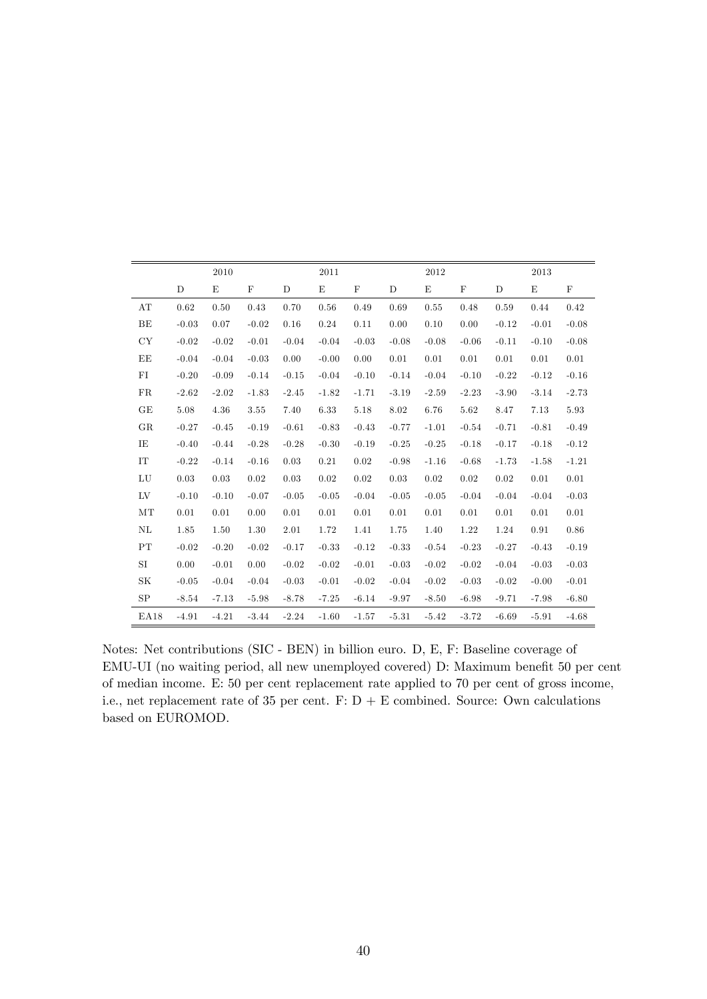|      |             | 2010    |             |         | 2011        |             |         | 2012    |             |         | 2013    |             |
|------|-------------|---------|-------------|---------|-------------|-------------|---------|---------|-------------|---------|---------|-------------|
|      | $\mathbf D$ | E       | $\mathbf F$ | D       | $\mathbf E$ | $\mathbf F$ | D       | E       | $\mathbf F$ | D       | E       | $\mathbf F$ |
| AT   | 0.62        | 0.50    | 0.43        | 0.70    | 0.56        | 0.49        | 0.69    | 0.55    | 0.48        | 0.59    | 0.44    | 0.42        |
| BE   | $-0.03$     | 0.07    | $-0.02$     | 0.16    | 0.24        | 0.11        | 0.00    | 0.10    | 0.00        | $-0.12$ | $-0.01$ | $-0.08$     |
| CY   | $-0.02$     | $-0.02$ | $-0.01$     | $-0.04$ | $-0.04$     | $-0.03$     | $-0.08$ | $-0.08$ | $-0.06$     | $-0.11$ | $-0.10$ | $-0.08$     |
| EE   | $-0.04$     | $-0.04$ | $-0.03$     | 0.00    | $-0.00$     | 0.00        | 0.01    | 0.01    | 0.01        | 0.01    | 0.01    | 0.01        |
| FI   | $-0.20$     | $-0.09$ | $-0.14$     | $-0.15$ | $-0.04$     | $-0.10$     | $-0.14$ | $-0.04$ | $-0.10$     | $-0.22$ | $-0.12$ | $-0.16$     |
| FR   | $-2.62$     | $-2.02$ | $-1.83$     | $-2.45$ | $-1.82$     | $-1.71$     | $-3.19$ | $-2.59$ | $-2.23$     | $-3.90$ | $-3.14$ | $-2.73$     |
| GE   | 5.08        | 4.36    | 3.55        | 7.40    | 6.33        | 5.18        | 8.02    | 6.76    | 5.62        | 8.47    | 7.13    | 5.93        |
| GR   | $-0.27$     | $-0.45$ | $-0.19$     | $-0.61$ | $-0.83$     | $-0.43$     | $-0.77$ | $-1.01$ | $-0.54$     | $-0.71$ | $-0.81$ | $-0.49$     |
| ΙE   | $-0.40$     | $-0.44$ | $-0.28$     | $-0.28$ | $-0.30$     | $-0.19$     | $-0.25$ | $-0.25$ | $-0.18$     | $-0.17$ | $-0.18$ | $-0.12$     |
| IT   | $-0.22$     | $-0.14$ | $-0.16$     | 0.03    | 0.21        | 0.02        | $-0.98$ | $-1.16$ | $-0.68$     | $-1.73$ | $-1.58$ | $-1.21$     |
| LU   | 0.03        | 0.03    | 0.02        | 0.03    | 0.02        | 0.02        | 0.03    | 0.02    | 0.02        | 0.02    | 0.01    | 0.01        |
| LV   | $-0.10$     | $-0.10$ | $-0.07$     | $-0.05$ | $-0.05$     | $-0.04$     | $-0.05$ | $-0.05$ | $-0.04$     | $-0.04$ | $-0.04$ | $-0.03$     |
| MT   | 0.01        | 0.01    | 0.00        | 0.01    | 0.01        | 0.01        | 0.01    | 0.01    | 0.01        | 0.01    | 0.01    | 0.01        |
| NL   | 1.85        | 1.50    | 1.30        | 2.01    | 1.72        | 1.41        | 1.75    | 1.40    | 1.22        | 1.24    | 0.91    | 0.86        |
| PT   | $-0.02$     | $-0.20$ | $-0.02$     | $-0.17$ | $-0.33$     | $-0.12$     | $-0.33$ | $-0.54$ | $-0.23$     | $-0.27$ | $-0.43$ | $-0.19$     |
| SI   | 0.00        | $-0.01$ | 0.00        | $-0.02$ | $-0.02$     | $-0.01$     | $-0.03$ | $-0.02$ | $-0.02$     | $-0.04$ | $-0.03$ | $-0.03$     |
| SK   | $-0.05$     | $-0.04$ | $-0.04$     | $-0.03$ | $-0.01$     | $-0.02$     | $-0.04$ | $-0.02$ | $-0.03$     | $-0.02$ | $-0.00$ | $-0.01$     |
| SP   | $-8.54$     | $-7.13$ | $-5.98$     | $-8.78$ | $-7.25$     | $-6.14$     | $-9.97$ | $-8.50$ | $-6.98$     | $-9.71$ | $-7.98$ | $-6.80$     |
| EA18 | $-4.91$     | $-4.21$ | $-3.44$     | $-2.24$ | $-1.60$     | $-1.57$     | $-5.31$ | $-5.42$ | $-3.72$     | $-6.69$ | $-5.91$ | $-4.68$     |

Notes: Net contributions (SIC - BEN) in billion euro. D, E, F: Baseline coverage of EMU-UI (no waiting period, all new unemployed covered) D: Maximum benefit 50 per cent of median income. E: 50 per cent replacement rate applied to 70 per cent of gross income, i.e., net replacement rate of 35 per cent.  $F: D + E$  combined. Source: Own calculations based on EUROMOD.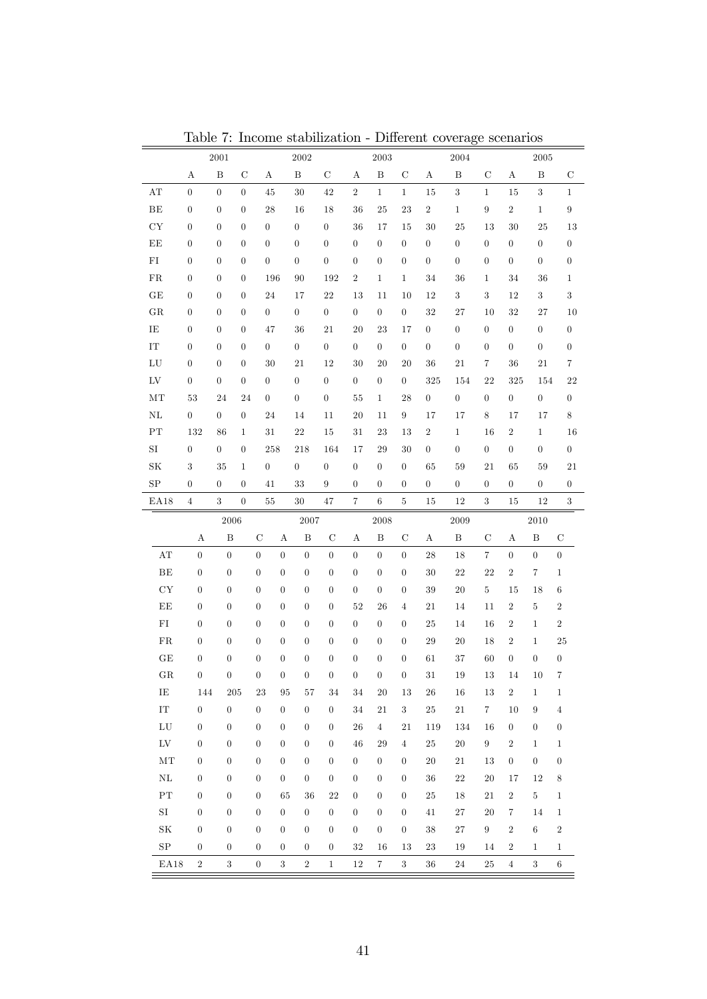|                         |                  | $2001\,$         |                  |                  | 2002                                 |                  |                  | $\,2003\,$       |                  |                  | 2004             |                  |                  | $\,2005\,$       |                  |
|-------------------------|------------------|------------------|------------------|------------------|--------------------------------------|------------------|------------------|------------------|------------------|------------------|------------------|------------------|------------------|------------------|------------------|
|                         | А                | $\, {\bf B}$     | C                | А                | $\, {\bf B}$                         | С                | Α                | $\, {\bf B}$     | $\mathbf C$      | Α                | B                | $\mathbf C$      | A                | B                | $\mathbf C$      |
| $\mathbf{A} \mathbf{T}$ | $\boldsymbol{0}$ | $\boldsymbol{0}$ | $\overline{0}$   | 45               | $30\,$                               | 42               | $\,2$            | $\mathbf{1}$     | $\mathbf{1}$     | 15               | $\overline{3}$   | $\mathbf{1}$     | 15               | $\sqrt{3}$       | $\mathbf{1}$     |
| $\rm BE$                | $\boldsymbol{0}$ | $\boldsymbol{0}$ | $\boldsymbol{0}$ | 28               | 16                                   | 18               | 36               | $25\,$           | $\bf 23$         | $\,2$            | $1\,$            | $\boldsymbol{9}$ | $\,2$            | $\mathbf{1}$     | $\boldsymbol{9}$ |
| ${\rm CY}$              | $\boldsymbol{0}$ | $\boldsymbol{0}$ | $\overline{0}$   | $\overline{0}$   | $\boldsymbol{0}$                     | $\boldsymbol{0}$ | 36               | 17               | 15               | 30               | $\rm 25$         | 13               | 30               | $25\,$           | $13\,$           |
| EE                      | $\boldsymbol{0}$ | $\boldsymbol{0}$ | $\theta$         | $\boldsymbol{0}$ | $\boldsymbol{0}$                     | $\boldsymbol{0}$ | $\boldsymbol{0}$ | $\boldsymbol{0}$ | $\boldsymbol{0}$ | $\boldsymbol{0}$ | $\boldsymbol{0}$ | $\boldsymbol{0}$ | $\boldsymbol{0}$ | $\boldsymbol{0}$ | $\boldsymbol{0}$ |
| ${\rm FI}$              | $\boldsymbol{0}$ | $\boldsymbol{0}$ | $\theta$         | $\boldsymbol{0}$ | $\boldsymbol{0}$                     | $\boldsymbol{0}$ | $\boldsymbol{0}$ | $\boldsymbol{0}$ | $\boldsymbol{0}$ | $\boldsymbol{0}$ | $\boldsymbol{0}$ | $\boldsymbol{0}$ | $\boldsymbol{0}$ | $\boldsymbol{0}$ | $\boldsymbol{0}$ |
| ${\rm FR}$              | $\boldsymbol{0}$ | $\boldsymbol{0}$ | $\theta$         | 196              | 90                                   | 192              | $\,2$            | $1\,$            | $\mathbf{1}$     | 34               | 36               | 1                | 34               | 36               | $\mathbf{1}$     |
| $\operatorname{GE}$     | $\boldsymbol{0}$ | $\boldsymbol{0}$ | $\overline{0}$   | 24               | 17                                   | $22\,$           | 13               | 11               | 10               | 12               | $\sqrt{3}$       | $\boldsymbol{3}$ | 12               | $\sqrt{3}$       | $\sqrt{3}$       |
| ${\rm GR}$              | $\boldsymbol{0}$ | $\boldsymbol{0}$ | $\overline{0}$   | $\overline{0}$   | $\boldsymbol{0}$                     | $\boldsymbol{0}$ | $\boldsymbol{0}$ | $\boldsymbol{0}$ | $\boldsymbol{0}$ | $32\,$           | 27               | 10               | $32\,$           | 27               | $10\,$           |
| IE                      | $\boldsymbol{0}$ | $\boldsymbol{0}$ | $\theta$         | 47               | 36                                   | $21\,$           | 20               | $\sqrt{23}$      | 17               | $\boldsymbol{0}$ | $\boldsymbol{0}$ | $\boldsymbol{0}$ | $\boldsymbol{0}$ | $\boldsymbol{0}$ | $\boldsymbol{0}$ |
| ${\rm IT}$              | $\boldsymbol{0}$ | $\boldsymbol{0}$ | $\theta$         | $\overline{0}$   | $\boldsymbol{0}$                     | $\boldsymbol{0}$ | $\boldsymbol{0}$ | $\boldsymbol{0}$ | $\boldsymbol{0}$ | $\boldsymbol{0}$ | $\boldsymbol{0}$ | $\boldsymbol{0}$ | $\boldsymbol{0}$ | $\boldsymbol{0}$ | $\boldsymbol{0}$ |
| ${\rm LU}$              | $\boldsymbol{0}$ | $\boldsymbol{0}$ | $\theta$         | 30               | 21                                   | 12               | 30               | 20               | 20               | 36               | $21\,$           | $\,7$            | 36               | $21\,$           | $\,7$            |
| ${\rm LV}$              | $\boldsymbol{0}$ | $\boldsymbol{0}$ | $\boldsymbol{0}$ | $\overline{0}$   | $\boldsymbol{0}$                     | $\boldsymbol{0}$ | $\boldsymbol{0}$ | $\boldsymbol{0}$ | $\boldsymbol{0}$ | 325              | 154              | 22               | 325              | 154              | $22\,$           |
| MT                      | $53\,$           | 24               | 24               | $\overline{0}$   | $\boldsymbol{0}$                     | $\boldsymbol{0}$ | 55               | $\mathbf 1$      | 28               | $\boldsymbol{0}$ | $\boldsymbol{0}$ | $\boldsymbol{0}$ | $\boldsymbol{0}$ | $\boldsymbol{0}$ | $\boldsymbol{0}$ |
| $\rm NL$                | $\boldsymbol{0}$ | $\boldsymbol{0}$ | $\boldsymbol{0}$ | 24               | 14                                   | 11               | $20\,$           | 11               | $\boldsymbol{9}$ | 17               | 17               | $\,$ 8 $\,$      | 17               | 17               | $\,8\,$          |
| $\rm PT$                | 132              | 86               | $\mathbf{1}$     | $31\,$           | $22\,$                               | 15               | 31               | $\sqrt{23}$      | 13               | $\,2$            | $\mathbf{1}$     | 16               | $\,2$            | $\mathbf{1}$     | $16\,$           |
| $\rm{SI}$               | $\boldsymbol{0}$ | $\boldsymbol{0}$ | $\boldsymbol{0}$ | 258              | 218                                  | 164              | 17               | $\,29$           | 30               | $\boldsymbol{0}$ | $\boldsymbol{0}$ | $\boldsymbol{0}$ | $\boldsymbol{0}$ | $\boldsymbol{0}$ | $\boldsymbol{0}$ |
| $\rm SK$                | $\sqrt{3}$       | 35               | $\mathbf{1}$     | $\overline{0}$   | $\boldsymbol{0}$                     | $\boldsymbol{0}$ | $\boldsymbol{0}$ | $\boldsymbol{0}$ | $\boldsymbol{0}$ | 65               | 59               | 21               | 65               | 59               | $21\,$           |
| $_{\mathrm{SP}}$        | $\boldsymbol{0}$ | $\boldsymbol{0}$ | $\overline{0}$   | 41               | 33                                   | 9                | $\boldsymbol{0}$ | $\boldsymbol{0}$ | $\boldsymbol{0}$ | $\boldsymbol{0}$ | $\boldsymbol{0}$ | $\boldsymbol{0}$ | $\boldsymbol{0}$ | $\boldsymbol{0}$ | $\overline{0}$   |
| EA18                    | $\,4$            | $\sqrt{3}$       | $\boldsymbol{0}$ | $55\,$           | $30\,$                               | 47               | $\,7$            | $\,6\,$          | $\bf 5$          | 15               | $12\,$           | $\sqrt{3}$       | 15               | $12\,$           | $\sqrt{3}$       |
|                         |                  |                  |                  |                  |                                      |                  |                  |                  |                  |                  |                  |                  |                  |                  |                  |
|                         |                  | 2006             |                  |                  | 2007                                 |                  |                  | 2008             |                  |                  | 2009             |                  |                  | 2010             |                  |
|                         | $\boldsymbol{A}$ | $\, {\bf B}$     |                  | $\mathcal{C}$    | A<br>B                               | $\mathbf C$      | $\boldsymbol{A}$ | B                | $\mathbf C$      | $\boldsymbol{A}$ | $\, {\bf B}$     | $\mathcal{C}$    | $\boldsymbol{A}$ | B                | $\mathbf C$      |
| $\mathbf{A} \mathbf{T}$ | $\overline{0}$   | $\boldsymbol{0}$ |                  | $\boldsymbol{0}$ | $\overline{0}$<br>$\boldsymbol{0}$   | $\overline{0}$   | $\boldsymbol{0}$ | $\boldsymbol{0}$ | $\boldsymbol{0}$ | $\sqrt{28}$      | 18               | $\,7$            | $\boldsymbol{0}$ | $\overline{0}$   | $\boldsymbol{0}$ |
| $\rm BE$                | $\boldsymbol{0}$ | $\boldsymbol{0}$ |                  | $\boldsymbol{0}$ | $\boldsymbol{0}$<br>$\theta$         | $\boldsymbol{0}$ | $\overline{0}$   | $\boldsymbol{0}$ | $\boldsymbol{0}$ | $30\,$           | $22\,$           | $22\,$           | $\,2$            | $\,7$            | $\mathbf{1}$     |
| CY                      | $\boldsymbol{0}$ | $\boldsymbol{0}$ |                  | $\boldsymbol{0}$ | $\boldsymbol{0}$<br>$\boldsymbol{0}$ | $\overline{0}$   | $\boldsymbol{0}$ | $\boldsymbol{0}$ | $\boldsymbol{0}$ | 39               | $20\,$           | $\bf 5$          | 15               | 18               | $\,6$            |
| $\rm EE$                | $\boldsymbol{0}$ | $\boldsymbol{0}$ |                  | $\theta$         | $\boldsymbol{0}$<br>$\theta$         | $\boldsymbol{0}$ | 52               | 26               | $\overline{4}$   | 21               | 14               | 11               | $\sqrt{2}$       | $\bf 5$          | $\,2$            |
| ${\rm FI}$              | $\boldsymbol{0}$ | $\boldsymbol{0}$ |                  | $\boldsymbol{0}$ | $\boldsymbol{0}$<br>$\boldsymbol{0}$ | $\overline{0}$   | $\boldsymbol{0}$ | $\boldsymbol{0}$ | $\boldsymbol{0}$ | $25\,$           | 14               | 16               | $\sqrt{2}$       | $\mathbf{1}$     | $\,2$            |
| ${\rm FR}$              | $\boldsymbol{0}$ | $\boldsymbol{0}$ |                  | $\boldsymbol{0}$ | $\boldsymbol{0}$<br>$\boldsymbol{0}$ | $\boldsymbol{0}$ | $\boldsymbol{0}$ | $\boldsymbol{0}$ | $\theta$         | 29               | $20\,$           | 18               | $\sqrt{2}$       | $\mathbf{1}$     | $25\,$           |
| $\operatorname{GE}$     | $\boldsymbol{0}$ | $\boldsymbol{0}$ |                  | $\boldsymbol{0}$ | $\boldsymbol{0}$<br>$\boldsymbol{0}$ | $\boldsymbol{0}$ | $\theta$         | $\boldsymbol{0}$ | $\theta$         | 61               | 37               | 60               | $\boldsymbol{0}$ | $\boldsymbol{0}$ | $\boldsymbol{0}$ |
| $\rm{GR}$               | $\boldsymbol{0}$ | $\boldsymbol{0}$ |                  | $\boldsymbol{0}$ | $\boldsymbol{0}$<br>$\boldsymbol{0}$ | $\overline{0}$   | $\boldsymbol{0}$ | $\theta$         | $\boldsymbol{0}$ | 31               | 19               | 13               | 14               | 10               | $\!\!7$          |
| $\rm IE$                | 144              |                  | $\,205$          | 23               | 95<br>57                             | 34               | 34               | $20\,$           | 13               | ${\bf 26}$       | 16               | 13               | $\sqrt{2}$       | $\mathbf{1}$     | $\mathbf{1}$     |
| ${\rm IT}$              | $\boldsymbol{0}$ | $\boldsymbol{0}$ |                  | $\overline{0}$   | $\boldsymbol{0}$<br>$\boldsymbol{0}$ | $\boldsymbol{0}$ | 34               | $21\,$           | $\sqrt{3}$       | 25               | $21\,$           | $\overline{7}$   | 10               | $\boldsymbol{9}$ | $\overline{4}$   |
| ${\rm LU}$              | $\boldsymbol{0}$ | $\boldsymbol{0}$ |                  | $\boldsymbol{0}$ | $\boldsymbol{0}$<br>$\boldsymbol{0}$ | $\overline{0}$   | 26               | $\overline{4}$   | 21               | 119              | 134              | 16               | $\boldsymbol{0}$ | $\boldsymbol{0}$ | $\boldsymbol{0}$ |
| ${\rm LV}$              | $\boldsymbol{0}$ | $\boldsymbol{0}$ |                  | $\boldsymbol{0}$ | $\boldsymbol{0}$<br>$\boldsymbol{0}$ | $\overline{0}$   | $46\,$           | 29               | $\overline{4}$   | $25\,$           | $20\,$           | $\,9$            | $\,2$            | $\mathbf{1}$     | $\mathbf{1}$     |
| $\rm{MT}$               | $\boldsymbol{0}$ | $\boldsymbol{0}$ |                  | $\boldsymbol{0}$ | $\boldsymbol{0}$<br>$\boldsymbol{0}$ | $\overline{0}$   | $\boldsymbol{0}$ | $\boldsymbol{0}$ | $\boldsymbol{0}$ | 20               | $21\,$           | 13               | $\boldsymbol{0}$ | $\boldsymbol{0}$ | $\boldsymbol{0}$ |
| $\rm NL$                | $\boldsymbol{0}$ | $\boldsymbol{0}$ |                  | $\boldsymbol{0}$ | $\boldsymbol{0}$<br>$\boldsymbol{0}$ | $\boldsymbol{0}$ | $\boldsymbol{0}$ | $\boldsymbol{0}$ | $\boldsymbol{0}$ | 36               | $22\,$           | $20\,$           | 17               | 12               | 8                |
| ${\rm PT}$              | $\boldsymbol{0}$ | $\boldsymbol{0}$ |                  | $\boldsymbol{0}$ | 65<br>36                             | 22               | $\boldsymbol{0}$ | $\boldsymbol{0}$ | $\boldsymbol{0}$ | 25               | 18               | 21               | $\,2$            | $\bf 5$          | $\mathbf{1}$     |
| $\rm SI$                | $\boldsymbol{0}$ | $\boldsymbol{0}$ |                  | $\boldsymbol{0}$ | $\boldsymbol{0}$<br>$\theta$         | $\boldsymbol{0}$ | $\boldsymbol{0}$ | $\boldsymbol{0}$ | $\boldsymbol{0}$ | 41               | 27               | 20               | $\,7$            | 14               | $\mathbf{1}$     |
| $\rm SK$                | $\boldsymbol{0}$ | $\boldsymbol{0}$ |                  | $\boldsymbol{0}$ | $\boldsymbol{0}$<br>$\boldsymbol{0}$ | $\boldsymbol{0}$ | $\boldsymbol{0}$ | $\boldsymbol{0}$ | $\boldsymbol{0}$ | 38               | 27               | $\boldsymbol{9}$ | $\,2$            | $\,6\,$          | $\,2$            |
| ${\rm SP}$              | $\boldsymbol{0}$ | $\boldsymbol{0}$ |                  | $\boldsymbol{0}$ | $\boldsymbol{0}$<br>$\boldsymbol{0}$ | $\boldsymbol{0}$ | 32               | 16               | 13               | 23               | 19               | 14               | $\,2$            | $\mathbf{1}$     | $\mathbf{1}$     |

Table 7: Income stabilization - Different coverage scenarios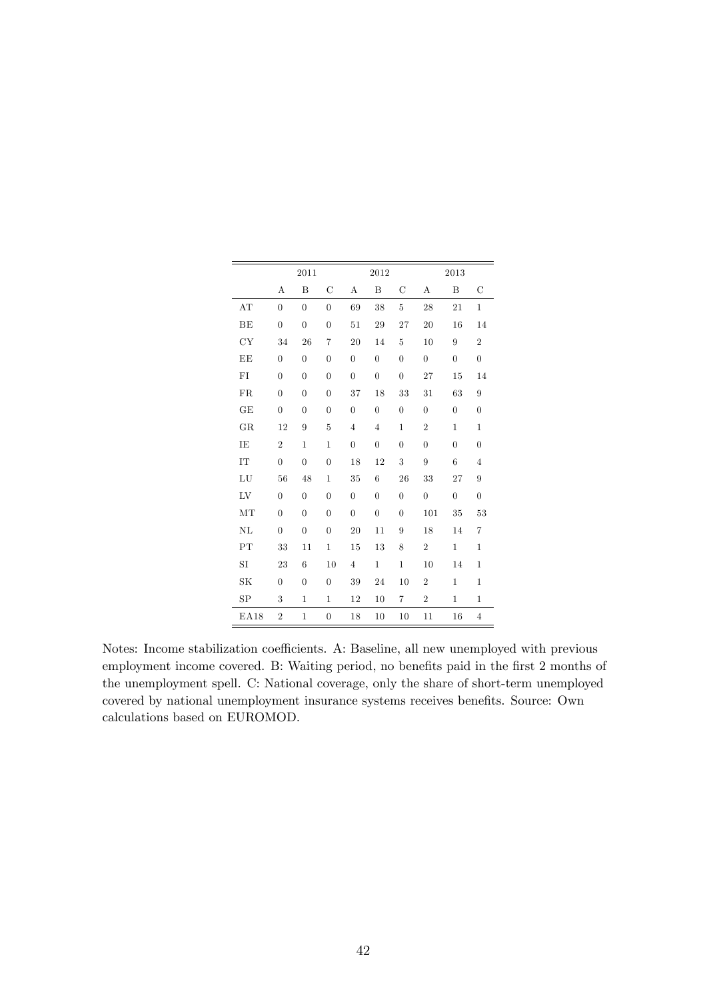|             |                  | 2011             |                  |                  | 2012             |                  | 2013           |                  |                  |  |  |  |
|-------------|------------------|------------------|------------------|------------------|------------------|------------------|----------------|------------------|------------------|--|--|--|
|             | А                | B                | С                | А                | B                | С                | А              | $\boldsymbol{B}$ | С                |  |  |  |
| AT          | $\overline{0}$   | $\overline{0}$   | $\overline{0}$   | 69               | 38               | $\overline{5}$   | 28             | 21               | $\mathbf{1}$     |  |  |  |
| BE          | $\overline{0}$   | $\boldsymbol{0}$ | $\overline{0}$   | 51               | 29               | 27               | 20             | 16               | 14               |  |  |  |
| CY          | 34               | 26               | 7                | 20               | 14               | $\overline{5}$   | 10             | 9                | $\overline{2}$   |  |  |  |
| $\rm EE$    | $\overline{0}$   | $\boldsymbol{0}$ | $\boldsymbol{0}$ | $\boldsymbol{0}$ | $\boldsymbol{0}$ | $\boldsymbol{0}$ | $\overline{0}$ | $\boldsymbol{0}$ | $\boldsymbol{0}$ |  |  |  |
| ${\rm FI}$  | $\overline{0}$   | $\overline{0}$   | $\overline{0}$   | $\boldsymbol{0}$ | $\overline{0}$   | $\boldsymbol{0}$ | 27             | 15               | 14               |  |  |  |
| FR          | $\overline{0}$   | $\overline{0}$   | $\overline{0}$   | 37               | 18               | 33               | 31             | 63               | 9                |  |  |  |
| GE          | $\overline{0}$   | $\overline{0}$   | $\boldsymbol{0}$ | $\overline{0}$   | $\overline{0}$   | $\boldsymbol{0}$ | $\overline{0}$ | $\boldsymbol{0}$ | $\overline{0}$   |  |  |  |
| GR          | 12               | 9                | $\overline{5}$   | $\overline{4}$   | $\overline{4}$   | $\mathbf{1}$     | $\overline{2}$ | $\mathbf{1}$     | $\,1$            |  |  |  |
| IE          | $\overline{2}$   | $\mathbf{1}$     | $\mathbf{1}$     | $\boldsymbol{0}$ | $\overline{0}$   | $\boldsymbol{0}$ | $\overline{0}$ | $\boldsymbol{0}$ | $\overline{0}$   |  |  |  |
| IT          | $\overline{0}$   | $\overline{0}$   | $\overline{0}$   | 18               | 12               | 3                | 9              | 6                | $\overline{4}$   |  |  |  |
| ${\rm LU}$  | 56               | 48               | $\mathbf{1}$     | 35               | 6                | 26               | 33             | 27               | 9                |  |  |  |
| ${\rm LV}$  | $\overline{0}$   | $\boldsymbol{0}$ | $\boldsymbol{0}$ | $\boldsymbol{0}$ | $\overline{0}$   | $\boldsymbol{0}$ | $\overline{0}$ | $\overline{0}$   | $\overline{0}$   |  |  |  |
| MT          | $\overline{0}$   | $\overline{0}$   | $\overline{0}$   | $\boldsymbol{0}$ | $\overline{0}$   | $\boldsymbol{0}$ | 101            | 35               | 53               |  |  |  |
| NL          | $\boldsymbol{0}$ | $\boldsymbol{0}$ | $\overline{0}$   | 20               | 11               | $\boldsymbol{9}$ | 18             | 14               | 7                |  |  |  |
| PT          | 33               | 11               | $\mathbf{1}$     | 15               | 13               | 8                | $\overline{2}$ | $\mathbf{1}$     | $\mathbf{1}$     |  |  |  |
| SI          | 23               | 6                | 10               | $\overline{4}$   | $\mathbf{1}$     | $\,1$            | 10             | 14               | $\mathbf 1$      |  |  |  |
| SK          | $\overline{0}$   | $\overline{0}$   | $\boldsymbol{0}$ | 39               | 24               | 10               | $\,2$          | $\mathbf{1}$     | $\mathbf 1$      |  |  |  |
| SP          | 3                | $\mathbf 1$      | $\mathbf{1}$     | 12               | 10               | $\overline{7}$   | $\overline{2}$ | $\mathbf{1}$     | $\mathbf{1}$     |  |  |  |
| <b>EA18</b> | $\overline{2}$   | $\mathbf{1}$     | $\overline{0}$   | 18               | 10               | 10               | 11             | 16               | $\overline{4}$   |  |  |  |

Notes: Income stabilization coefficients. A: Baseline, all new unemployed with previous employment income covered. B: Waiting period, no benefits paid in the first 2 months of the unemployment spell. C: National coverage, only the share of short-term unemployed covered by national unemployment insurance systems receives benefits. Source: Own calculations based on EUROMOD.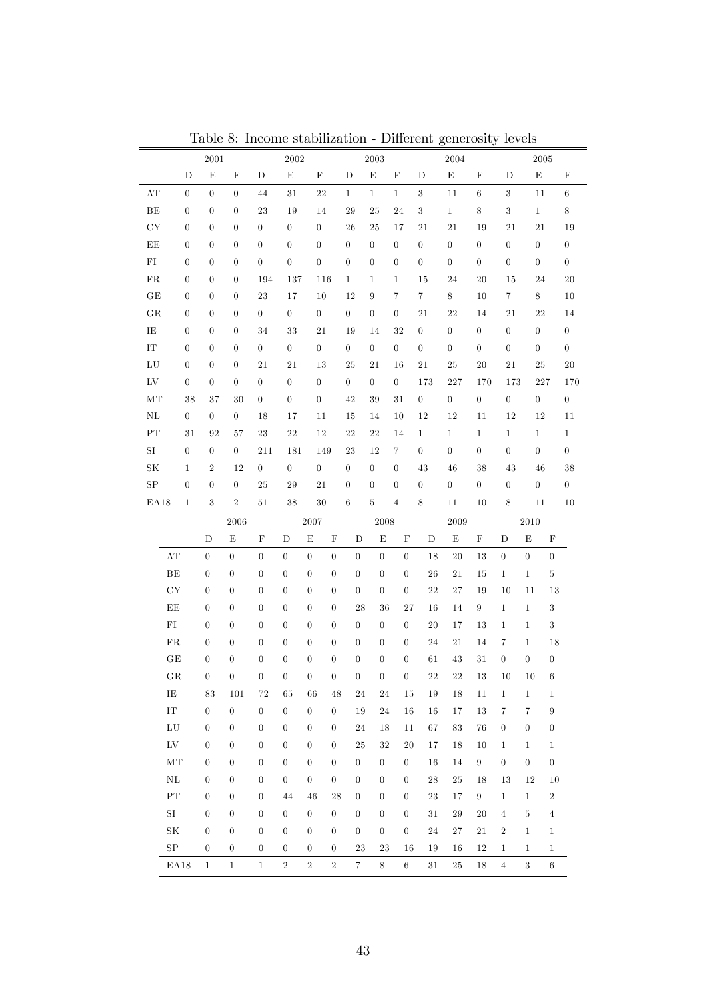|                         |                  |                                      |                                      |                                      |                                    |                                    |                                  |                  |                     |                                    |                  | Table 8: Income stabilization - Different generosity levels |                  |                                 |                       |                                  |                  |
|-------------------------|------------------|--------------------------------------|--------------------------------------|--------------------------------------|------------------------------------|------------------------------------|----------------------------------|------------------|---------------------|------------------------------------|------------------|-------------------------------------------------------------|------------------|---------------------------------|-----------------------|----------------------------------|------------------|
|                         |                  | $\,2001\,$                           |                                      |                                      | $\,2002\,$                         |                                    |                                  |                  | $\,2003\,$          |                                    |                  | $\,2004\,$                                                  |                  |                                 |                       | 2005                             |                  |
|                         | D                | $\mathbf E$                          | $\mathbf F$                          | D                                    | $\mathbf E$                        | $\mathbf F$                        |                                  | D                | $\mathbf E$         | F                                  | D                | $\mathbf E$                                                 | F                | D                               | $\mathbf E$           |                                  | $\mathbf F$      |
| $\mathbf{A} \mathbf{T}$ | $\boldsymbol{0}$ | $\boldsymbol{0}$                     | $\boldsymbol{0}$                     | 44                                   | $31\,$                             | $\bf{22}$                          |                                  | $\mathbf{1}$     | $\,1$               | $\mathbf{1}$                       | $\sqrt{3}$       | 11                                                          | 6                | 3                               | 11                    |                                  | 6                |
| BE                      | $\boldsymbol{0}$ | $\overline{0}$                       | $\overline{0}$                       | 23                                   | 19                                 | 14                                 |                                  | 29               | 25                  | 24                                 | $\sqrt{3}$       | $1\,$                                                       | $\,$ 8 $\,$      | 3                               | $\mathbf{1}$          |                                  | $\,8\,$          |
| ${\rm CY}$              | $\boldsymbol{0}$ | $\overline{0}$                       | $\boldsymbol{0}$                     | $\boldsymbol{0}$                     | $\boldsymbol{0}$                   | $\boldsymbol{0}$                   |                                  | 26               | 25                  | 17                                 | 21               | $21\,$                                                      | 19               | 21                              | 21                    |                                  | 19               |
| EE                      | $\boldsymbol{0}$ | $\boldsymbol{0}$                     | $\boldsymbol{0}$                     | $\boldsymbol{0}$                     | $\boldsymbol{0}$                   | $\boldsymbol{0}$                   |                                  | $\boldsymbol{0}$ | $\overline{0}$      | $\overline{0}$                     | $\boldsymbol{0}$ | $\boldsymbol{0}$                                            | $\boldsymbol{0}$ | $\overline{0}$                  | $\boldsymbol{0}$      |                                  | $\boldsymbol{0}$ |
| ${\rm FI}$              | $\boldsymbol{0}$ | $\boldsymbol{0}$                     | $\boldsymbol{0}$                     | $\boldsymbol{0}$                     | $\boldsymbol{0}$                   | $\boldsymbol{0}$                   |                                  | $\boldsymbol{0}$ | $\theta$            | $\boldsymbol{0}$                   | $\boldsymbol{0}$ | $\boldsymbol{0}$                                            | $\boldsymbol{0}$ | $\boldsymbol{0}$                | $\boldsymbol{0}$      |                                  | $\boldsymbol{0}$ |
| ${\rm FR}$              | $\boldsymbol{0}$ | $\boldsymbol{0}$                     | $\boldsymbol{0}$                     | 194                                  | 137                                |                                    | 116                              | $\mathbf{1}$     | $\mathbf{1}$        | $\mathbf{1}$                       | 15               | 24                                                          | 20               | 15                              | 24                    |                                  | $20\,$           |
| $\operatorname{GE}$     | $\boldsymbol{0}$ | $\boldsymbol{0}$                     | $\overline{0}$                       | 23                                   | 17                                 | 10                                 |                                  | 12               | 9                   | $\overline{7}$                     | $\,7$            | $8\,$                                                       | 10               | 7                               | 8                     |                                  | 10               |
| ${\rm GR}$              | $\boldsymbol{0}$ | $\boldsymbol{0}$                     | $\boldsymbol{0}$                     | $\boldsymbol{0}$                     | $\boldsymbol{0}$                   | $\boldsymbol{0}$                   |                                  | $\theta$         | $\boldsymbol{0}$    | $\boldsymbol{0}$                   | 21               | 22                                                          | 14               | 21                              | 22                    |                                  | 14               |
| IE                      | $\boldsymbol{0}$ | $\boldsymbol{0}$                     | $\boldsymbol{0}$                     | 34                                   | 33                                 | $21\,$                             |                                  | 19               | 14                  | 32                                 | $\boldsymbol{0}$ | $\boldsymbol{0}$                                            | $\boldsymbol{0}$ | $\boldsymbol{0}$                | $\boldsymbol{0}$      |                                  | $\boldsymbol{0}$ |
| $\operatorname{IT}$     | $\boldsymbol{0}$ | $\boldsymbol{0}$                     | $\boldsymbol{0}$                     | $\boldsymbol{0}$                     | $\boldsymbol{0}$                   | $\boldsymbol{0}$                   |                                  | $\theta$         | $\boldsymbol{0}$    | $\boldsymbol{0}$                   | $\boldsymbol{0}$ | $\boldsymbol{0}$                                            | $\boldsymbol{0}$ | $\boldsymbol{0}$                | $\boldsymbol{0}$      |                                  | $\overline{0}$   |
| ${\rm LU}$              | $\boldsymbol{0}$ | $\boldsymbol{0}$                     | $\boldsymbol{0}$                     | 21                                   | 21                                 | 13                                 |                                  | 25               | 21                  | 16                                 | $21\,$           | $\rm 25$                                                    | 20               | 21                              | 25                    |                                  | $20\,$           |
| ${\rm LV}$              | $\boldsymbol{0}$ | $\overline{0}$                       | $\overline{0}$                       | $\boldsymbol{0}$                     | $\theta$                           | 0                                  |                                  | $\theta$         | $\theta$            | $\boldsymbol{0}$                   | 173              | 227                                                         | 170              | 173                             |                       | 227                              | 170              |
| MT                      | 38               | 37                                   | 30                                   | $\boldsymbol{0}$                     | $\boldsymbol{0}$                   | $\boldsymbol{0}$                   |                                  | 42               | 39                  | 31                                 | $\boldsymbol{0}$ | $\boldsymbol{0}$                                            | $\boldsymbol{0}$ | $\boldsymbol{0}$                | $\overline{0}$        |                                  | $\overline{0}$   |
| $\rm NL$                | $\overline{0}$   | $\overline{0}$                       | $\overline{0}$                       | 18                                   | 17                                 | 11                                 |                                  | 15               | 14                  | 10                                 | $12\,$           | $12\,$                                                      | 11               | 12                              | 12                    |                                  | 11               |
| ${\rm PT}$              | $31\,$           | 92                                   | 57                                   | 23                                   | $22\,$                             | 12                                 |                                  | $22\,$           | 22                  | 14                                 | $\mathbf{1}$     | $\mathbf{1}$                                                | $\mathbf{1}$     | $\mathbf{1}$                    | $\mathbf{1}$          |                                  | $\mathbf{1}$     |
| $\rm SI$                | $\boldsymbol{0}$ | $\overline{0}$                       | $\overline{0}$                       | 211                                  | 181                                |                                    | 149                              | 23               | 12                  | $\,7$                              | $\boldsymbol{0}$ | $\boldsymbol{0}$                                            | $\boldsymbol{0}$ | $\boldsymbol{0}$                | $\boldsymbol{0}$      |                                  | $\boldsymbol{0}$ |
| $\rm SK$                | $\mathbf{1}$     | $\boldsymbol{2}$                     | 12                                   | $\boldsymbol{0}$                     | $\boldsymbol{0}$                   | 0                                  |                                  | $\theta$         | $\theta$            | $\boldsymbol{0}$                   | 43               | 46                                                          | 38               | 43                              | 46                    |                                  | $38\,$           |
| ${\rm SP}$              | $\boldsymbol{0}$ | $\boldsymbol{0}$                     | $\overline{0}$                       | 25                                   | 29                                 | 21                                 |                                  | $\overline{0}$   | $\overline{0}$      | $\overline{0}$                     | $\boldsymbol{0}$ | $\boldsymbol{0}$                                            | $\boldsymbol{0}$ | $\boldsymbol{0}$                | $\boldsymbol{0}$      |                                  | $\boldsymbol{0}$ |
| EA18                    | $\,1$            | $\sqrt{3}$                           | $\,2$                                | 51                                   | 38                                 | $30\,$                             |                                  | $\,6\,$          | $\bf 5$             | $\overline{4}$                     | $\,8\,$          | 11                                                          | 10               | $\,8\,$                         | 11                    |                                  | 10               |
|                         |                  | $\mathbf D$                          | 2006<br>E                            | $\mathbf F$                          | D                                  | $\,2007\,$<br>$\mathbf E$          | $\mathbf F$                      | $\mathbf D$      | 2008<br>$\mathbf E$ | F                                  | D                | 2009<br>$\mathbf E$                                         | F                | D                               | 2010<br>$\mathbf E$   | $\mathbf F$                      |                  |
| $\mathbf{A} \mathbf{T}$ |                  | $\boldsymbol{0}$                     | $\boldsymbol{0}$                     | $\boldsymbol{0}$                     | $\overline{0}$                     | $\overline{0}$                     | $\overline{0}$                   | $\boldsymbol{0}$ | $\boldsymbol{0}$    | $\theta$                           | 18               | 20                                                          | 13               | $\boldsymbol{0}$                | $\boldsymbol{0}$      | $\boldsymbol{0}$                 |                  |
|                         |                  |                                      |                                      |                                      |                                    |                                    |                                  |                  |                     |                                    |                  |                                                             |                  |                                 |                       |                                  |                  |
| BE                      |                  | $\boldsymbol{0}$                     | $\boldsymbol{0}$                     | $\boldsymbol{0}$                     | $\overline{0}$                     | $\theta$                           | $\overline{0}$                   | $\boldsymbol{0}$ | $\boldsymbol{0}$    | $\boldsymbol{0}$                   | 26               | 21                                                          | 15               | $\mathbf{1}$                    | $\,1$                 | $\bf 5$                          |                  |
| ${\rm CY}$              |                  | $\boldsymbol{0}$                     | $\boldsymbol{0}$                     | $\boldsymbol{0}$                     | $\boldsymbol{0}$                   | $\theta$                           | $\boldsymbol{0}$                 | $\boldsymbol{0}$ | $\boldsymbol{0}$    | $\boldsymbol{0}$                   | $22\,$           | 27                                                          | 19               | 10                              | 11                    | 13                               |                  |
| EE                      |                  | $\boldsymbol{0}$                     | $\boldsymbol{0}$                     | $\boldsymbol{0}$                     | $\overline{0}$                     | $\boldsymbol{0}$                   | $\boldsymbol{0}$                 | 28               | 36                  | 27                                 | 16               | 14                                                          | $\boldsymbol{9}$ | $\mathbf{1}$                    | $\mathbf{1}$          | $\boldsymbol{3}$                 |                  |
| FI                      |                  | $\boldsymbol{0}$                     | $\boldsymbol{0}$                     | $\boldsymbol{0}$                     | $\overline{0}$                     | $\theta$                           | $\boldsymbol{0}$                 | $\boldsymbol{0}$ | $\boldsymbol{0}$    | $\boldsymbol{0}$                   | $20\,$           | 17                                                          | 13               | $\mathbf 1$                     | $\mathbf{1}$          | $\sqrt{3}$                       |                  |
| ${\rm FR}$              |                  | $\boldsymbol{0}$                     | $\boldsymbol{0}$                     | $\boldsymbol{0}$                     | $\boldsymbol{0}$                   | $\theta$                           | $\boldsymbol{0}$                 | $\boldsymbol{0}$ | $\boldsymbol{0}$    | $\boldsymbol{0}$                   | 24               | 21                                                          | 14               | $\,7$                           | $\,1$                 | $18\,$                           |                  |
| $\operatorname{GE}$     |                  | $\boldsymbol{0}$                     | $\boldsymbol{0}$                     | $\boldsymbol{0}$                     | $\boldsymbol{0}$                   | $\overline{0}$                     | $\boldsymbol{0}$                 | $\boldsymbol{0}$ | $\boldsymbol{0}$    | $\boldsymbol{0}$                   | 61               | $43\,$                                                      | $31\,$           | $\boldsymbol{0}$                | $\boldsymbol{0}$      | $\boldsymbol{0}$                 |                  |
| ${\rm GR}$              |                  | $\boldsymbol{0}$                     | $\boldsymbol{0}$                     | $\boldsymbol{0}$                     | $\boldsymbol{0}$                   | $\boldsymbol{0}$                   | $\boldsymbol{0}$                 | $\boldsymbol{0}$ | $\boldsymbol{0}$    | $\boldsymbol{0}$                   | $22\,$           | $22\,$                                                      | 13               | 10                              | 10                    | $\,6$                            |                  |
| IE<br>$\rm IT$          |                  | 83<br>$\boldsymbol{0}$               | 101<br>$\boldsymbol{0}$              | 72<br>$\boldsymbol{0}$               | 65<br>$\boldsymbol{0}$             | 66<br>$\boldsymbol{0}$             | 48<br>$\boldsymbol{0}$           | 24<br>19         | 24<br>24            | 15<br>16                           | 19<br>16         | 18                                                          | 11<br>13         | $\mathbf{1}$                    | $\mathbf{1}$<br>$\,7$ | $\mathbf{1}$<br>$\boldsymbol{9}$ |                  |
| ${\rm LU}$              |                  |                                      | $\boldsymbol{0}$                     | $\boldsymbol{0}$                     |                                    |                                    |                                  |                  |                     |                                    |                  | 17                                                          |                  | 7                               | $\boldsymbol{0}$      |                                  |                  |
| ${\rm LV}$              |                  | $\boldsymbol{0}$<br>$\boldsymbol{0}$ | $\boldsymbol{0}$                     | $\boldsymbol{0}$                     | $\overline{0}$<br>$\boldsymbol{0}$ | $\boldsymbol{0}$<br>$\overline{0}$ | $\overline{0}$<br>$\overline{0}$ | 24<br>25         | 18<br>32            | 11<br>20                           | 67<br>17         | 83<br>18                                                    | 76<br>10         | $\boldsymbol{0}$<br>$\mathbf 1$ | $\mathbf{1}$          | $\boldsymbol{0}$<br>$\mathbf{1}$ |                  |
| MT                      |                  | $\boldsymbol{0}$                     | $\boldsymbol{0}$                     | $\boldsymbol{0}$                     | $\boldsymbol{0}$                   | $\theta$                           | $\boldsymbol{0}$                 | $\boldsymbol{0}$ | $\boldsymbol{0}$    | $\boldsymbol{0}$                   | 16               | 14                                                          | $\boldsymbol{9}$ | $\boldsymbol{0}$                | $\overline{0}$        | $\boldsymbol{0}$                 |                  |
| $\rm NL$                |                  | $\boldsymbol{0}$                     | $\boldsymbol{0}$                     | $\boldsymbol{0}$                     | $\boldsymbol{0}$                   | $\overline{0}$                     | $\boldsymbol{0}$                 | $\boldsymbol{0}$ | $\boldsymbol{0}$    | $\boldsymbol{0}$                   | $\sqrt{28}$      | 25                                                          | 18               | 13                              | 12                    | 10                               |                  |
| ${\rm PT}$              |                  | $\boldsymbol{0}$                     |                                      |                                      | 44                                 | 46                                 | 28                               | $\boldsymbol{0}$ | $\boldsymbol{0}$    |                                    | 23               |                                                             | 9                | $\mathbf{1}$                    | $\mathbf{1}$          | $\,2$                            |                  |
| $\rm SI$                |                  |                                      | $\boldsymbol{0}$                     | $\boldsymbol{0}$<br>$\boldsymbol{0}$ | $\boldsymbol{0}$                   | $\boldsymbol{0}$                   | $\boldsymbol{0}$                 | $\boldsymbol{0}$ | $\boldsymbol{0}$    | $\boldsymbol{0}$                   |                  | 17                                                          |                  |                                 | $\bf 5$               |                                  |                  |
| $\rm{SK}$               |                  | $\boldsymbol{0}$<br>$\boldsymbol{0}$ | $\boldsymbol{0}$<br>$\boldsymbol{0}$ | $\boldsymbol{0}$                     | $\boldsymbol{0}$                   | $\overline{0}$                     | $\boldsymbol{0}$                 | $\boldsymbol{0}$ | $\boldsymbol{0}$    | $\overline{0}$<br>$\boldsymbol{0}$ | 31<br>24         | 29<br>27                                                    | 20<br>$21\,$     | $\overline{4}$<br>$\sqrt{2}$    | $\,1$                 | $\overline{4}$<br>$\mathbf{1}$   |                  |
| $_{\mathrm{SP}}$        |                  | $\boldsymbol{0}$                     |                                      | $\boldsymbol{0}$                     | $\boldsymbol{0}$                   | $\boldsymbol{0}$                   | $\boldsymbol{0}$                 | 23               | 23                  |                                    |                  |                                                             | 12               | $\mathbf{1}$                    |                       | $\mathbf{1}$                     |                  |
|                         |                  |                                      | $\boldsymbol{0}$                     |                                      |                                    |                                    |                                  |                  |                     | 16                                 | 19               | 16                                                          |                  |                                 | $\mathbf{1}$          |                                  |                  |
|                         | EA18             | $\mathbf{1}$                         | $\mathbf{1}$                         | $\mathbf{1}$                         | $\,2$                              | $\,2$                              | $\sqrt{2}$                       | $\,7$            | $\,8\,$             | $\,6$                              | 31               | 25                                                          | 18               | $\overline{4}$                  | $\sqrt{3}$            | $\,6$                            |                  |

Table 8: Income stabilization - Different generosity levels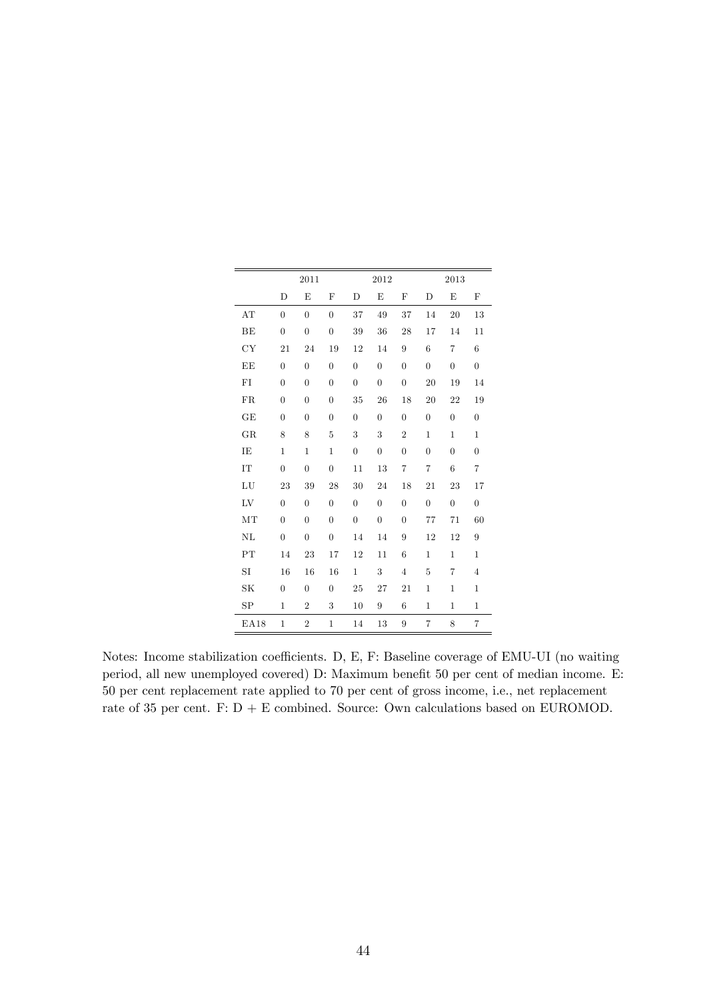|             |                  | 2011             |                  |                | 2012             |                  |                  | 2013             |                  |
|-------------|------------------|------------------|------------------|----------------|------------------|------------------|------------------|------------------|------------------|
|             | D                | E                | $_{\rm F}$       | D              | E                | $\mathbf{F}$     | D                | E                | $\mathbf F$      |
| AT          | $\overline{0}$   | $\overline{0}$   | $\overline{0}$   | 37             | 49               | 37               | 14               | 20               | 13               |
| BE          | $\overline{0}$   | $\overline{0}$   | $\boldsymbol{0}$ | 39             | 36               | 28               | 17               | 14               | 11               |
| CY          | 21               | 24               | 19               | 12             | 14               | 9                | 6                | $\overline{7}$   | 6                |
| EE          | $\overline{0}$   | $\overline{0}$   | $\boldsymbol{0}$ | $\overline{0}$ | $\boldsymbol{0}$ | $\overline{0}$   | $\boldsymbol{0}$ | $\overline{0}$   | $\boldsymbol{0}$ |
| FI          | $\boldsymbol{0}$ | $\boldsymbol{0}$ | $\boldsymbol{0}$ | $\overline{0}$ | $\boldsymbol{0}$ | $\boldsymbol{0}$ | 20               | 19               | 14               |
| FR          | $\overline{0}$   | $\boldsymbol{0}$ | $\overline{0}$   | 35             | 26               | 18               | 20               | 22               | 19               |
| GE          | $\overline{0}$   | $\overline{0}$   | $\overline{0}$   | $\overline{0}$ | $\overline{0}$   | $\overline{0}$   | $\boldsymbol{0}$ | $\overline{0}$   | $\boldsymbol{0}$ |
| GR          | 8                | 8                | 5                | 3              | 3                | $\overline{2}$   | $\mathbf{1}$     | $\mathbf{1}$     | $\mathbf{1}$     |
| IE          | $\mathbf{1}$     | $\mathbf{1}$     | $\mathbf{1}$     | $\overline{0}$ | $\boldsymbol{0}$ | $\overline{0}$   | $\overline{0}$   | $\overline{0}$   | $\overline{0}$   |
| IT          | $\overline{0}$   | $\overline{0}$   | $\overline{0}$   | 11             | 13               | $\overline{7}$   | $\overline{7}$   | 6                | $\overline{7}$   |
| LU          | 23               | 39               | 28               | 30             | 24               | 18               | 21               | 23               | 17               |
| LV          | $\overline{0}$   | $\overline{0}$   | $\overline{0}$   | $\overline{0}$ | $\overline{0}$   | $\overline{0}$   | $\boldsymbol{0}$ | $\boldsymbol{0}$ | $\boldsymbol{0}$ |
| MT          | $\overline{0}$   | $\overline{0}$   | $\overline{0}$   | $\overline{0}$ | $\boldsymbol{0}$ | $\overline{0}$   | 77               | 71               | 60               |
| NL          | $\overline{0}$   | $\overline{0}$   | $\overline{0}$   | 14             | 14               | 9                | 12               | 12               | $\overline{9}$   |
| PT          | 14               | 23               | 17               | 12             | 11               | 6                | $\mathbf{1}$     | $\mathbf{1}$     | $\mathbf{1}$     |
| SI          | 16               | 16               | 16               | $\mathbf{1}$   | 3                | $\overline{4}$   | 5                | 7                | $\overline{4}$   |
| SK          | $\overline{0}$   | $\overline{0}$   | $\overline{0}$   | 25             | 27               | 21               | $\mathbf 1$      | $\mathbf{1}$     | $\mathbf{1}$     |
| SP          | $\mathbf{1}$     | $\overline{2}$   | 3                | 10             | 9                | 6                | $\mathbf 1$      | $\mathbf{1}$     | $\mathbf{1}$     |
| <b>EA18</b> | $\mathbf{1}$     | $\overline{2}$   | $\mathbf{1}$     | 14             | 13               | 9                | $\overline{7}$   | 8                | $\overline{7}$   |

Notes: Income stabilization coefficients. D, E, F: Baseline coverage of EMU-UI (no waiting period, all new unemployed covered) D: Maximum benefit 50 per cent of median income. E: 50 per cent replacement rate applied to 70 per cent of gross income, i.e., net replacement rate of 35 per cent. F: D + E combined. Source: Own calculations based on EUROMOD.